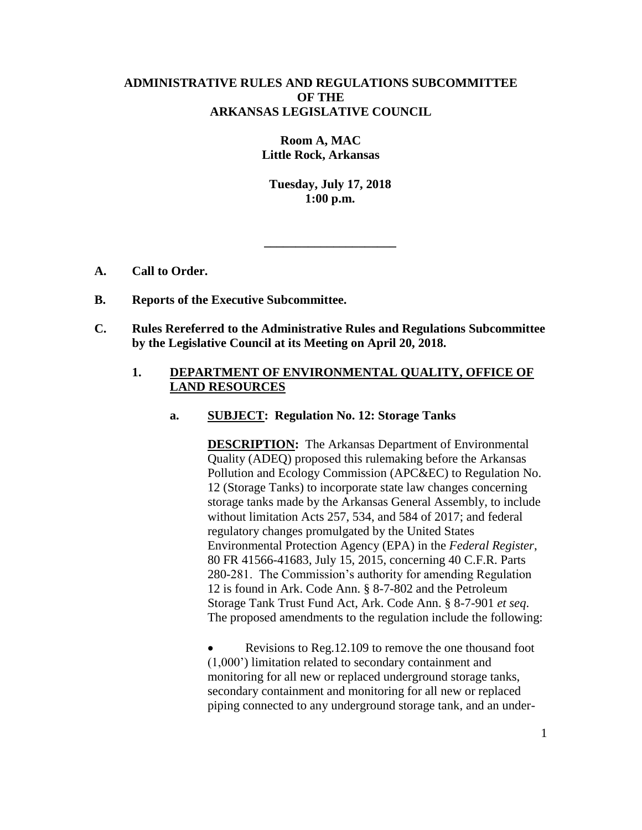## **ADMINISTRATIVE RULES AND REGULATIONS SUBCOMMITTEE OF THE ARKANSAS LEGISLATIVE COUNCIL**

**Room A, MAC Little Rock, Arkansas**

**Tuesday, July 17, 2018 1:00 p.m.**

**\_\_\_\_\_\_\_\_\_\_\_\_\_\_\_\_\_\_\_\_\_**

- **A. Call to Order.**
- **B. Reports of the Executive Subcommittee.**
- **C. Rules Rereferred to the Administrative Rules and Regulations Subcommittee by the Legislative Council at its Meeting on April 20, 2018.**

## **1. DEPARTMENT OF ENVIRONMENTAL QUALITY, OFFICE OF LAND RESOURCES**

**a. SUBJECT: Regulation No. 12: Storage Tanks**

**DESCRIPTION:** The Arkansas Department of Environmental Quality (ADEQ) proposed this rulemaking before the Arkansas Pollution and Ecology Commission (APC&EC) to Regulation No. 12 (Storage Tanks) to incorporate state law changes concerning storage tanks made by the Arkansas General Assembly, to include without limitation Acts 257, 534, and 584 of 2017; and federal regulatory changes promulgated by the United States Environmental Protection Agency (EPA) in the *Federal Register*, 80 FR 41566-41683, July 15, 2015, concerning 40 C.F.R. Parts 280-281. The Commission's authority for amending Regulation 12 is found in Ark. Code Ann. § 8-7-802 and the Petroleum Storage Tank Trust Fund Act, Ark. Code Ann. § 8-7-901 *et seq*. The proposed amendments to the regulation include the following:

• Revisions to Reg. 12.109 to remove the one thousand foot (1,000') limitation related to secondary containment and monitoring for all new or replaced underground storage tanks, secondary containment and monitoring for all new or replaced piping connected to any underground storage tank, and an under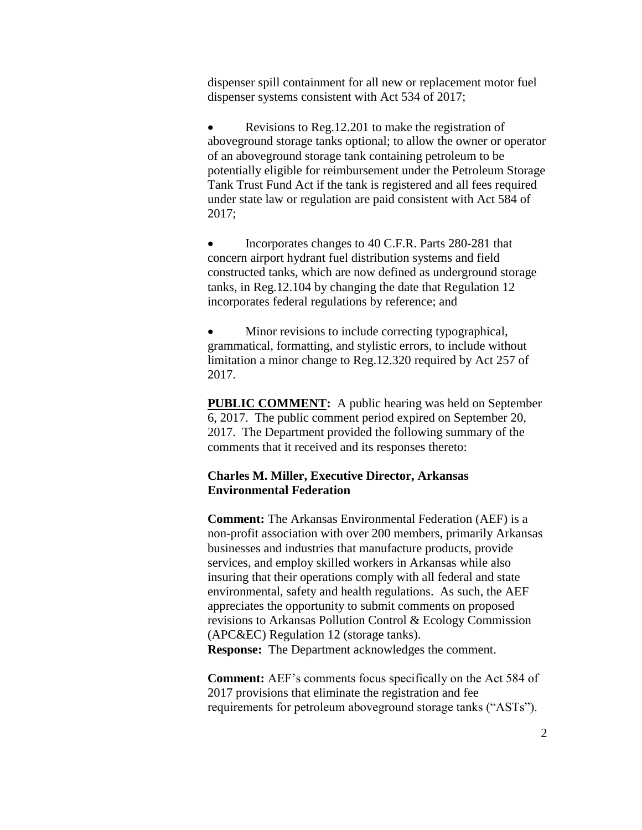dispenser spill containment for all new or replacement motor fuel dispenser systems consistent with Act 534 of 2017;

 Revisions to Reg.12.201 to make the registration of aboveground storage tanks optional; to allow the owner or operator of an aboveground storage tank containing petroleum to be potentially eligible for reimbursement under the Petroleum Storage Tank Trust Fund Act if the tank is registered and all fees required under state law or regulation are paid consistent with Act 584 of 2017;

• Incorporates changes to 40 C.F.R. Parts 280-281 that concern airport hydrant fuel distribution systems and field constructed tanks, which are now defined as underground storage tanks, in Reg.12.104 by changing the date that Regulation 12 incorporates federal regulations by reference; and

 Minor revisions to include correcting typographical, grammatical, formatting, and stylistic errors, to include without limitation a minor change to Reg.12.320 required by Act 257 of 2017.

**PUBLIC COMMENT:** A public hearing was held on September 6, 2017. The public comment period expired on September 20, 2017. The Department provided the following summary of the comments that it received and its responses thereto:

### **Charles M. Miller, Executive Director, Arkansas Environmental Federation**

**Comment:** The Arkansas Environmental Federation (AEF) is a non-profit association with over 200 members, primarily Arkansas businesses and industries that manufacture products, provide services, and employ skilled workers in Arkansas while also insuring that their operations comply with all federal and state environmental, safety and health regulations. As such, the AEF appreciates the opportunity to submit comments on proposed revisions to Arkansas Pollution Control & Ecology Commission (APC&EC) Regulation 12 (storage tanks). **Response:** The Department acknowledges the comment.

**Comment:** AEF's comments focus specifically on the Act 584 of 2017 provisions that eliminate the registration and fee requirements for petroleum aboveground storage tanks ("ASTs").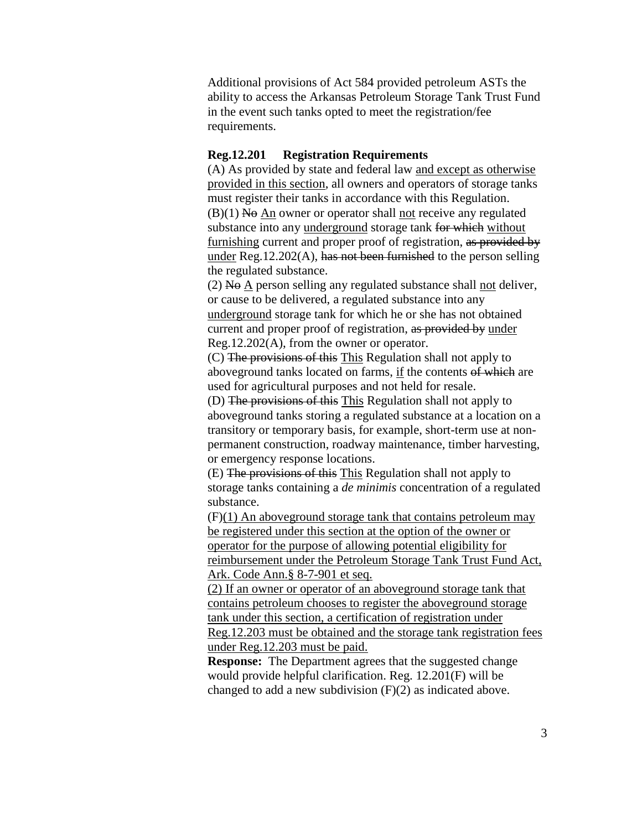Additional provisions of Act 584 provided petroleum ASTs the ability to access the Arkansas Petroleum Storage Tank Trust Fund in the event such tanks opted to meet the registration/fee requirements.

### **Reg.12.201 Registration Requirements**

(A) As provided by state and federal law and except as otherwise provided in this section, all owners and operators of storage tanks must register their tanks in accordance with this Regulation.  $(B)(1)$  No An owner or operator shall not receive any regulated substance into any underground storage tank for which without furnishing current and proper proof of registration, as provided by under Reg.12.202(A), has not been furnished to the person selling the regulated substance.

 $(2)$  N $\Theta$  A person selling any regulated substance shall not deliver, or cause to be delivered, a regulated substance into any underground storage tank for which he or she has not obtained current and proper proof of registration, as provided by under Reg.12.202(A), from the owner or operator.

(C) The provisions of this This Regulation shall not apply to aboveground tanks located on farms, if the contents of which are used for agricultural purposes and not held for resale.

(D) The provisions of this This Regulation shall not apply to aboveground tanks storing a regulated substance at a location on a transitory or temporary basis, for example, short-term use at nonpermanent construction, roadway maintenance, timber harvesting, or emergency response locations.

(E) The provisions of this This Regulation shall not apply to storage tanks containing a *de minimis* concentration of a regulated substance.

(F)(1) An aboveground storage tank that contains petroleum may be registered under this section at the option of the owner or operator for the purpose of allowing potential eligibility for reimbursement under the Petroleum Storage Tank Trust Fund Act, Ark. Code Ann.§ 8-7-901 et seq.

(2) If an owner or operator of an aboveground storage tank that contains petroleum chooses to register the aboveground storage tank under this section, a certification of registration under Reg.12.203 must be obtained and the storage tank registration fees under Reg.12.203 must be paid.

**Response:** The Department agrees that the suggested change would provide helpful clarification. Reg. 12.201(F) will be changed to add a new subdivision (F)(2) as indicated above.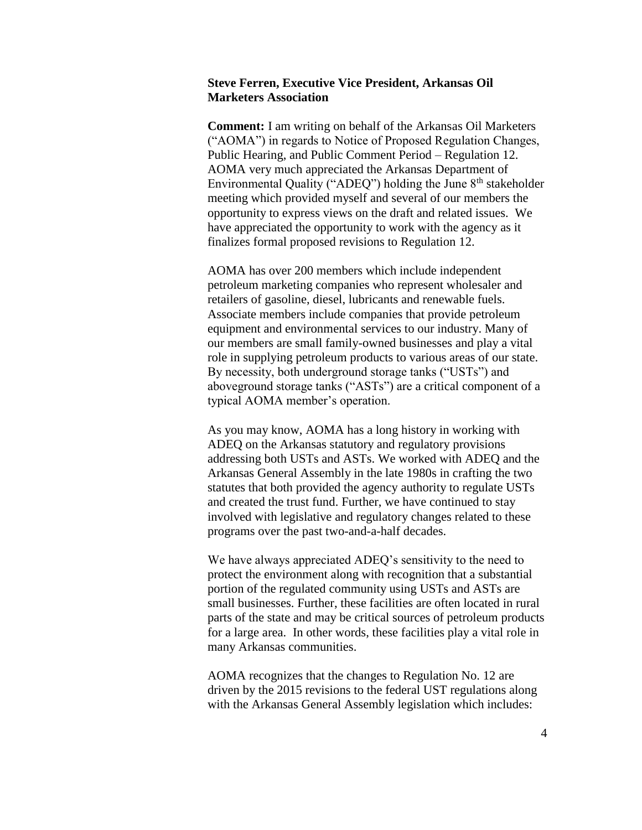#### **Steve Ferren, Executive Vice President, Arkansas Oil Marketers Association**

**Comment:** I am writing on behalf of the Arkansas Oil Marketers ("AOMA") in regards to Notice of Proposed Regulation Changes, Public Hearing, and Public Comment Period – Regulation 12. AOMA very much appreciated the Arkansas Department of Environmental Quality ("ADEQ") holding the June  $8<sup>th</sup>$  stakeholder meeting which provided myself and several of our members the opportunity to express views on the draft and related issues. We have appreciated the opportunity to work with the agency as it finalizes formal proposed revisions to Regulation 12.

AOMA has over 200 members which include independent petroleum marketing companies who represent wholesaler and retailers of gasoline, diesel, lubricants and renewable fuels. Associate members include companies that provide petroleum equipment and environmental services to our industry. Many of our members are small family-owned businesses and play a vital role in supplying petroleum products to various areas of our state. By necessity, both underground storage tanks ("USTs") and aboveground storage tanks ("ASTs") are a critical component of a typical AOMA member's operation.

As you may know, AOMA has a long history in working with ADEQ on the Arkansas statutory and regulatory provisions addressing both USTs and ASTs. We worked with ADEQ and the Arkansas General Assembly in the late 1980s in crafting the two statutes that both provided the agency authority to regulate USTs and created the trust fund. Further, we have continued to stay involved with legislative and regulatory changes related to these programs over the past two-and-a-half decades.

We have always appreciated ADEQ's sensitivity to the need to protect the environment along with recognition that a substantial portion of the regulated community using USTs and ASTs are small businesses. Further, these facilities are often located in rural parts of the state and may be critical sources of petroleum products for a large area. In other words, these facilities play a vital role in many Arkansas communities.

AOMA recognizes that the changes to Regulation No. 12 are driven by the 2015 revisions to the federal UST regulations along with the Arkansas General Assembly legislation which includes: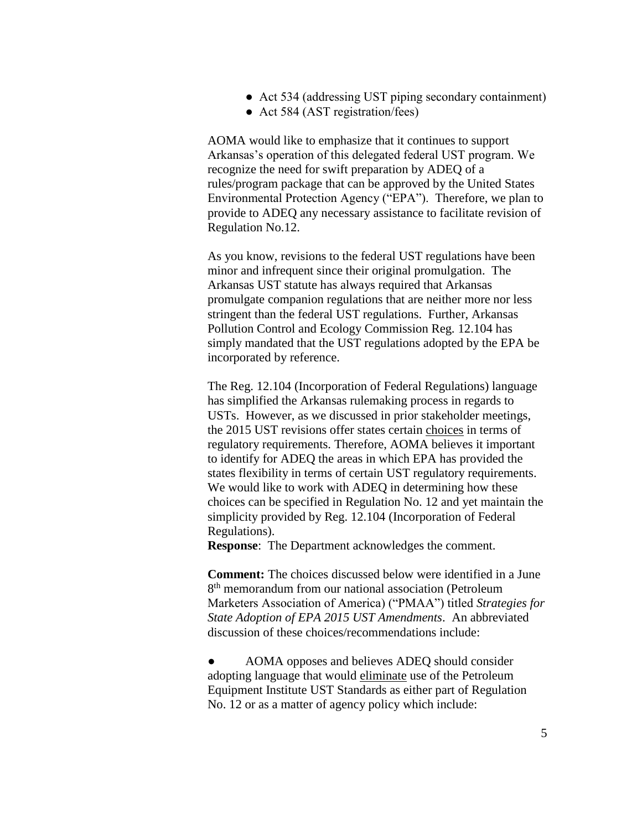- Act 534 (addressing UST piping secondary containment)
- Act 584 (AST registration/fees)

AOMA would like to emphasize that it continues to support Arkansas's operation of this delegated federal UST program. We recognize the need for swift preparation by ADEQ of a rules/program package that can be approved by the United States Environmental Protection Agency ("EPA"). Therefore, we plan to provide to ADEQ any necessary assistance to facilitate revision of Regulation No.12.

As you know, revisions to the federal UST regulations have been minor and infrequent since their original promulgation. The Arkansas UST statute has always required that Arkansas promulgate companion regulations that are neither more nor less stringent than the federal UST regulations. Further, Arkansas Pollution Control and Ecology Commission Reg. 12.104 has simply mandated that the UST regulations adopted by the EPA be incorporated by reference.

The Reg. 12.104 (Incorporation of Federal Regulations) language has simplified the Arkansas rulemaking process in regards to USTs. However, as we discussed in prior stakeholder meetings, the 2015 UST revisions offer states certain choices in terms of regulatory requirements. Therefore, AOMA believes it important to identify for ADEQ the areas in which EPA has provided the states flexibility in terms of certain UST regulatory requirements. We would like to work with ADEQ in determining how these choices can be specified in Regulation No. 12 and yet maintain the simplicity provided by Reg. 12.104 (Incorporation of Federal Regulations).

**Response**: The Department acknowledges the comment.

**Comment:** The choices discussed below were identified in a June 8<sup>th</sup> memorandum from our national association (Petroleum Marketers Association of America) ("PMAA") titled *Strategies for State Adoption of EPA 2015 UST Amendments*. An abbreviated discussion of these choices/recommendations include:

AOMA opposes and believes ADEQ should consider adopting language that would eliminate use of the Petroleum Equipment Institute UST Standards as either part of Regulation No. 12 or as a matter of agency policy which include: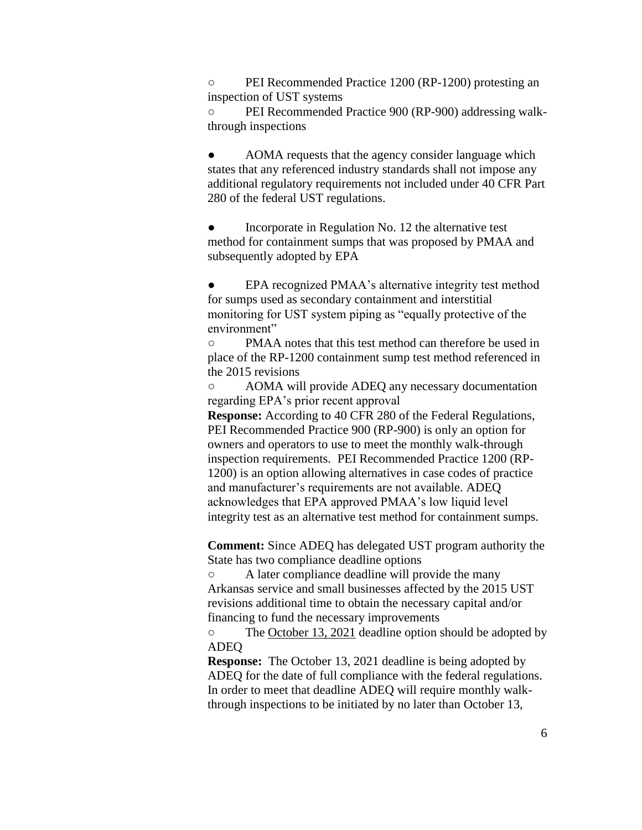○ PEI Recommended Practice 1200 (RP-1200) protesting an inspection of UST systems

○ PEI Recommended Practice 900 (RP-900) addressing walkthrough inspections

AOMA requests that the agency consider language which states that any referenced industry standards shall not impose any additional regulatory requirements not included under 40 CFR Part 280 of the federal UST regulations.

Incorporate in Regulation No. 12 the alternative test method for containment sumps that was proposed by PMAA and subsequently adopted by EPA

EPA recognized PMAA's alternative integrity test method for sumps used as secondary containment and interstitial monitoring for UST system piping as "equally protective of the environment"

○ PMAA notes that this test method can therefore be used in place of the RP-1200 containment sump test method referenced in the 2015 revisions

○ AOMA will provide ADEQ any necessary documentation regarding EPA's prior recent approval

**Response:** According to 40 CFR 280 of the Federal Regulations, PEI Recommended Practice 900 (RP-900) is only an option for owners and operators to use to meet the monthly walk-through inspection requirements. PEI Recommended Practice 1200 (RP-1200) is an option allowing alternatives in case codes of practice and manufacturer's requirements are not available. ADEQ acknowledges that EPA approved PMAA's low liquid level integrity test as an alternative test method for containment sumps.

**Comment:** Since ADEQ has delegated UST program authority the State has two compliance deadline options

○ A later compliance deadline will provide the many Arkansas service and small businesses affected by the 2015 UST revisions additional time to obtain the necessary capital and/or financing to fund the necessary improvements

○ The October 13, 2021 deadline option should be adopted by ADEQ

**Response:** The October 13, 2021 deadline is being adopted by ADEQ for the date of full compliance with the federal regulations. In order to meet that deadline ADEQ will require monthly walkthrough inspections to be initiated by no later than October 13,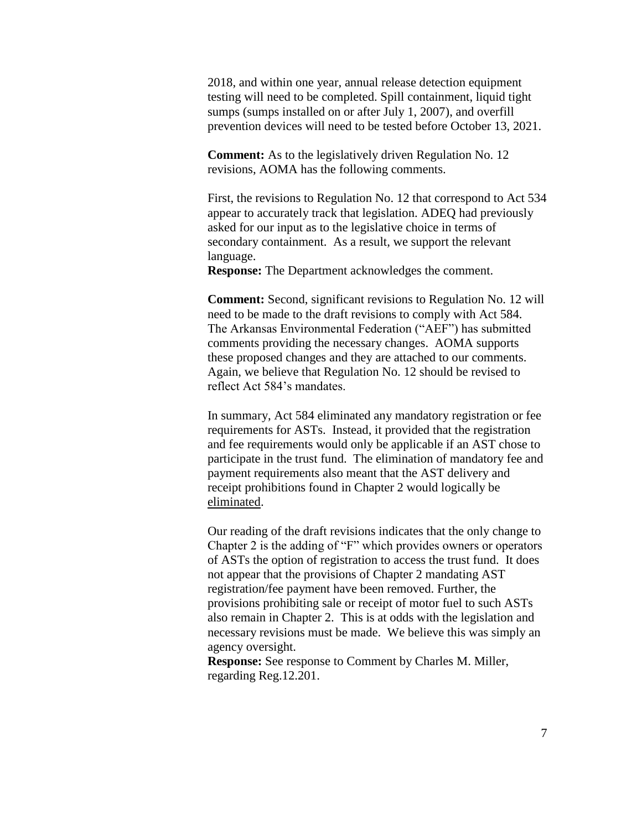2018, and within one year, annual release detection equipment testing will need to be completed. Spill containment, liquid tight sumps (sumps installed on or after July 1, 2007), and overfill prevention devices will need to be tested before October 13, 2021.

**Comment:** As to the legislatively driven Regulation No. 12 revisions, AOMA has the following comments.

First, the revisions to Regulation No. 12 that correspond to Act 534 appear to accurately track that legislation. ADEQ had previously asked for our input as to the legislative choice in terms of secondary containment. As a result, we support the relevant language.

**Response:** The Department acknowledges the comment.

**Comment:** Second, significant revisions to Regulation No. 12 will need to be made to the draft revisions to comply with Act 584. The Arkansas Environmental Federation ("AEF") has submitted comments providing the necessary changes. AOMA supports these proposed changes and they are attached to our comments. Again, we believe that Regulation No. 12 should be revised to reflect Act 584's mandates.

In summary, Act 584 eliminated any mandatory registration or fee requirements for ASTs. Instead, it provided that the registration and fee requirements would only be applicable if an AST chose to participate in the trust fund. The elimination of mandatory fee and payment requirements also meant that the AST delivery and receipt prohibitions found in Chapter 2 would logically be eliminated.

Our reading of the draft revisions indicates that the only change to Chapter 2 is the adding of "F" which provides owners or operators of ASTs the option of registration to access the trust fund. It does not appear that the provisions of Chapter 2 mandating AST registration/fee payment have been removed. Further, the provisions prohibiting sale or receipt of motor fuel to such ASTs also remain in Chapter 2. This is at odds with the legislation and necessary revisions must be made. We believe this was simply an agency oversight.

**Response:** See response to Comment by Charles M. Miller, regarding Reg.12.201.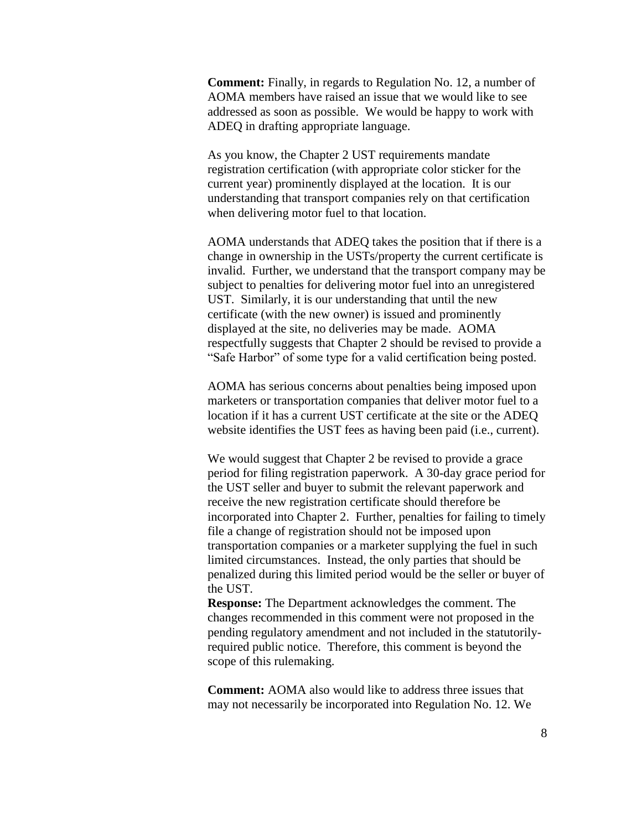**Comment:** Finally, in regards to Regulation No. 12, a number of AOMA members have raised an issue that we would like to see addressed as soon as possible. We would be happy to work with ADEQ in drafting appropriate language.

As you know, the Chapter 2 UST requirements mandate registration certification (with appropriate color sticker for the current year) prominently displayed at the location. It is our understanding that transport companies rely on that certification when delivering motor fuel to that location.

AOMA understands that ADEQ takes the position that if there is a change in ownership in the USTs/property the current certificate is invalid. Further, we understand that the transport company may be subject to penalties for delivering motor fuel into an unregistered UST. Similarly, it is our understanding that until the new certificate (with the new owner) is issued and prominently displayed at the site, no deliveries may be made. AOMA respectfully suggests that Chapter 2 should be revised to provide a "Safe Harbor" of some type for a valid certification being posted.

AOMA has serious concerns about penalties being imposed upon marketers or transportation companies that deliver motor fuel to a location if it has a current UST certificate at the site or the ADEQ website identifies the UST fees as having been paid (i.e., current).

We would suggest that Chapter 2 be revised to provide a grace period for filing registration paperwork. A 30-day grace period for the UST seller and buyer to submit the relevant paperwork and receive the new registration certificate should therefore be incorporated into Chapter 2. Further, penalties for failing to timely file a change of registration should not be imposed upon transportation companies or a marketer supplying the fuel in such limited circumstances. Instead, the only parties that should be penalized during this limited period would be the seller or buyer of the UST.

**Response:** The Department acknowledges the comment. The changes recommended in this comment were not proposed in the pending regulatory amendment and not included in the statutorilyrequired public notice. Therefore, this comment is beyond the scope of this rulemaking.

**Comment:** AOMA also would like to address three issues that may not necessarily be incorporated into Regulation No. 12. We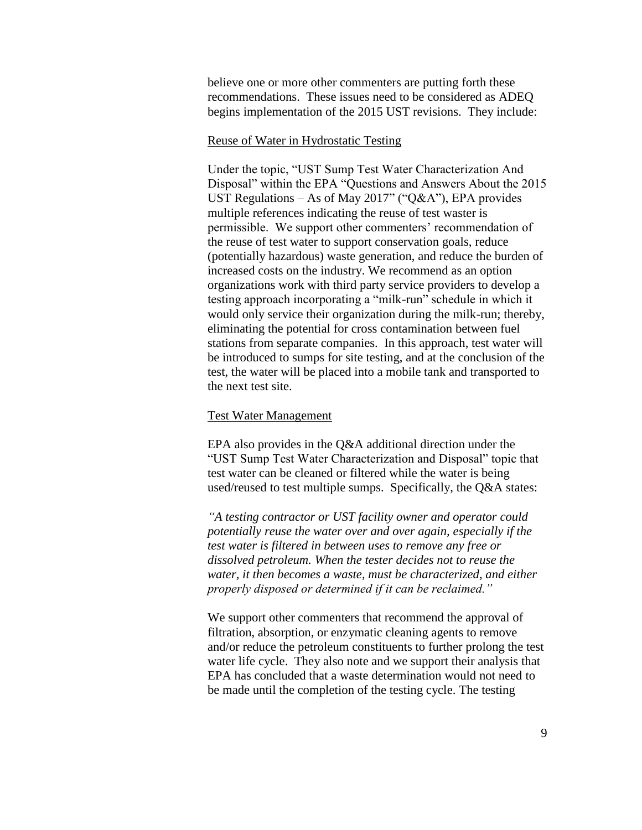believe one or more other commenters are putting forth these recommendations. These issues need to be considered as ADEQ begins implementation of the 2015 UST revisions. They include:

#### Reuse of Water in Hydrostatic Testing

Under the topic, "UST Sump Test Water Characterization And Disposal" within the EPA "Questions and Answers About the 2015 UST Regulations – As of May 2017" ("Q&A"), EPA provides multiple references indicating the reuse of test waster is permissible. We support other commenters' recommendation of the reuse of test water to support conservation goals, reduce (potentially hazardous) waste generation, and reduce the burden of increased costs on the industry. We recommend as an option organizations work with third party service providers to develop a testing approach incorporating a "milk-run" schedule in which it would only service their organization during the milk-run; thereby, eliminating the potential for cross contamination between fuel stations from separate companies. In this approach, test water will be introduced to sumps for site testing, and at the conclusion of the test, the water will be placed into a mobile tank and transported to the next test site.

### Test Water Management

EPA also provides in the Q&A additional direction under the "UST Sump Test Water Characterization and Disposal" topic that test water can be cleaned or filtered while the water is being used/reused to test multiple sumps. Specifically, the Q&A states:

*"A testing contractor or UST facility owner and operator could potentially reuse the water over and over again, especially if the test water is filtered in between uses to remove any free or dissolved petroleum. When the tester decides not to reuse the water, it then becomes a waste, must be characterized, and either properly disposed or determined if it can be reclaimed."*

We support other commenters that recommend the approval of filtration, absorption, or enzymatic cleaning agents to remove and/or reduce the petroleum constituents to further prolong the test water life cycle. They also note and we support their analysis that EPA has concluded that a waste determination would not need to be made until the completion of the testing cycle. The testing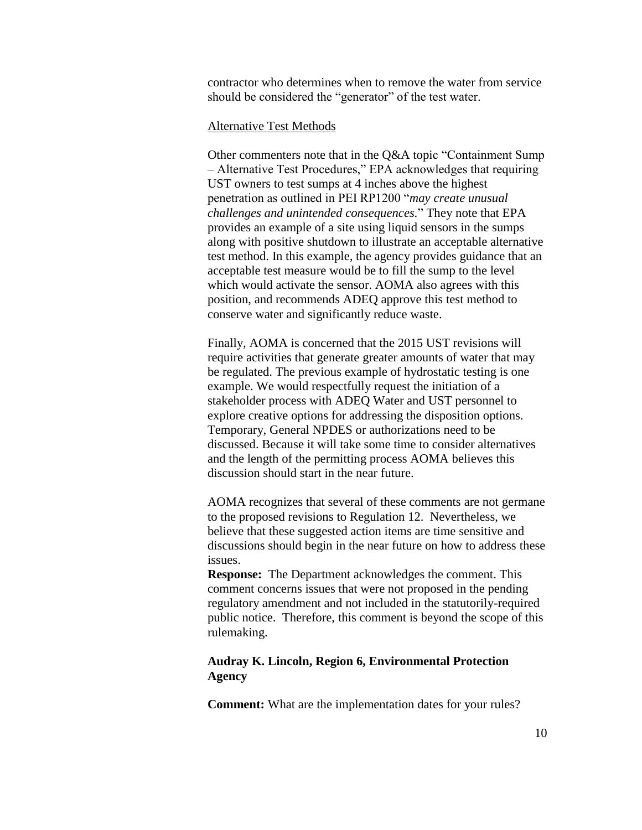contractor who determines when to remove the water from service should be considered the "generator" of the test water.

## Alternative Test Methods

Other commenters note that in the Q&A topic "Containment Sump – Alternative Test Procedures," EPA acknowledges that requiring UST owners to test sumps at 4 inches above the highest penetration as outlined in PEI RP1200 "*may create unusual challenges and unintended consequences.*" They note that EPA provides an example of a site using liquid sensors in the sumps along with positive shutdown to illustrate an acceptable alternative test method. In this example, the agency provides guidance that an acceptable test measure would be to fill the sump to the level which would activate the sensor. AOMA also agrees with this position, and recommends ADEQ approve this test method to conserve water and significantly reduce waste.

Finally, AOMA is concerned that the 2015 UST revisions will require activities that generate greater amounts of water that may be regulated. The previous example of hydrostatic testing is one example. We would respectfully request the initiation of a stakeholder process with ADEQ Water and UST personnel to explore creative options for addressing the disposition options. Temporary, General NPDES or authorizations need to be discussed. Because it will take some time to consider alternatives and the length of the permitting process AOMA believes this discussion should start in the near future.

AOMA recognizes that several of these comments are not germane to the proposed revisions to Regulation 12. Nevertheless, we believe that these suggested action items are time sensitive and discussions should begin in the near future on how to address these issues.

**Response:** The Department acknowledges the comment. This comment concerns issues that were not proposed in the pending regulatory amendment and not included in the statutorily-required public notice. Therefore, this comment is beyond the scope of this rulemaking.

#### **Audray K. Lincoln, Region 6, Environmental Protection Agency**

**Comment:** What are the implementation dates for your rules?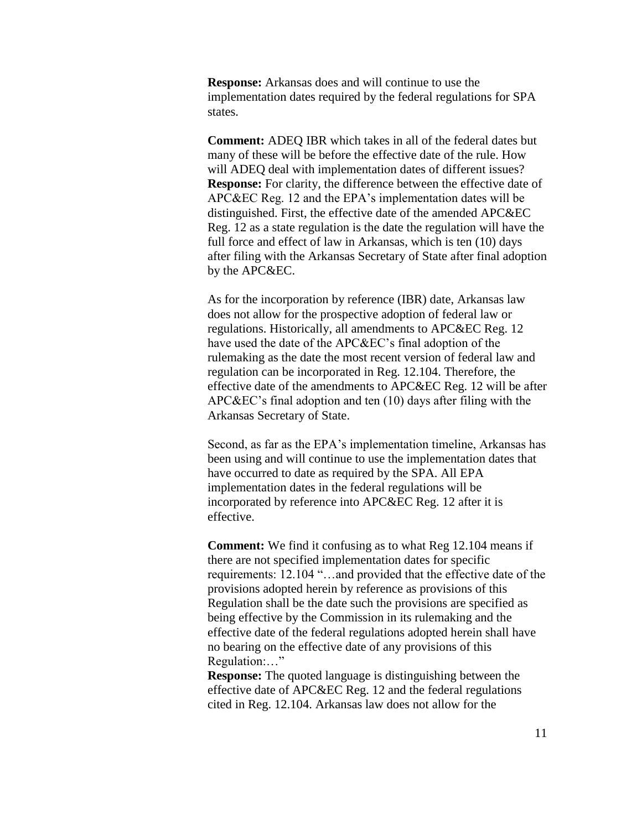**Response:** Arkansas does and will continue to use the implementation dates required by the federal regulations for SPA states.

**Comment:** ADEQ IBR which takes in all of the federal dates but many of these will be before the effective date of the rule. How will ADEQ deal with implementation dates of different issues? **Response:** For clarity, the difference between the effective date of APC&EC Reg. 12 and the EPA's implementation dates will be distinguished. First, the effective date of the amended APC&EC Reg. 12 as a state regulation is the date the regulation will have the full force and effect of law in Arkansas, which is ten (10) days after filing with the Arkansas Secretary of State after final adoption by the APC&EC.

As for the incorporation by reference (IBR) date, Arkansas law does not allow for the prospective adoption of federal law or regulations. Historically, all amendments to APC&EC Reg. 12 have used the date of the APC&EC's final adoption of the rulemaking as the date the most recent version of federal law and regulation can be incorporated in Reg. 12.104. Therefore, the effective date of the amendments to APC&EC Reg. 12 will be after APC&EC's final adoption and ten (10) days after filing with the Arkansas Secretary of State.

Second, as far as the EPA's implementation timeline, Arkansas has been using and will continue to use the implementation dates that have occurred to date as required by the SPA. All EPA implementation dates in the federal regulations will be incorporated by reference into APC&EC Reg. 12 after it is effective.

**Comment:** We find it confusing as to what Reg 12.104 means if there are not specified implementation dates for specific requirements: 12.104 "…and provided that the effective date of the provisions adopted herein by reference as provisions of this Regulation shall be the date such the provisions are specified as being effective by the Commission in its rulemaking and the effective date of the federal regulations adopted herein shall have no bearing on the effective date of any provisions of this Regulation:…"

**Response:** The quoted language is distinguishing between the effective date of APC&EC Reg. 12 and the federal regulations cited in Reg. 12.104. Arkansas law does not allow for the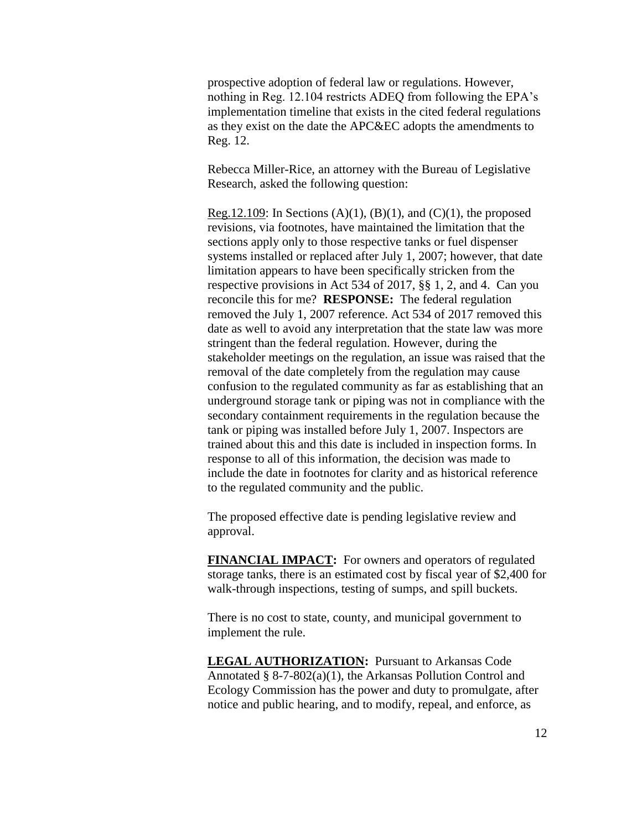prospective adoption of federal law or regulations. However, nothing in Reg. 12.104 restricts ADEQ from following the EPA's implementation timeline that exists in the cited federal regulations as they exist on the date the APC&EC adopts the amendments to Reg. 12.

Rebecca Miller-Rice, an attorney with the Bureau of Legislative Research, asked the following question:

Reg.12.109: In Sections  $(A)(1)$ ,  $(B)(1)$ , and  $(C)(1)$ , the proposed revisions, via footnotes, have maintained the limitation that the sections apply only to those respective tanks or fuel dispenser systems installed or replaced after July 1, 2007; however, that date limitation appears to have been specifically stricken from the respective provisions in Act 534 of 2017, §§ 1, 2, and 4. Can you reconcile this for me? **RESPONSE:** The federal regulation removed the July 1, 2007 reference. Act 534 of 2017 removed this date as well to avoid any interpretation that the state law was more stringent than the federal regulation. However, during the stakeholder meetings on the regulation, an issue was raised that the removal of the date completely from the regulation may cause confusion to the regulated community as far as establishing that an underground storage tank or piping was not in compliance with the secondary containment requirements in the regulation because the tank or piping was installed before July 1, 2007. Inspectors are trained about this and this date is included in inspection forms. In response to all of this information, the decision was made to include the date in footnotes for clarity and as historical reference to the regulated community and the public.

The proposed effective date is pending legislative review and approval.

**FINANCIAL IMPACT:** For owners and operators of regulated storage tanks, there is an estimated cost by fiscal year of \$2,400 for walk-through inspections, testing of sumps, and spill buckets.

There is no cost to state, county, and municipal government to implement the rule.

**LEGAL AUTHORIZATION:** Pursuant to Arkansas Code Annotated § 8-7-802(a)(1), the Arkansas Pollution Control and Ecology Commission has the power and duty to promulgate, after notice and public hearing, and to modify, repeal, and enforce, as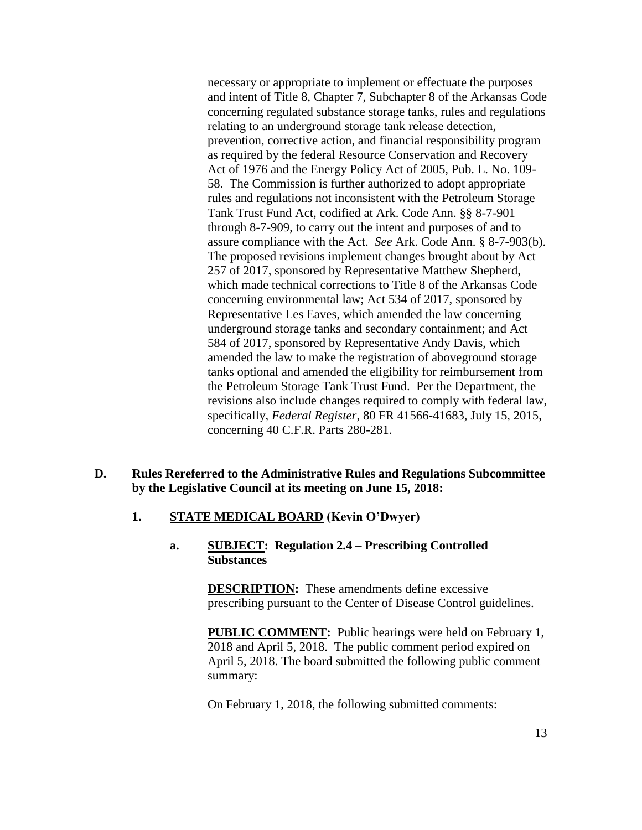necessary or appropriate to implement or effectuate the purposes and intent of Title 8, Chapter 7, Subchapter 8 of the Arkansas Code concerning regulated substance storage tanks, rules and regulations relating to an underground storage tank release detection, prevention, corrective action, and financial responsibility program as required by the federal Resource Conservation and Recovery Act of 1976 and the Energy Policy Act of 2005, Pub. L. No. 109- 58. The Commission is further authorized to adopt appropriate rules and regulations not inconsistent with the Petroleum Storage Tank Trust Fund Act, codified at Ark. Code Ann. §§ 8-7-901 through 8-7-909, to carry out the intent and purposes of and to assure compliance with the Act. *See* Ark. Code Ann. § 8-7-903(b). The proposed revisions implement changes brought about by Act 257 of 2017, sponsored by Representative Matthew Shepherd, which made technical corrections to Title 8 of the Arkansas Code concerning environmental law; Act 534 of 2017, sponsored by Representative Les Eaves, which amended the law concerning underground storage tanks and secondary containment; and Act 584 of 2017, sponsored by Representative Andy Davis, which amended the law to make the registration of aboveground storage tanks optional and amended the eligibility for reimbursement from the Petroleum Storage Tank Trust Fund. Per the Department, the revisions also include changes required to comply with federal law, specifically, *Federal Register*, 80 FR 41566-41683, July 15, 2015, concerning 40 C.F.R. Parts 280-281.

#### **D. Rules Rereferred to the Administrative Rules and Regulations Subcommittee by the Legislative Council at its meeting on June 15, 2018:**

#### **1. STATE MEDICAL BOARD (Kevin O'Dwyer)**

#### **a. SUBJECT: Regulation 2.4 – Prescribing Controlled Substances**

**DESCRIPTION:** These amendments define excessive prescribing pursuant to the Center of Disease Control guidelines.

**PUBLIC COMMENT:** Public hearings were held on February 1, 2018 and April 5, 2018. The public comment period expired on April 5, 2018. The board submitted the following public comment summary:

On February 1, 2018, the following submitted comments: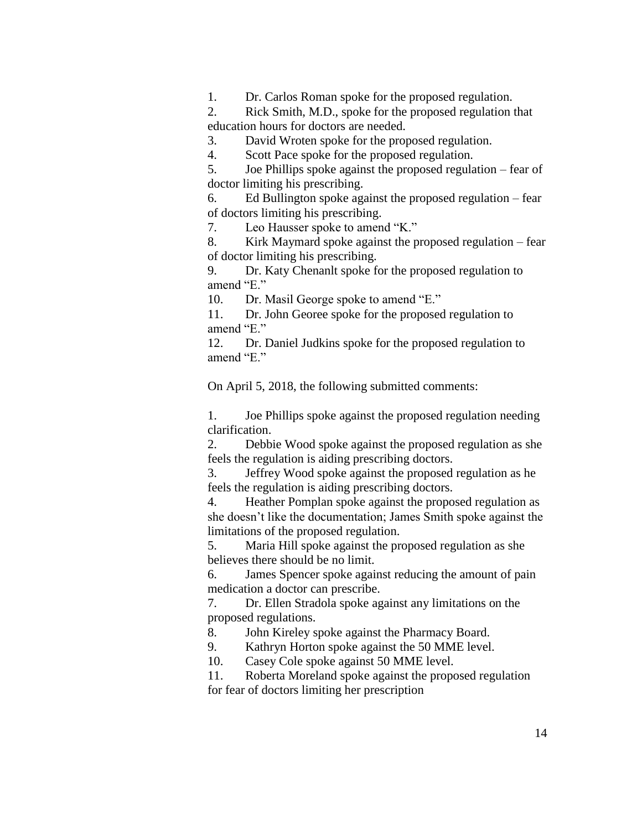1. Dr. Carlos Roman spoke for the proposed regulation.

2. Rick Smith, M.D., spoke for the proposed regulation that education hours for doctors are needed.

3. David Wroten spoke for the proposed regulation.

4. Scott Pace spoke for the proposed regulation.

5. Joe Phillips spoke against the proposed regulation – fear of doctor limiting his prescribing.

6. Ed Bullington spoke against the proposed regulation – fear of doctors limiting his prescribing.

7. Leo Hausser spoke to amend "K."

8. Kirk Maymard spoke against the proposed regulation – fear of doctor limiting his prescribing.

9. Dr. Katy Chenanlt spoke for the proposed regulation to amend "E."

10. Dr. Masil George spoke to amend "E."

11. Dr. John Georee spoke for the proposed regulation to amend "E."

12. Dr. Daniel Judkins spoke for the proposed regulation to amend "E."

On April 5, 2018, the following submitted comments:

1. Joe Phillips spoke against the proposed regulation needing clarification.

2. Debbie Wood spoke against the proposed regulation as she feels the regulation is aiding prescribing doctors.

3. Jeffrey Wood spoke against the proposed regulation as he feels the regulation is aiding prescribing doctors.

4. Heather Pomplan spoke against the proposed regulation as she doesn't like the documentation; James Smith spoke against the limitations of the proposed regulation.

5. Maria Hill spoke against the proposed regulation as she believes there should be no limit.

6. James Spencer spoke against reducing the amount of pain medication a doctor can prescribe.

7. Dr. Ellen Stradola spoke against any limitations on the proposed regulations.

8. John Kireley spoke against the Pharmacy Board.

9. Kathryn Horton spoke against the 50 MME level.

10. Casey Cole spoke against 50 MME level.

11. Roberta Moreland spoke against the proposed regulation for fear of doctors limiting her prescription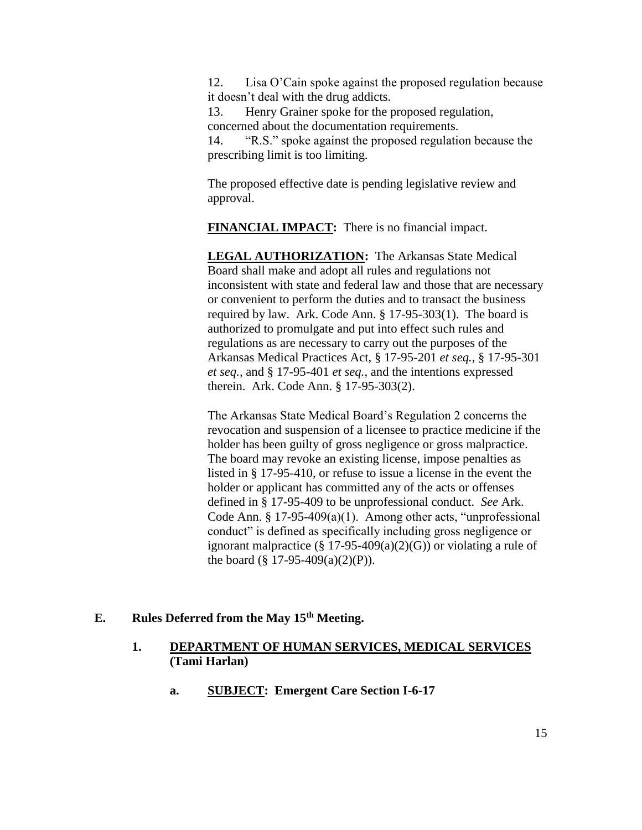12. Lisa O'Cain spoke against the proposed regulation because it doesn't deal with the drug addicts.

13. Henry Grainer spoke for the proposed regulation, concerned about the documentation requirements.

14. "R.S." spoke against the proposed regulation because the prescribing limit is too limiting.

The proposed effective date is pending legislative review and approval.

**FINANCIAL IMPACT:** There is no financial impact.

**LEGAL AUTHORIZATION:** The Arkansas State Medical Board shall make and adopt all rules and regulations not inconsistent with state and federal law and those that are necessary or convenient to perform the duties and to transact the business required by law. Ark. Code Ann. § 17-95-303(1). The board is authorized to promulgate and put into effect such rules and regulations as are necessary to carry out the purposes of the Arkansas Medical Practices Act, § 17-95-201 *et seq.*, § 17-95-301 *et seq.,* and § 17-95-401 *et seq.,* and the intentions expressed therein. Ark. Code Ann. § 17-95-303(2).

The Arkansas State Medical Board's Regulation 2 concerns the revocation and suspension of a licensee to practice medicine if the holder has been guilty of gross negligence or gross malpractice. The board may revoke an existing license, impose penalties as listed in § 17-95-410, or refuse to issue a license in the event the holder or applicant has committed any of the acts or offenses defined in § 17-95-409 to be unprofessional conduct. *See* Ark. Code Ann.  $§ 17-95-409(a)(1)$ . Among other acts, "unprofessional conduct" is defined as specifically including gross negligence or ignorant malpractice  $(\S 17-95-409(a)(2)(G))$  or violating a rule of the board  $(\S 17-95-409(a)(2)(P))$ .

## **E. Rules Deferred from the May 15th Meeting.**

## **1. DEPARTMENT OF HUMAN SERVICES, MEDICAL SERVICES (Tami Harlan)**

**a. SUBJECT: Emergent Care Section I-6-17**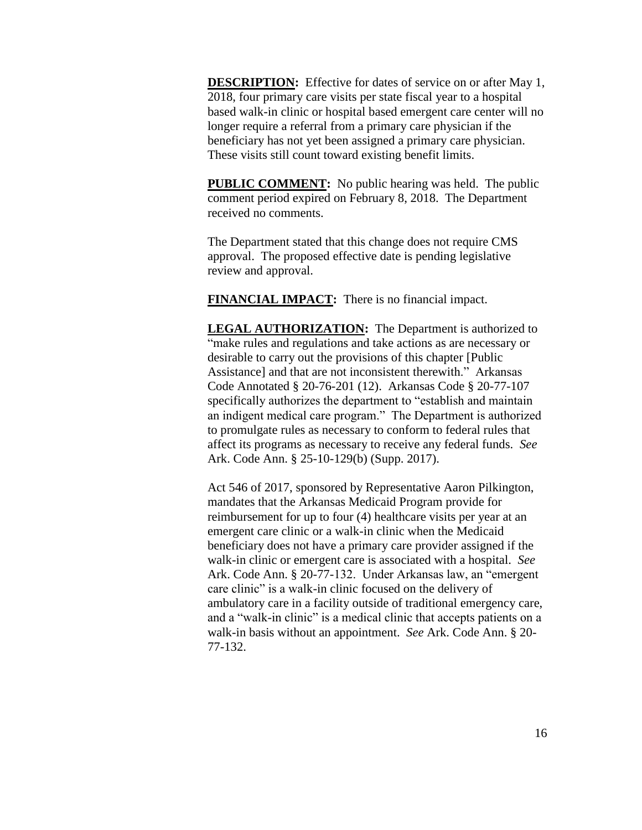**DESCRIPTION:** Effective for dates of service on or after May 1, 2018, four primary care visits per state fiscal year to a hospital based walk-in clinic or hospital based emergent care center will no longer require a referral from a primary care physician if the beneficiary has not yet been assigned a primary care physician. These visits still count toward existing benefit limits.

**PUBLIC COMMENT:** No public hearing was held. The public comment period expired on February 8, 2018. The Department received no comments.

The Department stated that this change does not require CMS approval. The proposed effective date is pending legislative review and approval.

**FINANCIAL IMPACT:** There is no financial impact.

**LEGAL AUTHORIZATION:** The Department is authorized to "make rules and regulations and take actions as are necessary or desirable to carry out the provisions of this chapter [Public Assistance] and that are not inconsistent therewith." Arkansas Code Annotated § 20-76-201 (12). Arkansas Code § 20-77-107 specifically authorizes the department to "establish and maintain an indigent medical care program." The Department is authorized to promulgate rules as necessary to conform to federal rules that affect its programs as necessary to receive any federal funds. *See* Ark. Code Ann. § 25-10-129(b) (Supp. 2017).

Act 546 of 2017, sponsored by Representative Aaron Pilkington, mandates that the Arkansas Medicaid Program provide for reimbursement for up to four (4) healthcare visits per year at an emergent care clinic or a walk-in clinic when the Medicaid beneficiary does not have a primary care provider assigned if the walk-in clinic or emergent care is associated with a hospital. *See* Ark. Code Ann. § 20-77-132. Under Arkansas law, an "emergent care clinic" is a walk-in clinic focused on the delivery of ambulatory care in a facility outside of traditional emergency care, and a "walk-in clinic" is a medical clinic that accepts patients on a walk-in basis without an appointment. *See* Ark. Code Ann. § 20- 77-132.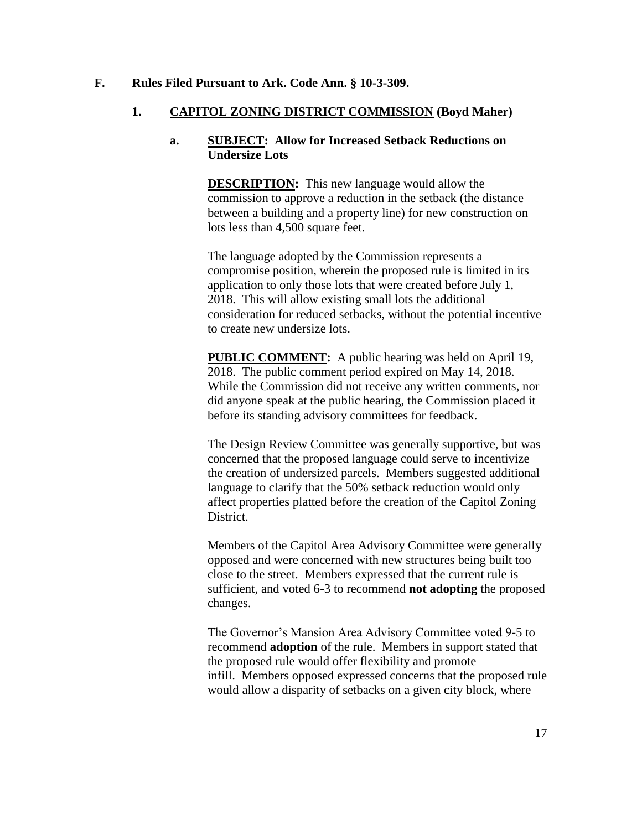### **F. Rules Filed Pursuant to Ark. Code Ann. § 10-3-309.**

## **1. CAPITOL ZONING DISTRICT COMMISSION (Boyd Maher)**

## **a. SUBJECT: Allow for Increased Setback Reductions on Undersize Lots**

**DESCRIPTION:** This new language would allow the commission to approve a reduction in the setback (the distance between a building and a property line) for new construction on lots less than 4,500 square feet.

The language adopted by the Commission represents a compromise position, wherein the proposed rule is limited in its application to only those lots that were created before July 1, 2018. This will allow existing small lots the additional consideration for reduced setbacks, without the potential incentive to create new undersize lots.

**PUBLIC COMMENT:** A public hearing was held on April 19, 2018. The public comment period expired on May 14, 2018. While the Commission did not receive any written comments, nor did anyone speak at the public hearing, the Commission placed it before its standing advisory committees for feedback.

The Design Review Committee was generally supportive, but was concerned that the proposed language could serve to incentivize the creation of undersized parcels. Members suggested additional language to clarify that the 50% setback reduction would only affect properties platted before the creation of the Capitol Zoning District.

Members of the Capitol Area Advisory Committee were generally opposed and were concerned with new structures being built too close to the street. Members expressed that the current rule is sufficient, and voted 6-3 to recommend **not adopting** the proposed changes.

The Governor's Mansion Area Advisory Committee voted 9-5 to recommend **adoption** of the rule. Members in support stated that the proposed rule would offer flexibility and promote infill. Members opposed expressed concerns that the proposed rule would allow a disparity of setbacks on a given city block, where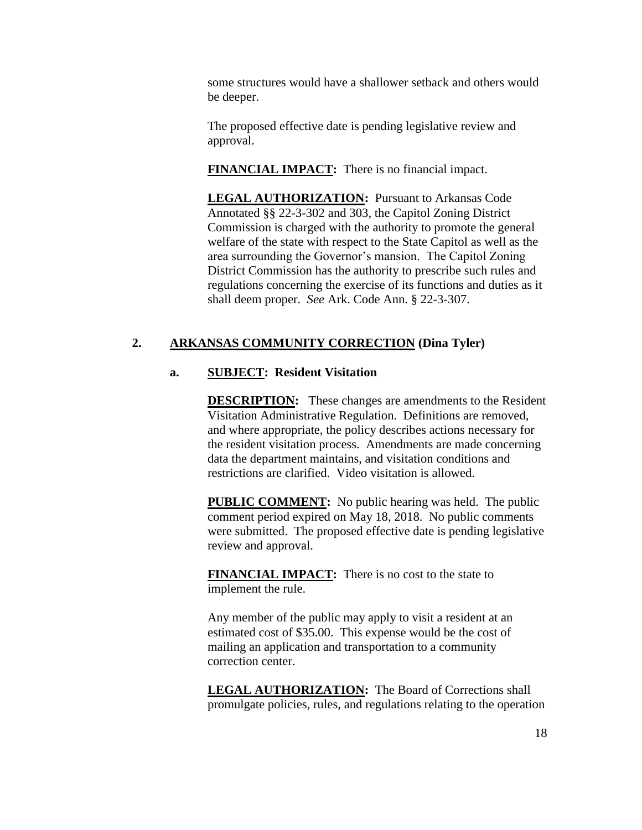some structures would have a shallower setback and others would be deeper.

The proposed effective date is pending legislative review and approval.

**FINANCIAL IMPACT:** There is no financial impact.

**LEGAL AUTHORIZATION:** Pursuant to Arkansas Code Annotated §§ 22-3-302 and 303, the Capitol Zoning District Commission is charged with the authority to promote the general welfare of the state with respect to the State Capitol as well as the area surrounding the Governor's mansion. The Capitol Zoning District Commission has the authority to prescribe such rules and regulations concerning the exercise of its functions and duties as it shall deem proper. *See* Ark. Code Ann. § 22-3-307.

## **2. ARKANSAS COMMUNITY CORRECTION (Dina Tyler)**

## **a. SUBJECT: Resident Visitation**

**DESCRIPTION:** These changes are amendments to the Resident Visitation Administrative Regulation. Definitions are removed, and where appropriate, the policy describes actions necessary for the resident visitation process. Amendments are made concerning data the department maintains, and visitation conditions and restrictions are clarified. Video visitation is allowed.

**PUBLIC COMMENT:** No public hearing was held. The public comment period expired on May 18, 2018. No public comments were submitted. The proposed effective date is pending legislative review and approval.

**FINANCIAL IMPACT:** There is no cost to the state to implement the rule.

Any member of the public may apply to visit a resident at an estimated cost of \$35.00. This expense would be the cost of mailing an application and transportation to a community correction center.

**LEGAL AUTHORIZATION:** The Board of Corrections shall promulgate policies, rules, and regulations relating to the operation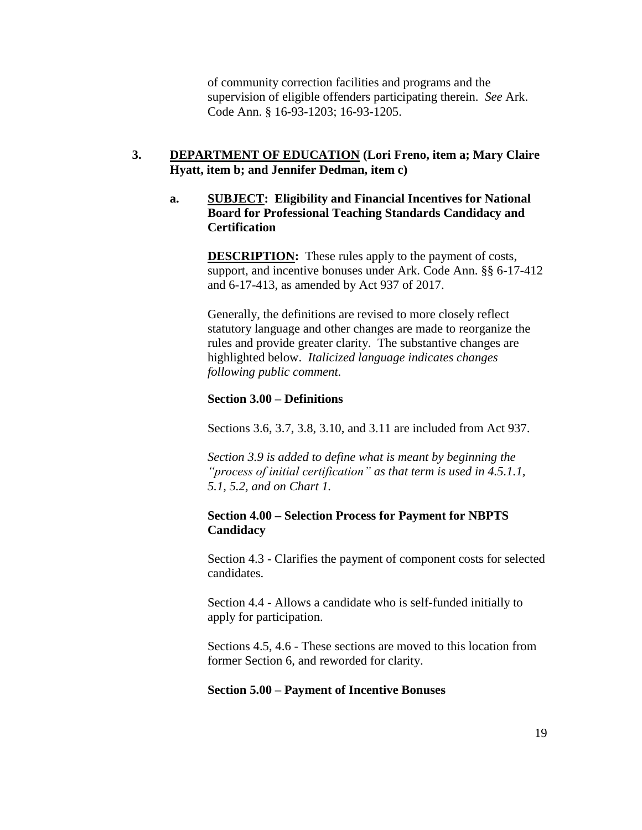of community correction facilities and programs and the supervision of eligible offenders participating therein. *See* Ark. Code Ann. § 16-93-1203; 16-93-1205.

## **3. DEPARTMENT OF EDUCATION (Lori Freno, item a; Mary Claire Hyatt, item b; and Jennifer Dedman, item c)**

## **a. SUBJECT: Eligibility and Financial Incentives for National Board for Professional Teaching Standards Candidacy and Certification**

**DESCRIPTION:** These rules apply to the payment of costs, support, and incentive bonuses under Ark. Code Ann. §§ 6-17-412 and 6-17-413, as amended by Act 937 of 2017.

Generally, the definitions are revised to more closely reflect statutory language and other changes are made to reorganize the rules and provide greater clarity. The substantive changes are highlighted below. *Italicized language indicates changes following public comment.*

## **Section 3.00 – Definitions**

Sections 3.6, 3.7, 3.8, 3.10, and 3.11 are included from Act 937.

*Section 3.9 is added to define what is meant by beginning the "process of initial certification" as that term is used in 4.5.1.1, 5.1, 5.2, and on Chart 1.*

## **Section 4.00 – Selection Process for Payment for NBPTS Candidacy**

Section 4.3 - Clarifies the payment of component costs for selected candidates.

Section 4.4 - Allows a candidate who is self-funded initially to apply for participation.

Sections 4.5, 4.6 - These sections are moved to this location from former Section 6, and reworded for clarity.

## **Section 5.00 – Payment of Incentive Bonuses**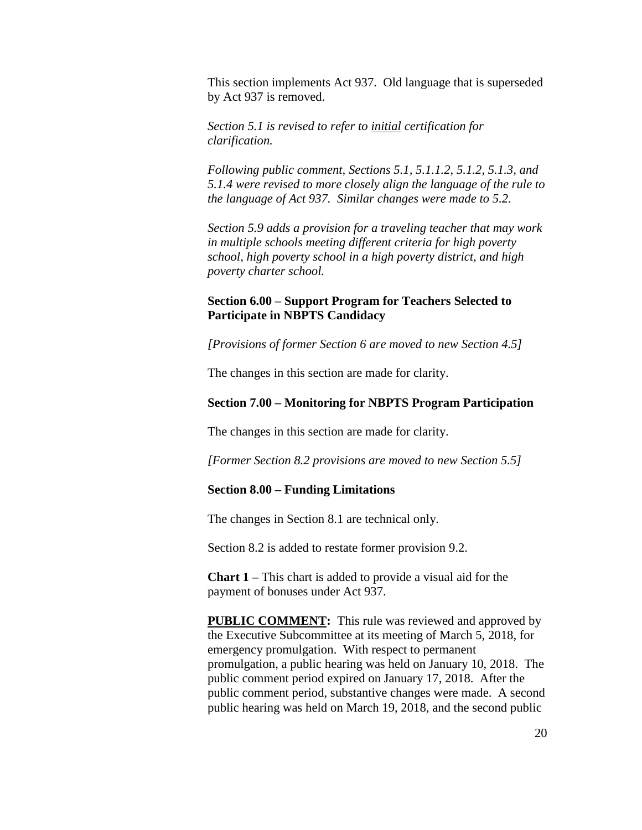This section implements Act 937. Old language that is superseded by Act 937 is removed.

*Section 5.1 is revised to refer to initial certification for clarification.* 

*Following public comment, Sections 5.1, 5.1.1.2, 5.1.2, 5.1.3, and 5.1.4 were revised to more closely align the language of the rule to the language of Act 937. Similar changes were made to 5.2.*

*Section 5.9 adds a provision for a traveling teacher that may work in multiple schools meeting different criteria for high poverty school, high poverty school in a high poverty district, and high poverty charter school.*

## **Section 6.00 – Support Program for Teachers Selected to Participate in NBPTS Candidacy**

*[Provisions of former Section 6 are moved to new Section 4.5]*

The changes in this section are made for clarity.

#### **Section 7.00 – Monitoring for NBPTS Program Participation**

The changes in this section are made for clarity.

*[Former Section 8.2 provisions are moved to new Section 5.5]*

#### **Section 8.00 – Funding Limitations**

The changes in Section 8.1 are technical only.

Section 8.2 is added to restate former provision 9.2.

**Chart 1 –** This chart is added to provide a visual aid for the payment of bonuses under Act 937.

**PUBLIC COMMENT:** This rule was reviewed and approved by the Executive Subcommittee at its meeting of March 5, 2018, for emergency promulgation. With respect to permanent promulgation, a public hearing was held on January 10, 2018. The public comment period expired on January 17, 2018. After the public comment period, substantive changes were made. A second public hearing was held on March 19, 2018, and the second public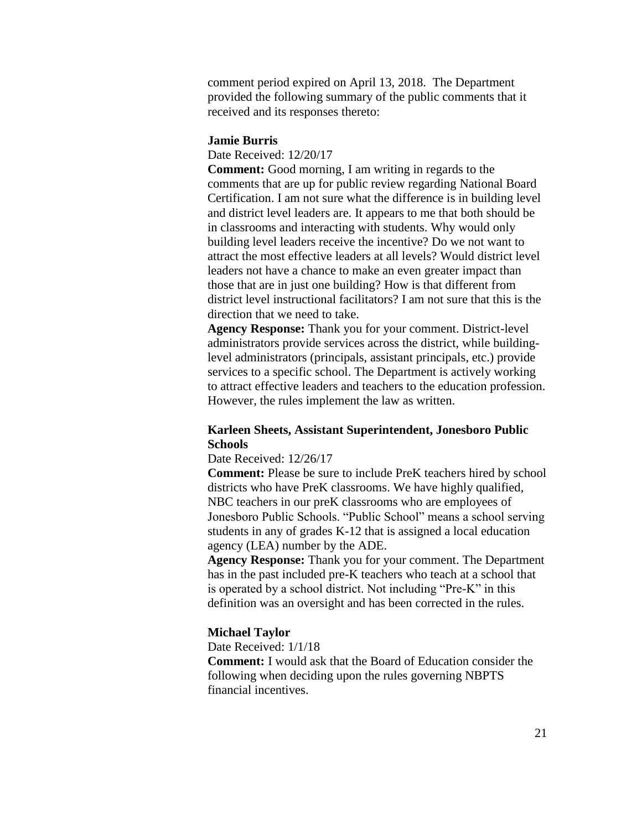comment period expired on April 13, 2018. The Department provided the following summary of the public comments that it received and its responses thereto:

#### **Jamie Burris**

Date Received: 12/20/17

**Comment:** Good morning, I am writing in regards to the comments that are up for public review regarding National Board Certification. I am not sure what the difference is in building level and district level leaders are. It appears to me that both should be in classrooms and interacting with students. Why would only building level leaders receive the incentive? Do we not want to attract the most effective leaders at all levels? Would district level leaders not have a chance to make an even greater impact than those that are in just one building? How is that different from district level instructional facilitators? I am not sure that this is the direction that we need to take.

**Agency Response:** Thank you for your comment. District-level administrators provide services across the district, while buildinglevel administrators (principals, assistant principals, etc.) provide services to a specific school. The Department is actively working to attract effective leaders and teachers to the education profession. However, the rules implement the law as written.

## **Karleen Sheets, Assistant Superintendent, Jonesboro Public Schools**

#### Date Received: 12/26/17

**Comment:** Please be sure to include PreK teachers hired by school districts who have PreK classrooms. We have highly qualified, NBC teachers in our preK classrooms who are employees of Jonesboro Public Schools. "Public School" means a school serving students in any of grades K-12 that is assigned a local education agency (LEA) number by the ADE.

**Agency Response:** Thank you for your comment. The Department has in the past included pre-K teachers who teach at a school that is operated by a school district. Not including "Pre-K" in this definition was an oversight and has been corrected in the rules.

#### **Michael Taylor**

Date Received: 1/1/18 **Comment:** I would ask that the Board of Education consider the following when deciding upon the rules governing NBPTS financial incentives.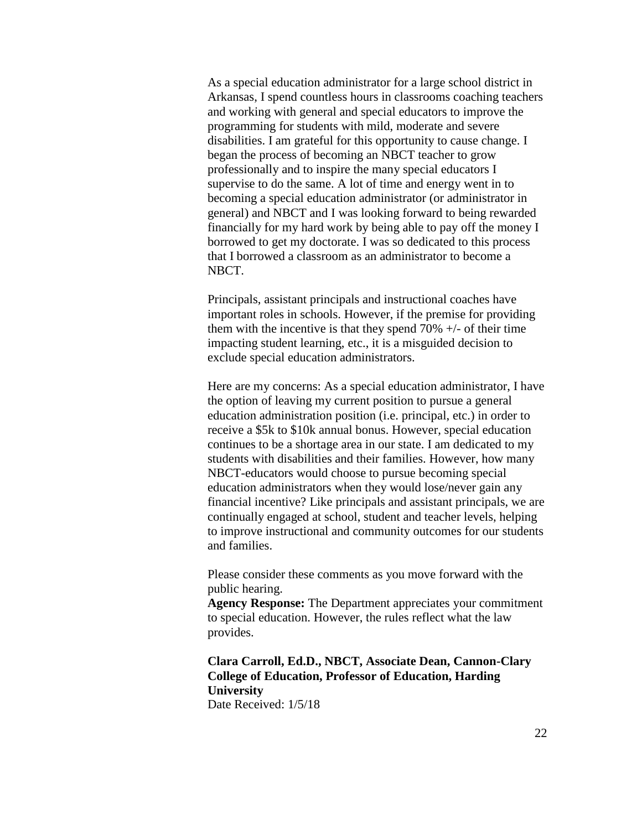As a special education administrator for a large school district in Arkansas, I spend countless hours in classrooms coaching teachers and working with general and special educators to improve the programming for students with mild, moderate and severe disabilities. I am grateful for this opportunity to cause change. I began the process of becoming an NBCT teacher to grow professionally and to inspire the many special educators I supervise to do the same. A lot of time and energy went in to becoming a special education administrator (or administrator in general) and NBCT and I was looking forward to being rewarded financially for my hard work by being able to pay off the money I borrowed to get my doctorate. I was so dedicated to this process that I borrowed a classroom as an administrator to become a NBCT.

Principals, assistant principals and instructional coaches have important roles in schools. However, if the premise for providing them with the incentive is that they spend  $70\% +/-$  of their time impacting student learning, etc., it is a misguided decision to exclude special education administrators.

Here are my concerns: As a special education administrator, I have the option of leaving my current position to pursue a general education administration position (i.e. principal, etc.) in order to receive a \$5k to \$10k annual bonus. However, special education continues to be a shortage area in our state. I am dedicated to my students with disabilities and their families. However, how many NBCT-educators would choose to pursue becoming special education administrators when they would lose/never gain any financial incentive? Like principals and assistant principals, we are continually engaged at school, student and teacher levels, helping to improve instructional and community outcomes for our students and families.

Please consider these comments as you move forward with the public hearing.

**Agency Response:** The Department appreciates your commitment to special education. However, the rules reflect what the law provides.

**Clara Carroll, Ed.D., NBCT, Associate Dean, Cannon-Clary College of Education, Professor of Education, Harding University** Date Received: 1/5/18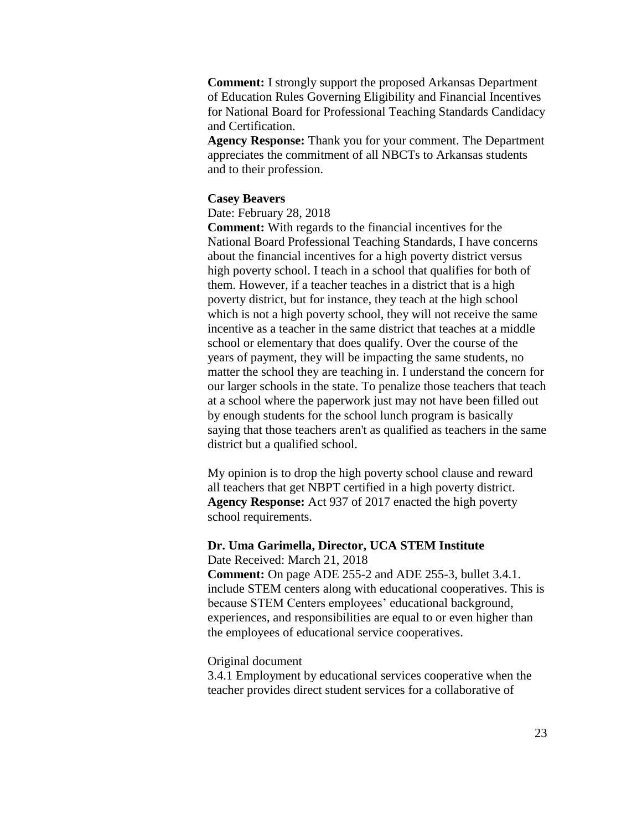**Comment:** I strongly support the proposed Arkansas Department of Education Rules Governing Eligibility and Financial Incentives for National Board for Professional Teaching Standards Candidacy and Certification.

**Agency Response:** Thank you for your comment. The Department appreciates the commitment of all NBCTs to Arkansas students and to their profession.

#### **Casey Beavers**

Date: February 28, 2018

**Comment:** With regards to the financial incentives for the National Board Professional Teaching Standards, I have concerns about the financial incentives for a high poverty district versus high poverty school. I teach in a school that qualifies for both of them. However, if a teacher teaches in a district that is a high poverty district, but for instance, they teach at the high school which is not a high poverty school, they will not receive the same incentive as a teacher in the same district that teaches at a middle school or elementary that does qualify. Over the course of the years of payment, they will be impacting the same students, no matter the school they are teaching in. I understand the concern for our larger schools in the state. To penalize those teachers that teach at a school where the paperwork just may not have been filled out by enough students for the school lunch program is basically saying that those teachers aren't as qualified as teachers in the same district but a qualified school.

My opinion is to drop the high poverty school clause and reward all teachers that get NBPT certified in a high poverty district. **Agency Response:** Act 937 of 2017 enacted the high poverty school requirements.

#### **Dr. Uma Garimella, Director, UCA STEM Institute** Date Received: March 21, 2018

**Comment:** On page ADE 255-2 and ADE 255-3, bullet 3.4.1. include STEM centers along with educational cooperatives. This is because STEM Centers employees' educational background, experiences, and responsibilities are equal to or even higher than the employees of educational service cooperatives.

#### Original document

3.4.1 Employment by educational services cooperative when the teacher provides direct student services for a collaborative of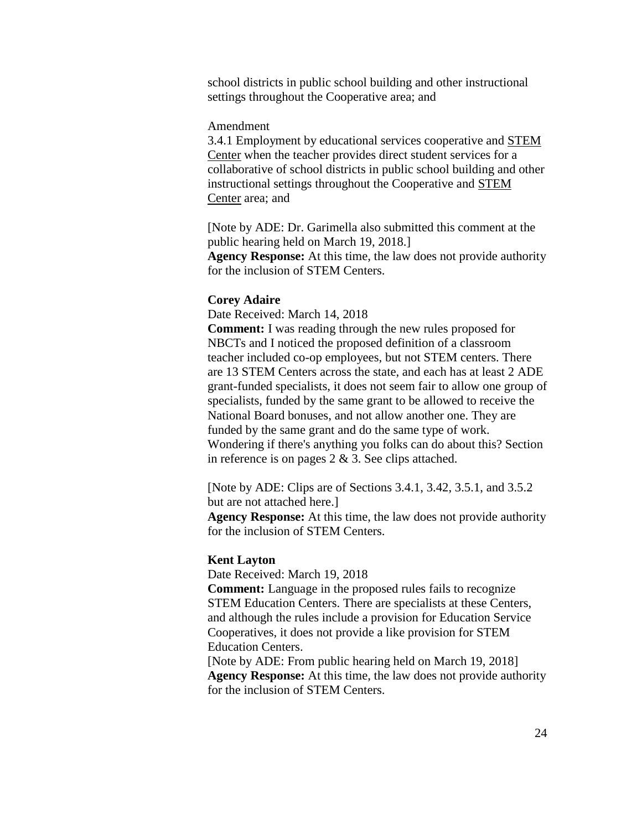school districts in public school building and other instructional settings throughout the Cooperative area; and

#### Amendment

3.4.1 Employment by educational services cooperative and STEM Center when the teacher provides direct student services for a collaborative of school districts in public school building and other instructional settings throughout the Cooperative and STEM Center area; and

[Note by ADE: Dr. Garimella also submitted this comment at the public hearing held on March 19, 2018.] **Agency Response:** At this time, the law does not provide authority for the inclusion of STEM Centers.

#### **Corey Adaire**

Date Received: March 14, 2018

**Comment:** I was reading through the new rules proposed for NBCTs and I noticed the proposed definition of a classroom teacher included co-op employees, but not STEM centers. There are 13 STEM Centers across the state, and each has at least 2 ADE grant-funded specialists, it does not seem fair to allow one group of specialists, funded by the same grant to be allowed to receive the National Board bonuses, and not allow another one. They are funded by the same grant and do the same type of work. Wondering if there's anything you folks can do about this? Section in reference is on pages  $2 \& 3$ . See clips attached.

[Note by ADE: Clips are of Sections 3.4.1, 3.42, 3.5.1, and 3.5.2 but are not attached here.]

**Agency Response:** At this time, the law does not provide authority for the inclusion of STEM Centers.

#### **Kent Layton**

Date Received: March 19, 2018

**Comment:** Language in the proposed rules fails to recognize STEM Education Centers. There are specialists at these Centers, and although the rules include a provision for Education Service Cooperatives, it does not provide a like provision for STEM Education Centers.

[Note by ADE: From public hearing held on March 19, 2018] **Agency Response:** At this time, the law does not provide authority for the inclusion of STEM Centers.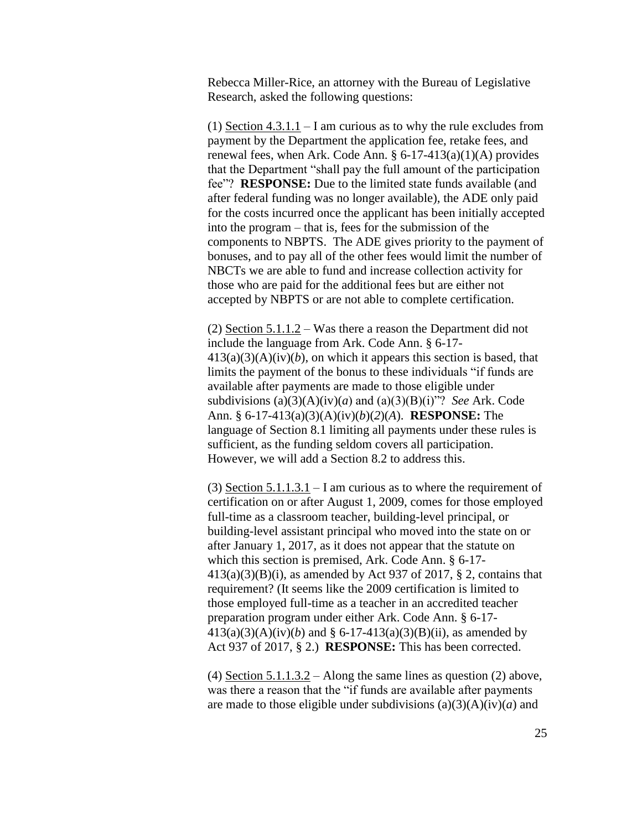Rebecca Miller-Rice, an attorney with the Bureau of Legislative Research, asked the following questions:

(1) Section 4.3.1.1 – I am curious as to why the rule excludes from payment by the Department the application fee, retake fees, and renewal fees, when Ark. Code Ann.  $\S 6-17-413(a)(1)(A)$  provides that the Department "shall pay the full amount of the participation fee"? **RESPONSE:** Due to the limited state funds available (and after federal funding was no longer available), the ADE only paid for the costs incurred once the applicant has been initially accepted into the program – that is, fees for the submission of the components to NBPTS. The ADE gives priority to the payment of bonuses, and to pay all of the other fees would limit the number of NBCTs we are able to fund and increase collection activity for those who are paid for the additional fees but are either not accepted by NBPTS or are not able to complete certification.

(2) Section 5.1.1.2 – Was there a reason the Department did not include the language from Ark. Code Ann. § 6-17-  $413(a)(3)(A)(iv)(b)$ , on which it appears this section is based, that limits the payment of the bonus to these individuals "if funds are available after payments are made to those eligible under subdivisions  $(a)(3)(A)(iv)(a)$  and  $(a)(3)(B)(i)$ "? *See* Ark. Code Ann. § 6-17-413(a)(3)(A)(iv)(*b*)(*2*)(*A*). **RESPONSE:** The language of Section 8.1 limiting all payments under these rules is sufficient, as the funding seldom covers all participation. However, we will add a Section 8.2 to address this.

(3) Section  $5.1.1.3.1 - I$  am curious as to where the requirement of certification on or after August 1, 2009, comes for those employed full-time as a classroom teacher, building-level principal, or building-level assistant principal who moved into the state on or after January 1, 2017, as it does not appear that the statute on which this section is premised, Ark. Code Ann. § 6-17-  $413(a)(3)(B)(i)$ , as amended by Act 937 of 2017, § 2, contains that requirement? (It seems like the 2009 certification is limited to those employed full-time as a teacher in an accredited teacher preparation program under either Ark. Code Ann. § 6-17-  $413(a)(3)(A)(iv)(b)$  and § 6-17-413(a)(3)(B)(ii), as amended by Act 937 of 2017, § 2.) **RESPONSE:** This has been corrected.

(4) Section  $5.1.1.3.2 -$  Along the same lines as question (2) above, was there a reason that the "if funds are available after payments are made to those eligible under subdivisions  $(a)(3)(A)(iv)(a)$  and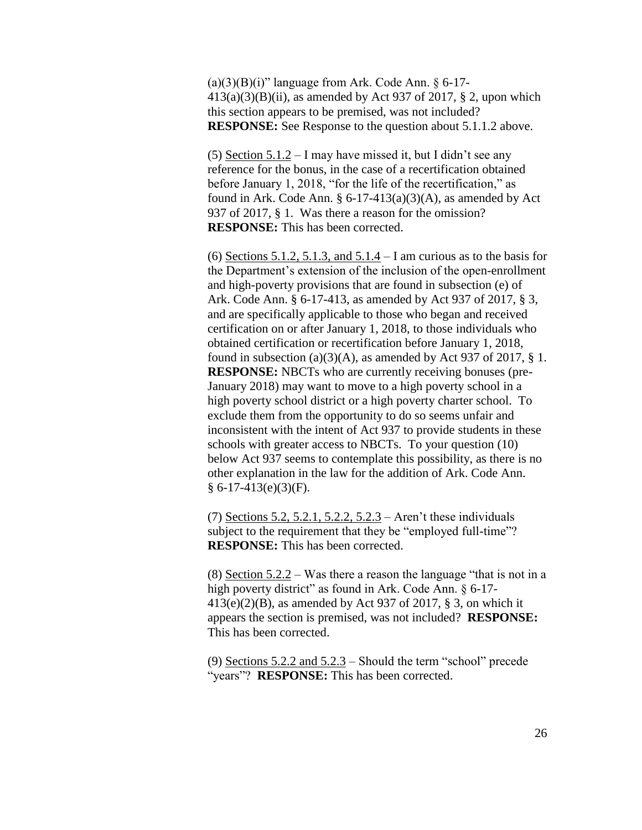$(a)(3)(B)(i)$ " language from Ark. Code Ann. § 6-17- $413(a)(3)(B)(ii)$ , as amended by Act 937 of 2017, § 2, upon which this section appears to be premised, was not included? **RESPONSE:** See Response to the question about 5.1.1.2 above.

(5) Section  $5.1.2 - I$  may have missed it, but I didn't see any reference for the bonus, in the case of a recertification obtained before January 1, 2018, "for the life of the recertification," as found in Ark. Code Ann.  $\S 6-17-413(a)(3)(A)$ , as amended by Act 937 of 2017, § 1. Was there a reason for the omission? **RESPONSE:** This has been corrected.

(6) Sections 5.1.2, 5.1.3, and  $5.1.4 - I$  am curious as to the basis for the Department's extension of the inclusion of the open-enrollment and high-poverty provisions that are found in subsection (e) of Ark. Code Ann. § 6-17-413, as amended by Act 937 of 2017, § 3, and are specifically applicable to those who began and received certification on or after January 1, 2018, to those individuals who obtained certification or recertification before January 1, 2018, found in subsection (a)(3)(A), as amended by Act 937 of 2017,  $\S$  1. **RESPONSE:** NBCTs who are currently receiving bonuses (pre-January 2018) may want to move to a high poverty school in a high poverty school district or a high poverty charter school. To exclude them from the opportunity to do so seems unfair and inconsistent with the intent of Act 937 to provide students in these schools with greater access to NBCTs. To your question (10) below Act 937 seems to contemplate this possibility, as there is no other explanation in the law for the addition of Ark. Code Ann.  $§ 6-17-413(e)(3)(F).$ 

(7) Sections 5.2, 5.2.1, 5.2.2, 5.2.3 – Aren't these individuals subject to the requirement that they be "employed full-time"? **RESPONSE:** This has been corrected.

(8) Section 5.2.2 – Was there a reason the language "that is not in a high poverty district" as found in Ark. Code Ann. § 6-17- $413(e)(2)(B)$ , as amended by Act 937 of 2017, § 3, on which it appears the section is premised, was not included? **RESPONSE:** This has been corrected.

(9) Sections  $5.2.2$  and  $5.2.3$  – Should the term "school" precede "years"? **RESPONSE:** This has been corrected.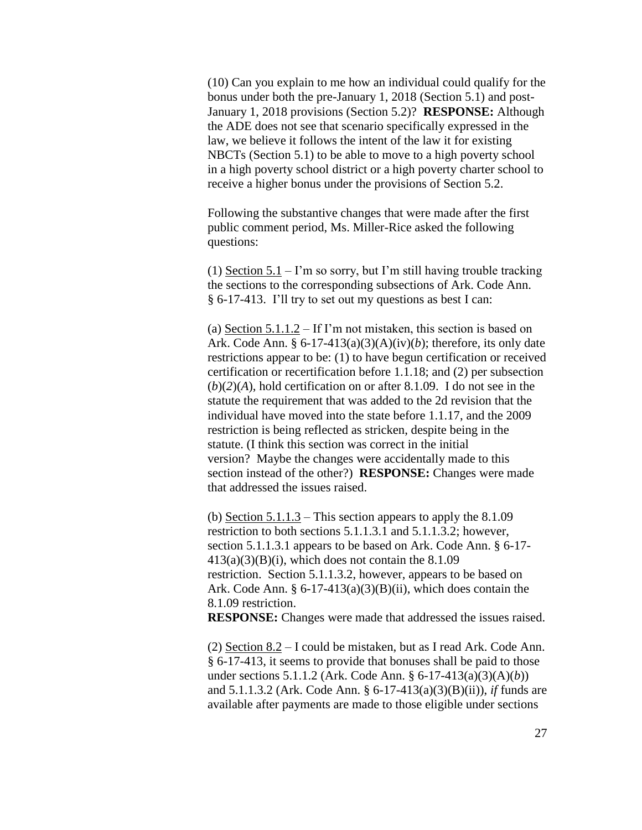(10) Can you explain to me how an individual could qualify for the bonus under both the pre-January 1, 2018 (Section 5.1) and post-January 1, 2018 provisions (Section 5.2)? **RESPONSE:** Although the ADE does not see that scenario specifically expressed in the law, we believe it follows the intent of the law it for existing NBCTs (Section 5.1) to be able to move to a high poverty school in a high poverty school district or a high poverty charter school to receive a higher bonus under the provisions of Section 5.2.

Following the substantive changes that were made after the first public comment period, Ms. Miller-Rice asked the following questions:

(1) Section  $5.1 - I$ 'm so sorry, but I'm still having trouble tracking the sections to the corresponding subsections of Ark. Code Ann. § 6-17-413. I'll try to set out my questions as best I can:

(a) Section 5.1.1.2 – If I'm not mistaken, this section is based on Ark. Code Ann. §  $6-17-413(a)(3)(A)(iv)(b)$ ; therefore, its only date restrictions appear to be: (1) to have begun certification or received certification or recertification before 1.1.18; and (2) per subsection  $(b)(2)(A)$ , hold certification on or after 8.1.09. I do not see in the statute the requirement that was added to the 2d revision that the individual have moved into the state before 1.1.17, and the 2009 restriction is being reflected as stricken, despite being in the statute. (I think this section was correct in the initial version? Maybe the changes were accidentally made to this section instead of the other?) **RESPONSE:** Changes were made that addressed the issues raised.

(b) Section  $5.1.1.3$  – This section appears to apply the  $8.1.09$ restriction to both sections 5.1.1.3.1 and 5.1.1.3.2; however, section 5.1.1.3.1 appears to be based on Ark. Code Ann. § 6-17-  $413(a)(3)(B)(i)$ , which does not contain the 8.1.09 restriction. Section 5.1.1.3.2, however, appears to be based on Ark. Code Ann.  $\S 6-17-413(a)(3)(B)(ii)$ , which does contain the 8.1.09 restriction.

**RESPONSE:** Changes were made that addressed the issues raised.

(2) Section 8.2 – I could be mistaken, but as I read Ark. Code Ann. § 6-17-413, it seems to provide that bonuses shall be paid to those under sections 5.1.1.2 (Ark. Code Ann. § 6-17-413(a)(3)(A)(*b*)) and 5.1.1.3.2 (Ark. Code Ann. § 6-17-413(a)(3)(B)(ii)), *if* funds are available after payments are made to those eligible under sections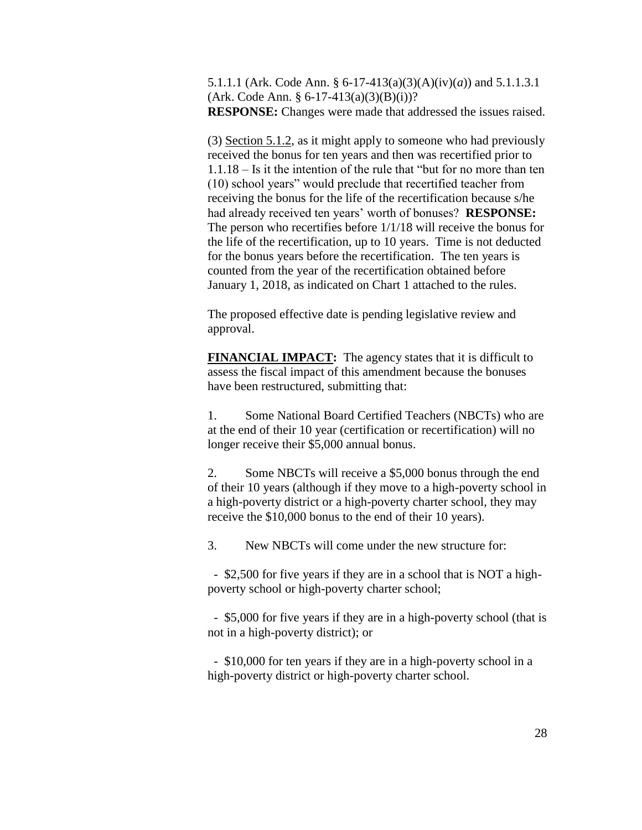5.1.1.1 (Ark. Code Ann. § 6-17-413(a)(3)(A)(iv)(*a*)) and 5.1.1.3.1  $(Ark. Code Ann. § 6-17-413(a)(3)(B)(i))?$ **RESPONSE:** Changes were made that addressed the issues raised.

(3) Section 5.1.2, as it might apply to someone who had previously received the bonus for ten years and then was recertified prior to 1.1.18 – Is it the intention of the rule that "but for no more than ten (10) school years" would preclude that recertified teacher from receiving the bonus for the life of the recertification because s/he had already received ten years' worth of bonuses? **RESPONSE:** The person who recertifies before 1/1/18 will receive the bonus for the life of the recertification, up to 10 years. Time is not deducted for the bonus years before the recertification. The ten years is counted from the year of the recertification obtained before January 1, 2018, as indicated on Chart 1 attached to the rules.

The proposed effective date is pending legislative review and approval.

**FINANCIAL IMPACT:** The agency states that it is difficult to assess the fiscal impact of this amendment because the bonuses have been restructured, submitting that:

1. Some National Board Certified Teachers (NBCTs) who are at the end of their 10 year (certification or recertification) will no longer receive their \$5,000 annual bonus.

2. Some NBCTs will receive a \$5,000 bonus through the end of their 10 years (although if they move to a high-poverty school in a high-poverty district or a high-poverty charter school, they may receive the \$10,000 bonus to the end of their 10 years).

3. New NBCTs will come under the new structure for:

 - \$2,500 for five years if they are in a school that is NOT a highpoverty school or high-poverty charter school;

 - \$5,000 for five years if they are in a high-poverty school (that is not in a high-poverty district); or

 - \$10,000 for ten years if they are in a high-poverty school in a high-poverty district or high-poverty charter school.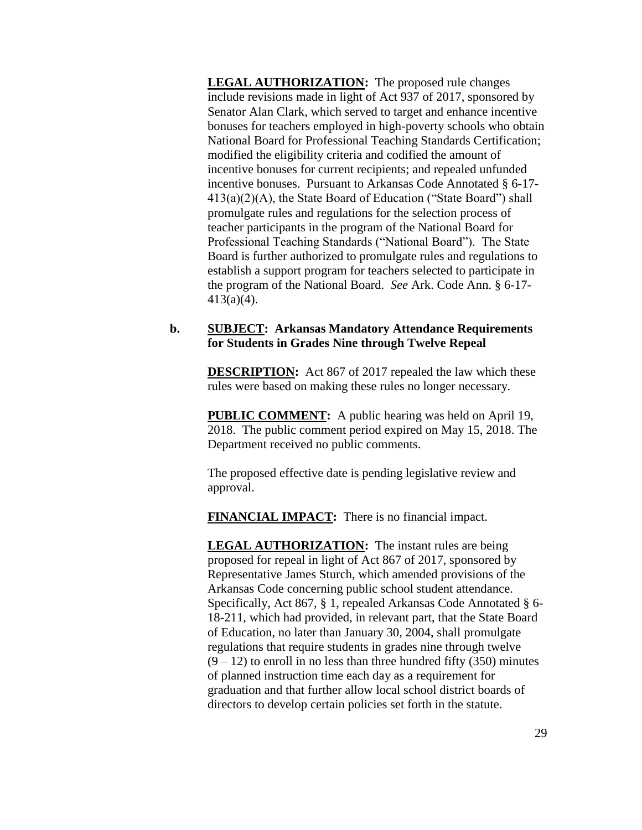**LEGAL AUTHORIZATION:** The proposed rule changes include revisions made in light of Act 937 of 2017, sponsored by Senator Alan Clark, which served to target and enhance incentive bonuses for teachers employed in high-poverty schools who obtain National Board for Professional Teaching Standards Certification; modified the eligibility criteria and codified the amount of incentive bonuses for current recipients; and repealed unfunded incentive bonuses. Pursuant to Arkansas Code Annotated § 6-17- 413(a)(2)(A), the State Board of Education ("State Board") shall promulgate rules and regulations for the selection process of teacher participants in the program of the National Board for Professional Teaching Standards ("National Board"). The State Board is further authorized to promulgate rules and regulations to establish a support program for teachers selected to participate in the program of the National Board. *See* Ark. Code Ann. § 6-17- 413(a)(4).

### **b. SUBJECT: Arkansas Mandatory Attendance Requirements for Students in Grades Nine through Twelve Repeal**

**DESCRIPTION:** Act 867 of 2017 repealed the law which these rules were based on making these rules no longer necessary.

**PUBLIC COMMENT:** A public hearing was held on April 19, 2018. The public comment period expired on May 15, 2018. The Department received no public comments.

The proposed effective date is pending legislative review and approval.

**FINANCIAL IMPACT:** There is no financial impact.

**LEGAL AUTHORIZATION:** The instant rules are being proposed for repeal in light of Act 867 of 2017, sponsored by Representative James Sturch, which amended provisions of the Arkansas Code concerning public school student attendance. Specifically, Act 867, § 1, repealed Arkansas Code Annotated § 6- 18-211, which had provided, in relevant part, that the State Board of Education, no later than January 30, 2004, shall promulgate regulations that require students in grades nine through twelve  $(9 - 12)$  to enroll in no less than three hundred fifty (350) minutes of planned instruction time each day as a requirement for graduation and that further allow local school district boards of directors to develop certain policies set forth in the statute.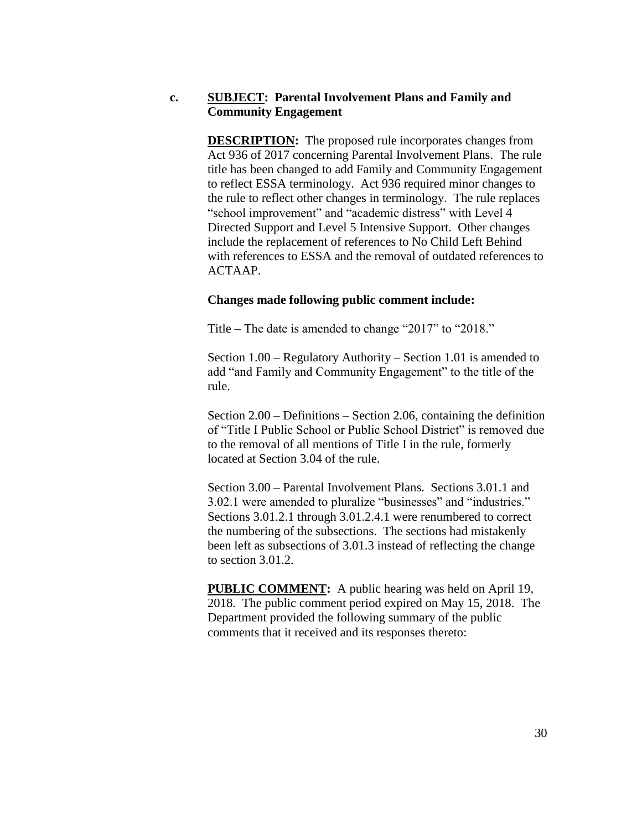## **c. SUBJECT: Parental Involvement Plans and Family and Community Engagement**

**DESCRIPTION:** The proposed rule incorporates changes from Act 936 of 2017 concerning Parental Involvement Plans. The rule title has been changed to add Family and Community Engagement to reflect ESSA terminology. Act 936 required minor changes to the rule to reflect other changes in terminology. The rule replaces "school improvement" and "academic distress" with Level 4 Directed Support and Level 5 Intensive Support. Other changes include the replacement of references to No Child Left Behind with references to ESSA and the removal of outdated references to ACTAAP.

### **Changes made following public comment include:**

Title – The date is amended to change "2017" to "2018."

Section 1.00 – Regulatory Authority – Section 1.01 is amended to add "and Family and Community Engagement" to the title of the rule.

Section 2.00 – Definitions – Section 2.06, containing the definition of "Title I Public School or Public School District" is removed due to the removal of all mentions of Title I in the rule, formerly located at Section 3.04 of the rule.

Section 3.00 – Parental Involvement Plans. Sections 3.01.1 and 3.02.1 were amended to pluralize "businesses" and "industries." Sections 3.01.2.1 through 3.01.2.4.1 were renumbered to correct the numbering of the subsections. The sections had mistakenly been left as subsections of 3.01.3 instead of reflecting the change to section 3.01.2.

**PUBLIC COMMENT:** A public hearing was held on April 19, 2018. The public comment period expired on May 15, 2018. The Department provided the following summary of the public comments that it received and its responses thereto: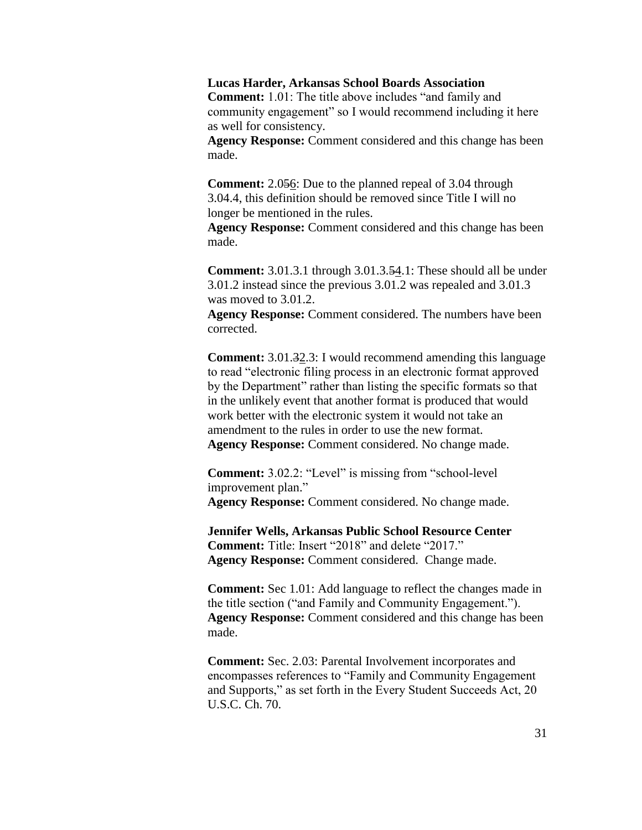#### **Lucas Harder, Arkansas School Boards Association**

**Comment:** 1.01: The title above includes "and family and community engagement" so I would recommend including it here as well for consistency.

**Agency Response:** Comment considered and this change has been made.

**Comment:** 2.056: Due to the planned repeal of 3.04 through 3.04.4, this definition should be removed since Title I will no longer be mentioned in the rules.

**Agency Response:** Comment considered and this change has been made.

**Comment:** 3.01.3.1 through 3.01.3.54.1: These should all be under 3.01.2 instead since the previous 3.01.2 was repealed and 3.01.3 was moved to 3.01.2.

**Agency Response:** Comment considered. The numbers have been corrected.

**Comment:** 3.01.<del>32.3</del>: I would recommend amending this language to read "electronic filing process in an electronic format approved by the Department" rather than listing the specific formats so that in the unlikely event that another format is produced that would work better with the electronic system it would not take an amendment to the rules in order to use the new format. **Agency Response:** Comment considered. No change made.

**Comment:** 3.02.2: "Level" is missing from "school-level" improvement plan." **Agency Response:** Comment considered. No change made.

**Jennifer Wells, Arkansas Public School Resource Center Comment:** Title: Insert "2018" and delete "2017." **Agency Response:** Comment considered. Change made.

**Comment:** Sec 1.01: Add language to reflect the changes made in the title section ("and Family and Community Engagement."). **Agency Response:** Comment considered and this change has been made.

**Comment:** Sec. 2.03: Parental Involvement incorporates and encompasses references to "Family and Community Engagement and Supports," as set forth in the Every Student Succeeds Act, 20 U.S.C. Ch. 70.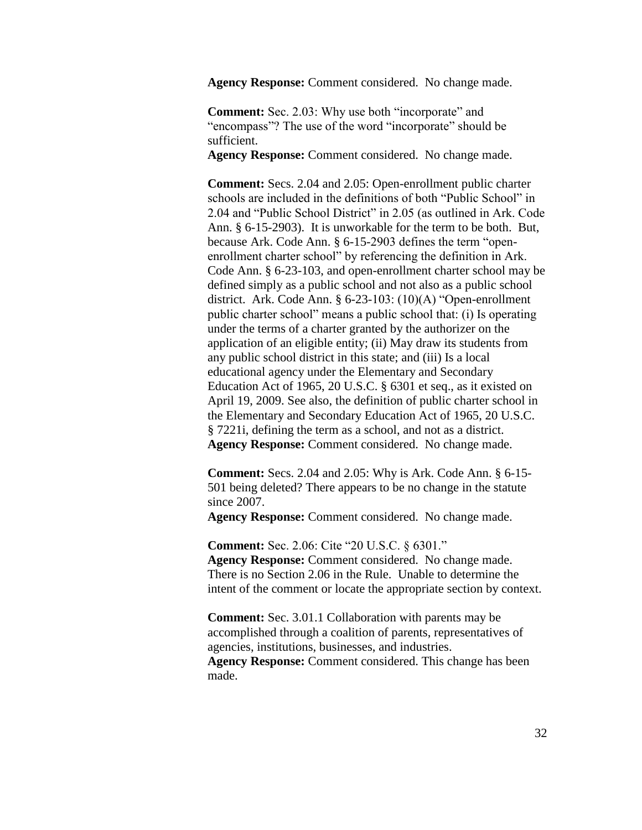**Agency Response:** Comment considered. No change made.

**Comment:** Sec. 2.03: Why use both "incorporate" and "encompass"? The use of the word "incorporate" should be sufficient.

**Agency Response:** Comment considered. No change made.

**Comment:** Secs. 2.04 and 2.05: Open-enrollment public charter schools are included in the definitions of both "Public School" in 2.04 and "Public School District" in 2.05 (as outlined in Ark. Code Ann. § 6-15-2903). It is unworkable for the term to be both. But, because Ark. Code Ann. § 6-15-2903 defines the term "openenrollment charter school" by referencing the definition in Ark. Code Ann. § 6-23-103, and open-enrollment charter school may be defined simply as a public school and not also as a public school district. Ark. Code Ann. § 6-23-103: (10)(A) "Open-enrollment public charter school" means a public school that: (i) Is operating under the terms of a charter granted by the authorizer on the application of an eligible entity; (ii) May draw its students from any public school district in this state; and (iii) Is a local educational agency under the Elementary and Secondary Education Act of 1965, 20 U.S.C. § 6301 et seq., as it existed on April 19, 2009. See also, the definition of public charter school in the Elementary and Secondary Education Act of 1965, 20 U.S.C. § 7221i, defining the term as a school, and not as a district. **Agency Response:** Comment considered. No change made.

**Comment:** Secs. 2.04 and 2.05: Why is Ark. Code Ann. § 6-15- 501 being deleted? There appears to be no change in the statute since 2007.

**Agency Response:** Comment considered. No change made.

**Comment:** Sec. 2.06: Cite "20 U.S.C. § 6301." **Agency Response:** Comment considered. No change made. There is no Section 2.06 in the Rule. Unable to determine the intent of the comment or locate the appropriate section by context.

**Comment:** Sec. 3.01.1 Collaboration with parents may be accomplished through a coalition of parents, representatives of agencies, institutions, businesses, and industries.

**Agency Response:** Comment considered. This change has been made.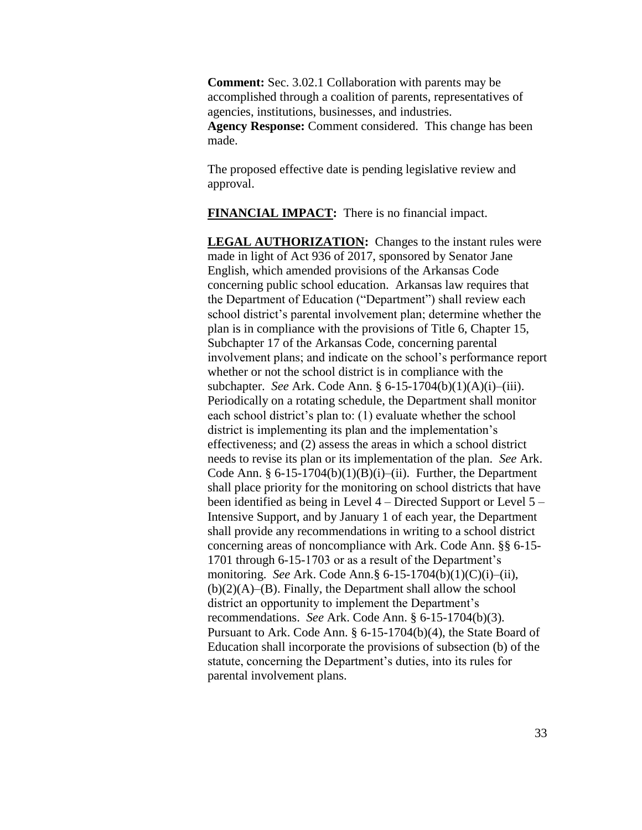**Comment:** Sec. 3.02.1 Collaboration with parents may be accomplished through a coalition of parents, representatives of agencies, institutions, businesses, and industries. **Agency Response:** Comment considered. This change has been made.

The proposed effective date is pending legislative review and approval.

**FINANCIAL IMPACT:** There is no financial impact.

**LEGAL AUTHORIZATION:** Changes to the instant rules were made in light of Act 936 of 2017, sponsored by Senator Jane English, which amended provisions of the Arkansas Code concerning public school education. Arkansas law requires that the Department of Education ("Department") shall review each school district's parental involvement plan; determine whether the plan is in compliance with the provisions of Title 6, Chapter 15, Subchapter 17 of the Arkansas Code, concerning parental involvement plans; and indicate on the school's performance report whether or not the school district is in compliance with the subchapter. *See* Ark. Code Ann. § 6-15-1704(b)(1)(A)(i)–(iii). Periodically on a rotating schedule, the Department shall monitor each school district's plan to: (1) evaluate whether the school district is implementing its plan and the implementation's effectiveness; and (2) assess the areas in which a school district needs to revise its plan or its implementation of the plan. *See* Ark. Code Ann.  $§ 6-15-1704(b)(1)(B)(i)–(ii)$ . Further, the Department shall place priority for the monitoring on school districts that have been identified as being in Level 4 – Directed Support or Level 5 – Intensive Support, and by January 1 of each year, the Department shall provide any recommendations in writing to a school district concerning areas of noncompliance with Ark. Code Ann. §§ 6-15- 1701 through 6-15-1703 or as a result of the Department's monitoring. *See* Ark. Code Ann.§ 6-15-1704(b)(1)(C)(i)–(ii),  $(b)(2)(A)$ – $(B)$ . Finally, the Department shall allow the school district an opportunity to implement the Department's recommendations. *See* Ark. Code Ann. § 6-15-1704(b)(3). Pursuant to Ark. Code Ann. § 6-15-1704(b)(4), the State Board of Education shall incorporate the provisions of subsection (b) of the statute, concerning the Department's duties, into its rules for parental involvement plans.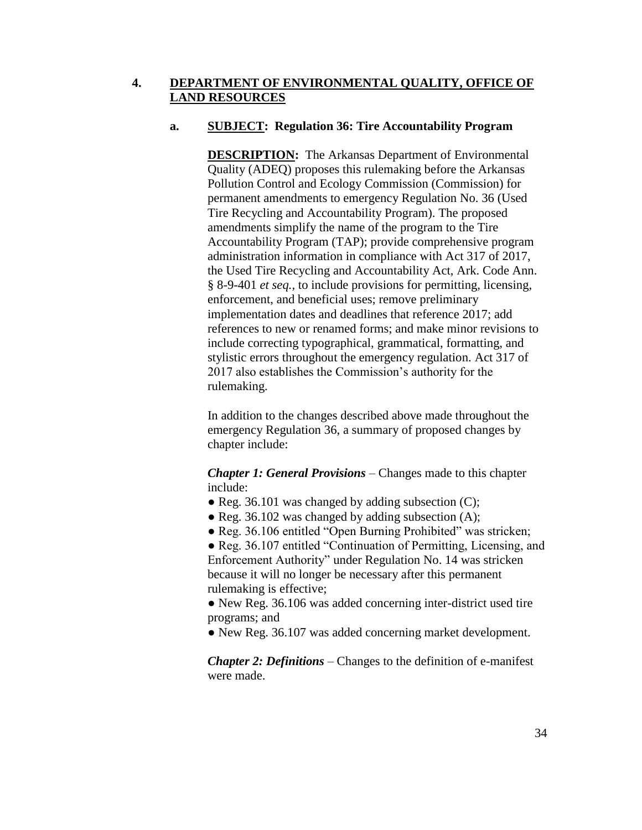## **4. DEPARTMENT OF ENVIRONMENTAL QUALITY, OFFICE OF LAND RESOURCES**

## **a. SUBJECT: Regulation 36: Tire Accountability Program**

**DESCRIPTION:** The Arkansas Department of Environmental Quality (ADEQ) proposes this rulemaking before the Arkansas Pollution Control and Ecology Commission (Commission) for permanent amendments to emergency Regulation No. 36 (Used Tire Recycling and Accountability Program). The proposed amendments simplify the name of the program to the Tire Accountability Program (TAP); provide comprehensive program administration information in compliance with Act 317 of 2017, the Used Tire Recycling and Accountability Act, Ark. Code Ann. § 8-9-401 *et seq.,* to include provisions for permitting, licensing, enforcement, and beneficial uses; remove preliminary implementation dates and deadlines that reference 2017; add references to new or renamed forms; and make minor revisions to include correcting typographical, grammatical, formatting, and stylistic errors throughout the emergency regulation. Act 317 of 2017 also establishes the Commission's authority for the rulemaking.

In addition to the changes described above made throughout the emergency Regulation 36, a summary of proposed changes by chapter include:

*Chapter 1: General Provisions –* Changes made to this chapter include:

- Reg. 36.101 was changed by adding subsection  $(C)$ ;
- $\bullet$  Reg. 36.102 was changed by adding subsection (A);
- Reg. 36.106 entitled "Open Burning Prohibited" was stricken;

● Reg. 36.107 entitled "Continuation of Permitting, Licensing, and Enforcement Authority" under Regulation No. 14 was stricken because it will no longer be necessary after this permanent rulemaking is effective;

● New Reg. 36.106 was added concerning inter-district used tire programs; and

● New Reg. 36.107 was added concerning market development.

*Chapter 2: Definitions –* Changes to the definition of e-manifest were made.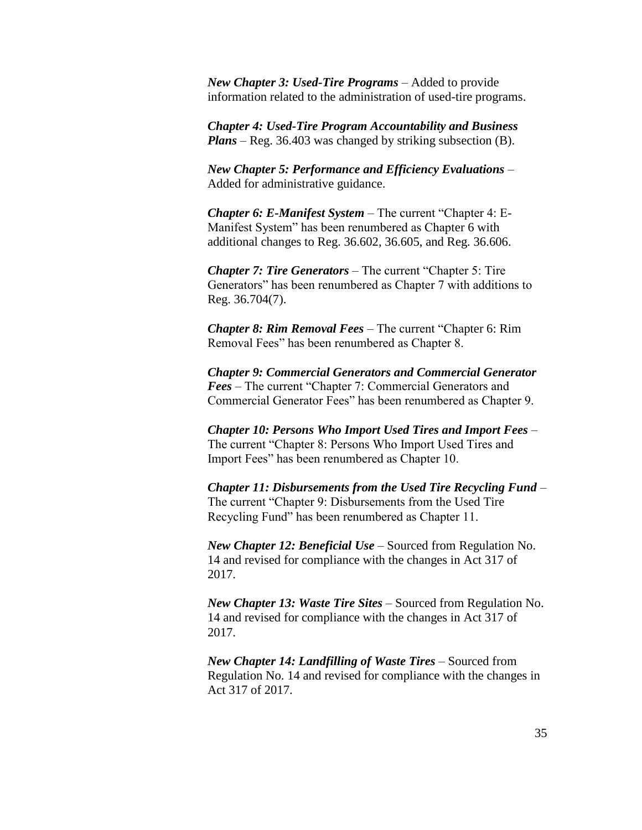*New Chapter 3: Used-Tire Programs –* Added to provide information related to the administration of used-tire programs.

*Chapter 4: Used-Tire Program Accountability and Business Plans –* Reg. 36.403 was changed by striking subsection (B).

*New Chapter 5: Performance and Efficiency Evaluations –* Added for administrative guidance.

*Chapter 6: E-Manifest System –* The current "Chapter 4: E-Manifest System" has been renumbered as Chapter 6 with additional changes to Reg. 36.602, 36.605, and Reg. 36.606.

*Chapter 7: Tire Generators –* The current "Chapter 5: Tire Generators" has been renumbered as Chapter 7 with additions to Reg. 36.704(7).

*Chapter 8: Rim Removal Fees –* The current "Chapter 6: Rim Removal Fees" has been renumbered as Chapter 8.

*Chapter 9: Commercial Generators and Commercial Generator Fees –* The current "Chapter 7: Commercial Generators and Commercial Generator Fees" has been renumbered as Chapter 9.

*Chapter 10: Persons Who Import Used Tires and Import Fees –* The current "Chapter 8: Persons Who Import Used Tires and Import Fees" has been renumbered as Chapter 10.

*Chapter 11: Disbursements from the Used Tire Recycling Fund –* The current "Chapter 9: Disbursements from the Used Tire Recycling Fund" has been renumbered as Chapter 11.

*New Chapter 12: Beneficial Use –* Sourced from Regulation No. 14 and revised for compliance with the changes in Act 317 of 2017.

*New Chapter 13: Waste Tire Sites –* Sourced from Regulation No. 14 and revised for compliance with the changes in Act 317 of 2017.

*New Chapter 14: Landfilling of Waste Tires –* Sourced from Regulation No. 14 and revised for compliance with the changes in Act 317 of 2017.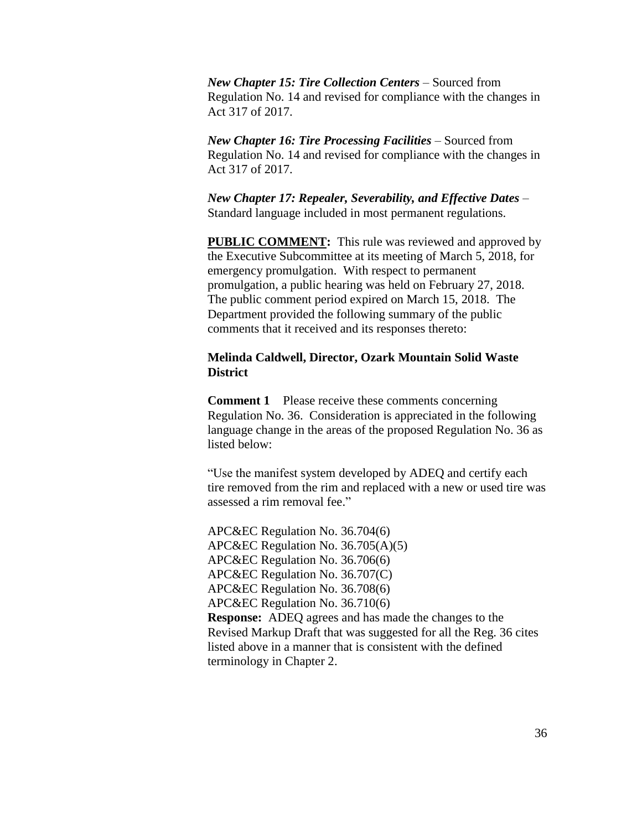*New Chapter 15: Tire Collection Centers –* Sourced from Regulation No. 14 and revised for compliance with the changes in Act 317 of 2017.

*New Chapter 16: Tire Processing Facilities –* Sourced from Regulation No. 14 and revised for compliance with the changes in Act 317 of 2017.

*New Chapter 17: Repealer, Severability, and Effective Dates –* Standard language included in most permanent regulations.

**PUBLIC COMMENT:** This rule was reviewed and approved by the Executive Subcommittee at its meeting of March 5, 2018, for emergency promulgation. With respect to permanent promulgation, a public hearing was held on February 27, 2018. The public comment period expired on March 15, 2018. The Department provided the following summary of the public comments that it received and its responses thereto:

## **Melinda Caldwell, Director, Ozark Mountain Solid Waste District**

**Comment 1** Please receive these comments concerning Regulation No. 36. Consideration is appreciated in the following language change in the areas of the proposed Regulation No. 36 as listed below:

"Use the manifest system developed by ADEQ and certify each tire removed from the rim and replaced with a new or used tire was assessed a rim removal fee."

APC&EC Regulation No. 36.704(6) APC&EC Regulation No. 36.705(A)(5) APC&EC Regulation No. 36.706(6) APC&EC Regulation No. 36.707(C) APC&EC Regulation No. 36.708(6) APC&EC Regulation No. 36.710(6) **Response:** ADEQ agrees and has made the changes to the Revised Markup Draft that was suggested for all the Reg. 36 cites listed above in a manner that is consistent with the defined terminology in Chapter 2.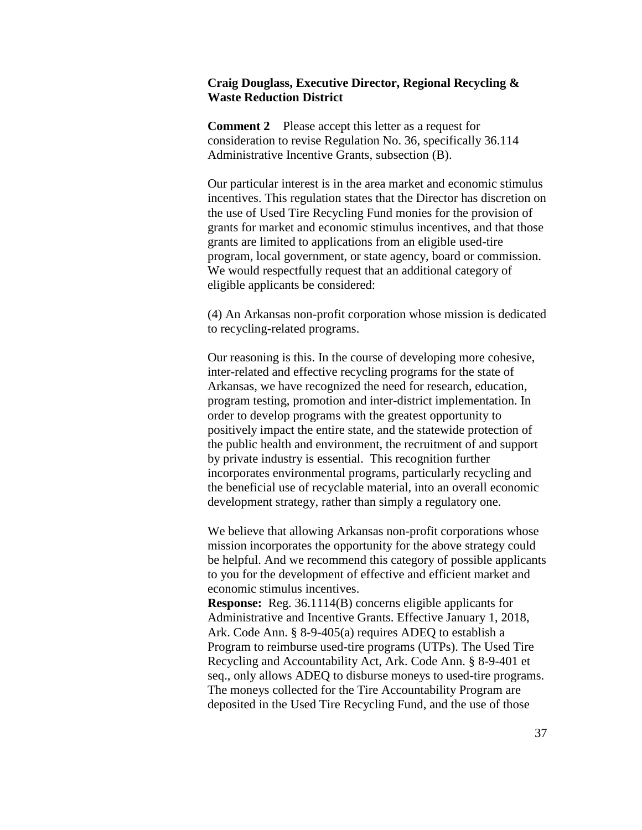### **Craig Douglass, Executive Director, Regional Recycling & Waste Reduction District**

**Comment 2** Please accept this letter as a request for consideration to revise Regulation No. 36, specifically 36.114 Administrative Incentive Grants, subsection (B).

Our particular interest is in the area market and economic stimulus incentives. This regulation states that the Director has discretion on the use of Used Tire Recycling Fund monies for the provision of grants for market and economic stimulus incentives, and that those grants are limited to applications from an eligible used-tire program, local government, or state agency, board or commission. We would respectfully request that an additional category of eligible applicants be considered:

(4) An Arkansas non-profit corporation whose mission is dedicated to recycling-related programs.

Our reasoning is this. In the course of developing more cohesive, inter-related and effective recycling programs for the state of Arkansas, we have recognized the need for research, education, program testing, promotion and inter-district implementation. In order to develop programs with the greatest opportunity to positively impact the entire state, and the statewide protection of the public health and environment, the recruitment of and support by private industry is essential. This recognition further incorporates environmental programs, particularly recycling and the beneficial use of recyclable material, into an overall economic development strategy, rather than simply a regulatory one.

We believe that allowing Arkansas non-profit corporations whose mission incorporates the opportunity for the above strategy could be helpful. And we recommend this category of possible applicants to you for the development of effective and efficient market and economic stimulus incentives.

**Response:** Reg. 36.1114(B) concerns eligible applicants for Administrative and Incentive Grants. Effective January 1, 2018, Ark. Code Ann. § 8-9-405(a) requires ADEQ to establish a Program to reimburse used-tire programs (UTPs). The Used Tire Recycling and Accountability Act, Ark. Code Ann. § 8-9-401 et seq., only allows ADEQ to disburse moneys to used-tire programs. The moneys collected for the Tire Accountability Program are deposited in the Used Tire Recycling Fund, and the use of those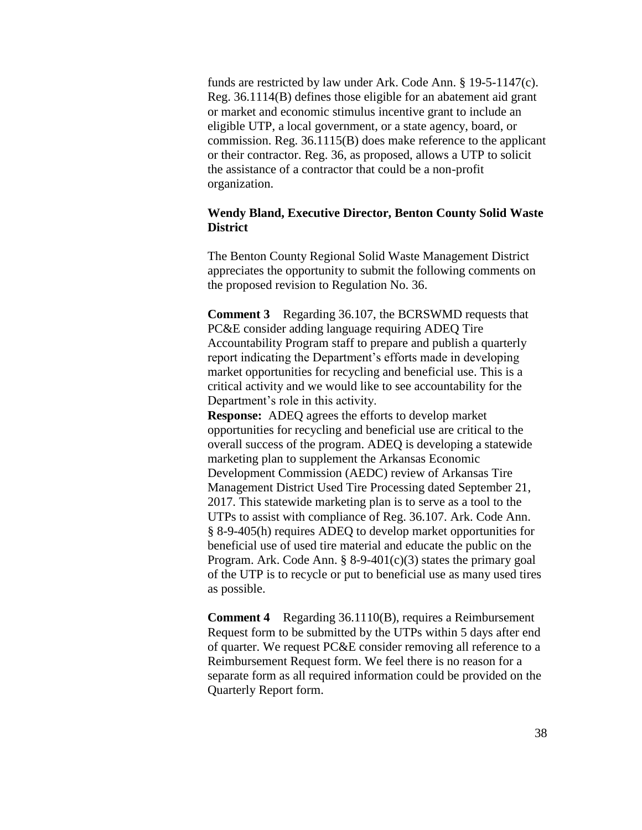funds are restricted by law under Ark. Code Ann. § 19-5-1147(c). Reg. 36.1114(B) defines those eligible for an abatement aid grant or market and economic stimulus incentive grant to include an eligible UTP, a local government, or a state agency, board, or commission. Reg. 36.1115(B) does make reference to the applicant or their contractor. Reg. 36, as proposed, allows a UTP to solicit the assistance of a contractor that could be a non-profit organization.

## **Wendy Bland, Executive Director, Benton County Solid Waste District**

The Benton County Regional Solid Waste Management District appreciates the opportunity to submit the following comments on the proposed revision to Regulation No. 36.

**Comment 3** Regarding 36.107, the BCRSWMD requests that PC&E consider adding language requiring ADEQ Tire Accountability Program staff to prepare and publish a quarterly report indicating the Department's efforts made in developing market opportunities for recycling and beneficial use. This is a critical activity and we would like to see accountability for the Department's role in this activity.

**Response:** ADEQ agrees the efforts to develop market opportunities for recycling and beneficial use are critical to the overall success of the program. ADEQ is developing a statewide marketing plan to supplement the Arkansas Economic Development Commission (AEDC) review of Arkansas Tire Management District Used Tire Processing dated September 21, 2017. This statewide marketing plan is to serve as a tool to the UTPs to assist with compliance of Reg. 36.107. Ark. Code Ann. § 8-9-405(h) requires ADEQ to develop market opportunities for beneficial use of used tire material and educate the public on the Program. Ark. Code Ann.  $\S$  8-9-401(c)(3) states the primary goal of the UTP is to recycle or put to beneficial use as many used tires as possible.

**Comment 4** Regarding 36.1110(B), requires a Reimbursement Request form to be submitted by the UTPs within 5 days after end of quarter. We request PC&E consider removing all reference to a Reimbursement Request form. We feel there is no reason for a separate form as all required information could be provided on the Quarterly Report form.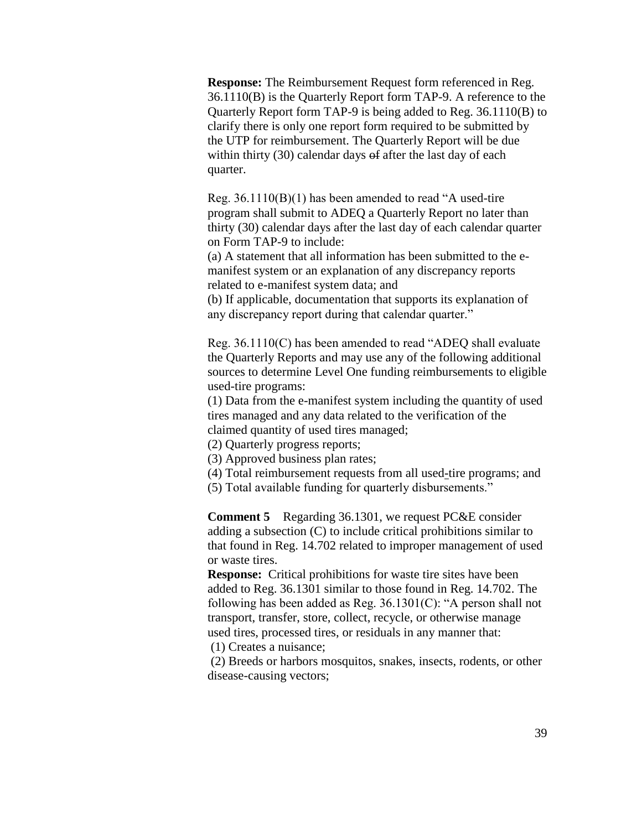**Response:** The Reimbursement Request form referenced in Reg. 36.1110(B) is the Quarterly Report form TAP-9. A reference to the Quarterly Report form TAP-9 is being added to Reg. 36.1110(B) to clarify there is only one report form required to be submitted by the UTP for reimbursement. The Quarterly Report will be due within thirty (30) calendar days of after the last day of each quarter.

Reg. 36.1110(B)(1) has been amended to read "A used-tire program shall submit to ADEQ a Quarterly Report no later than thirty (30) calendar days after the last day of each calendar quarter on Form TAP-9 to include:

(a) A statement that all information has been submitted to the emanifest system or an explanation of any discrepancy reports related to e-manifest system data; and

(b) If applicable, documentation that supports its explanation of any discrepancy report during that calendar quarter."

Reg. 36.1110(C) has been amended to read "ADEQ shall evaluate the Quarterly Reports and may use any of the following additional sources to determine Level One funding reimbursements to eligible used-tire programs:

(1) Data from the e-manifest system including the quantity of used tires managed and any data related to the verification of the claimed quantity of used tires managed;

(2) Quarterly progress reports;

(3) Approved business plan rates;

(4) Total reimbursement requests from all used-tire programs; and

(5) Total available funding for quarterly disbursements."

**Comment 5** Regarding 36.1301, we request PC&E consider adding a subsection (C) to include critical prohibitions similar to that found in Reg. 14.702 related to improper management of used or waste tires.

**Response:** Critical prohibitions for waste tire sites have been added to Reg. 36.1301 similar to those found in Reg. 14.702. The following has been added as Reg. 36.1301(C): "A person shall not transport, transfer, store, collect, recycle, or otherwise manage used tires, processed tires, or residuals in any manner that:

(1) Creates a nuisance;

(2) Breeds or harbors mosquitos, snakes, insects, rodents, or other disease-causing vectors;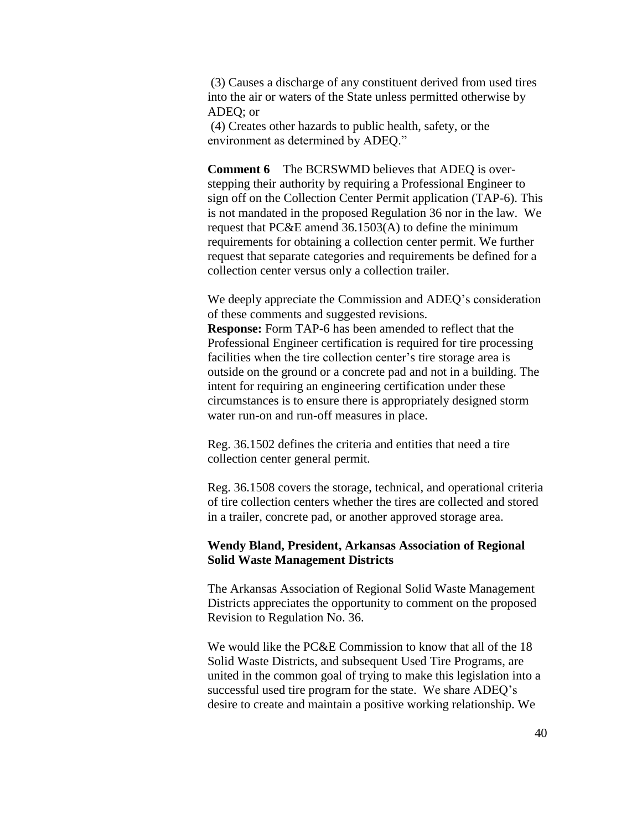(3) Causes a discharge of any constituent derived from used tires into the air or waters of the State unless permitted otherwise by ADEQ; or

(4) Creates other hazards to public health, safety, or the environment as determined by ADEQ."

**Comment 6** The BCRSWMD believes that ADEQ is overstepping their authority by requiring a Professional Engineer to sign off on the Collection Center Permit application (TAP-6). This is not mandated in the proposed Regulation 36 nor in the law. We request that PC&E amend 36.1503(A) to define the minimum requirements for obtaining a collection center permit. We further request that separate categories and requirements be defined for a collection center versus only a collection trailer.

We deeply appreciate the Commission and ADEQ's consideration of these comments and suggested revisions.

**Response:** Form TAP-6 has been amended to reflect that the Professional Engineer certification is required for tire processing facilities when the tire collection center's tire storage area is outside on the ground or a concrete pad and not in a building. The intent for requiring an engineering certification under these circumstances is to ensure there is appropriately designed storm water run-on and run-off measures in place.

Reg. 36.1502 defines the criteria and entities that need a tire collection center general permit.

Reg. 36.1508 covers the storage, technical, and operational criteria of tire collection centers whether the tires are collected and stored in a trailer, concrete pad, or another approved storage area.

### **Wendy Bland, President, Arkansas Association of Regional Solid Waste Management Districts**

The Arkansas Association of Regional Solid Waste Management Districts appreciates the opportunity to comment on the proposed Revision to Regulation No. 36.

We would like the PC&E Commission to know that all of the 18 Solid Waste Districts, and subsequent Used Tire Programs, are united in the common goal of trying to make this legislation into a successful used tire program for the state. We share ADEQ's desire to create and maintain a positive working relationship. We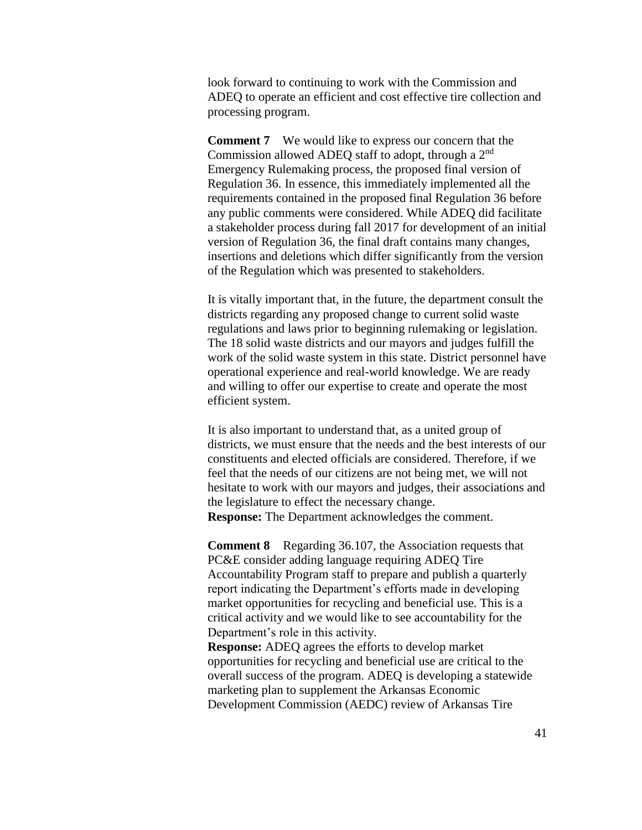look forward to continuing to work with the Commission and ADEQ to operate an efficient and cost effective tire collection and processing program.

**Comment 7** We would like to express our concern that the Commission allowed ADEQ staff to adopt, through a 2<sup>nd</sup> Emergency Rulemaking process, the proposed final version of Regulation 36. In essence, this immediately implemented all the requirements contained in the proposed final Regulation 36 before any public comments were considered. While ADEQ did facilitate a stakeholder process during fall 2017 for development of an initial version of Regulation 36, the final draft contains many changes, insertions and deletions which differ significantly from the version of the Regulation which was presented to stakeholders.

It is vitally important that, in the future, the department consult the districts regarding any proposed change to current solid waste regulations and laws prior to beginning rulemaking or legislation. The 18 solid waste districts and our mayors and judges fulfill the work of the solid waste system in this state. District personnel have operational experience and real-world knowledge. We are ready and willing to offer our expertise to create and operate the most efficient system.

It is also important to understand that, as a united group of districts, we must ensure that the needs and the best interests of our constituents and elected officials are considered. Therefore, if we feel that the needs of our citizens are not being met, we will not hesitate to work with our mayors and judges, their associations and the legislature to effect the necessary change. **Response:** The Department acknowledges the comment.

**Comment 8** Regarding 36.107, the Association requests that PC&E consider adding language requiring ADEQ Tire Accountability Program staff to prepare and publish a quarterly report indicating the Department's efforts made in developing market opportunities for recycling and beneficial use. This is a critical activity and we would like to see accountability for the Department's role in this activity.

**Response:** ADEQ agrees the efforts to develop market opportunities for recycling and beneficial use are critical to the overall success of the program. ADEQ is developing a statewide marketing plan to supplement the Arkansas Economic Development Commission (AEDC) review of Arkansas Tire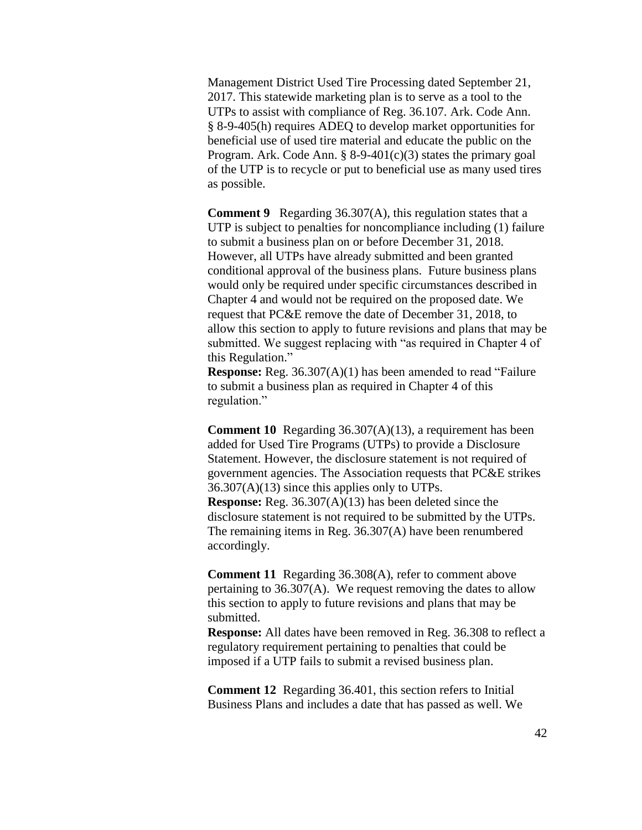Management District Used Tire Processing dated September 21, 2017. This statewide marketing plan is to serve as a tool to the UTPs to assist with compliance of Reg. 36.107. Ark. Code Ann. § 8-9-405(h) requires ADEQ to develop market opportunities for beneficial use of used tire material and educate the public on the Program. Ark. Code Ann.  $\S$  8-9-401(c)(3) states the primary goal of the UTP is to recycle or put to beneficial use as many used tires as possible.

**Comment 9** Regarding 36.307(A), this regulation states that a UTP is subject to penalties for noncompliance including (1) failure to submit a business plan on or before December 31, 2018. However, all UTPs have already submitted and been granted conditional approval of the business plans. Future business plans would only be required under specific circumstances described in Chapter 4 and would not be required on the proposed date. We request that PC&E remove the date of December 31, 2018, to allow this section to apply to future revisions and plans that may be submitted. We suggest replacing with "as required in Chapter 4 of this Regulation."

**Response:** Reg. 36.307(A)(1) has been amended to read "Failure to submit a business plan as required in Chapter 4 of this regulation."

**Comment 10** Regarding 36.307(A)(13), a requirement has been added for Used Tire Programs (UTPs) to provide a Disclosure Statement. However, the disclosure statement is not required of government agencies. The Association requests that PC&E strikes  $36.307(A)(13)$  since this applies only to UTPs. **Response:** Reg. 36.307(A)(13) has been deleted since the disclosure statement is not required to be submitted by the UTPs. The remaining items in Reg. 36.307(A) have been renumbered accordingly.

**Comment 11** Regarding 36.308(A), refer to comment above pertaining to 36.307(A). We request removing the dates to allow this section to apply to future revisions and plans that may be submitted.

**Response:** All dates have been removed in Reg. 36.308 to reflect a regulatory requirement pertaining to penalties that could be imposed if a UTP fails to submit a revised business plan.

**Comment 12** Regarding 36.401, this section refers to Initial Business Plans and includes a date that has passed as well. We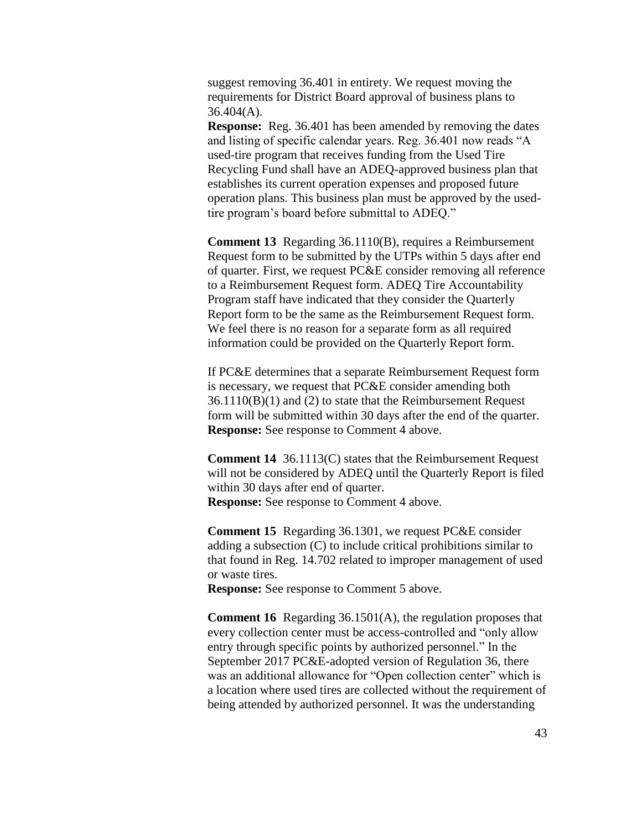suggest removing 36.401 in entirety. We request moving the requirements for District Board approval of business plans to  $36.404(A)$ .

**Response:** Reg. 36.401 has been amended by removing the dates and listing of specific calendar years. Reg. 36.401 now reads "A used-tire program that receives funding from the Used Tire Recycling Fund shall have an ADEQ-approved business plan that establishes its current operation expenses and proposed future operation plans. This business plan must be approved by the usedtire program's board before submittal to ADEQ."

**Comment 13** Regarding 36.1110(B), requires a Reimbursement Request form to be submitted by the UTPs within 5 days after end of quarter. First, we request PC&E consider removing all reference to a Reimbursement Request form. ADEQ Tire Accountability Program staff have indicated that they consider the Quarterly Report form to be the same as the Reimbursement Request form. We feel there is no reason for a separate form as all required information could be provided on the Quarterly Report form.

If PC&E determines that a separate Reimbursement Request form is necessary, we request that PC&E consider amending both 36.1110(B)(1) and (2) to state that the Reimbursement Request form will be submitted within 30 days after the end of the quarter. **Response:** See response to Comment 4 above.

**Comment 14** 36.1113(C) states that the Reimbursement Request will not be considered by ADEO until the Quarterly Report is filed within 30 days after end of quarter. **Response:** See response to Comment 4 above.

**Comment 15** Regarding 36.1301, we request PC&E consider adding a subsection (C) to include critical prohibitions similar to that found in Reg. 14.702 related to improper management of used or waste tires.

**Response:** See response to Comment 5 above.

**Comment 16** Regarding 36.1501(A), the regulation proposes that every collection center must be access-controlled and "only allow entry through specific points by authorized personnel." In the September 2017 PC&E-adopted version of Regulation 36, there was an additional allowance for "Open collection center" which is a location where used tires are collected without the requirement of being attended by authorized personnel. It was the understanding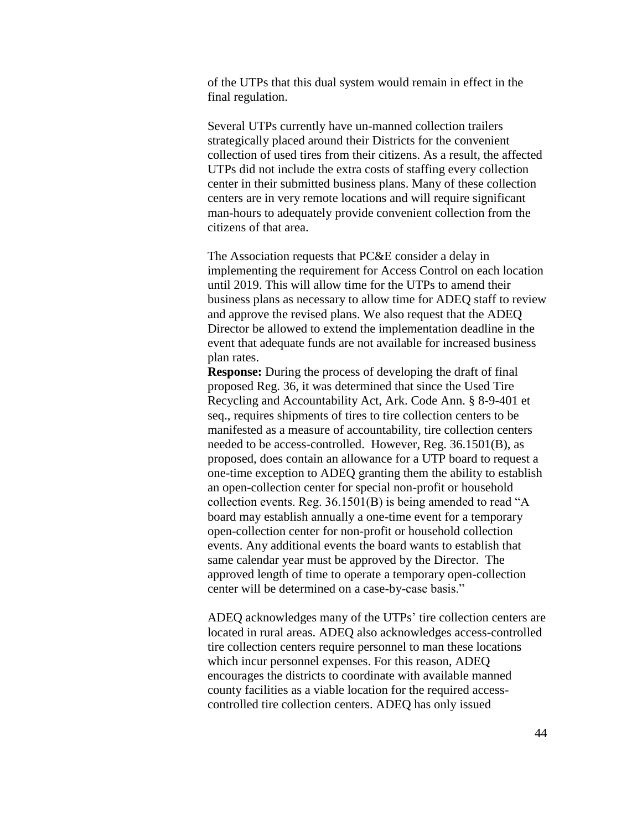of the UTPs that this dual system would remain in effect in the final regulation.

Several UTPs currently have un-manned collection trailers strategically placed around their Districts for the convenient collection of used tires from their citizens. As a result, the affected UTPs did not include the extra costs of staffing every collection center in their submitted business plans. Many of these collection centers are in very remote locations and will require significant man-hours to adequately provide convenient collection from the citizens of that area.

The Association requests that PC&E consider a delay in implementing the requirement for Access Control on each location until 2019. This will allow time for the UTPs to amend their business plans as necessary to allow time for ADEQ staff to review and approve the revised plans. We also request that the ADEQ Director be allowed to extend the implementation deadline in the event that adequate funds are not available for increased business plan rates.

**Response:** During the process of developing the draft of final proposed Reg. 36, it was determined that since the Used Tire Recycling and Accountability Act, Ark. Code Ann. § 8-9-401 et seq., requires shipments of tires to tire collection centers to be manifested as a measure of accountability, tire collection centers needed to be access-controlled. However, Reg. 36.1501(B), as proposed, does contain an allowance for a UTP board to request a one-time exception to ADEQ granting them the ability to establish an open-collection center for special non-profit or household collection events. Reg. 36.1501(B) is being amended to read "A board may establish annually a one-time event for a temporary open-collection center for non-profit or household collection events. Any additional events the board wants to establish that same calendar year must be approved by the Director. The approved length of time to operate a temporary open-collection center will be determined on a case-by-case basis."

ADEQ acknowledges many of the UTPs' tire collection centers are located in rural areas. ADEQ also acknowledges access-controlled tire collection centers require personnel to man these locations which incur personnel expenses. For this reason, ADEQ encourages the districts to coordinate with available manned county facilities as a viable location for the required accesscontrolled tire collection centers. ADEQ has only issued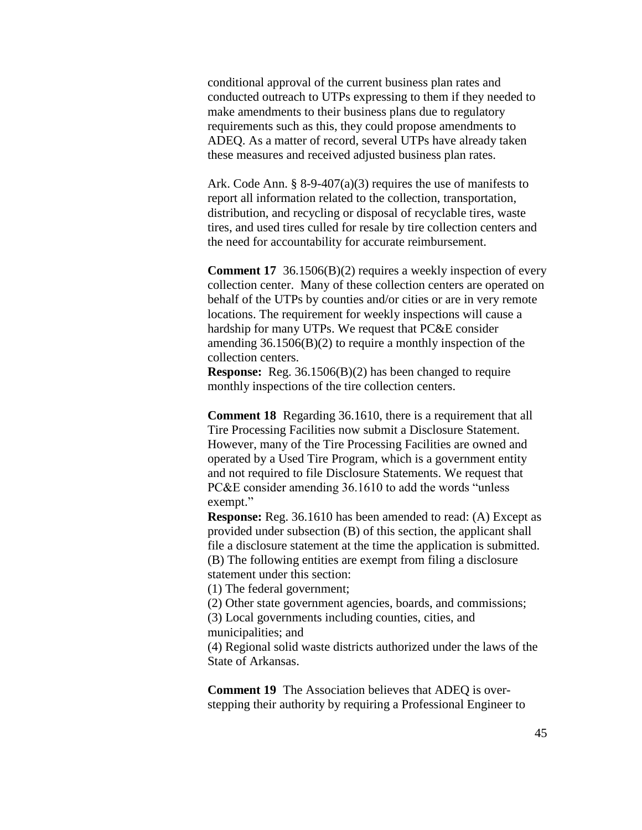conditional approval of the current business plan rates and conducted outreach to UTPs expressing to them if they needed to make amendments to their business plans due to regulatory requirements such as this, they could propose amendments to ADEQ. As a matter of record, several UTPs have already taken these measures and received adjusted business plan rates.

Ark. Code Ann. § 8-9-407(a)(3) requires the use of manifests to report all information related to the collection, transportation, distribution, and recycling or disposal of recyclable tires, waste tires, and used tires culled for resale by tire collection centers and the need for accountability for accurate reimbursement.

**Comment 17** 36.1506(B)(2) requires a weekly inspection of every collection center. Many of these collection centers are operated on behalf of the UTPs by counties and/or cities or are in very remote locations. The requirement for weekly inspections will cause a hardship for many UTPs. We request that PC&E consider amending  $36.1506(B)(2)$  to require a monthly inspection of the collection centers.

**Response:** Reg. 36.1506(B)(2) has been changed to require monthly inspections of the tire collection centers.

**Comment 18** Regarding 36.1610, there is a requirement that all Tire Processing Facilities now submit a Disclosure Statement. However, many of the Tire Processing Facilities are owned and operated by a Used Tire Program, which is a government entity and not required to file Disclosure Statements. We request that PC&E consider amending 36.1610 to add the words "unless exempt."

**Response:** Reg. 36.1610 has been amended to read: (A) Except as provided under subsection (B) of this section, the applicant shall file a disclosure statement at the time the application is submitted. (B) The following entities are exempt from filing a disclosure statement under this section:

(1) The federal government;

(2) Other state government agencies, boards, and commissions;

(3) Local governments including counties, cities, and municipalities; and

(4) Regional solid waste districts authorized under the laws of the State of Arkansas.

**Comment 19** The Association believes that ADEQ is overstepping their authority by requiring a Professional Engineer to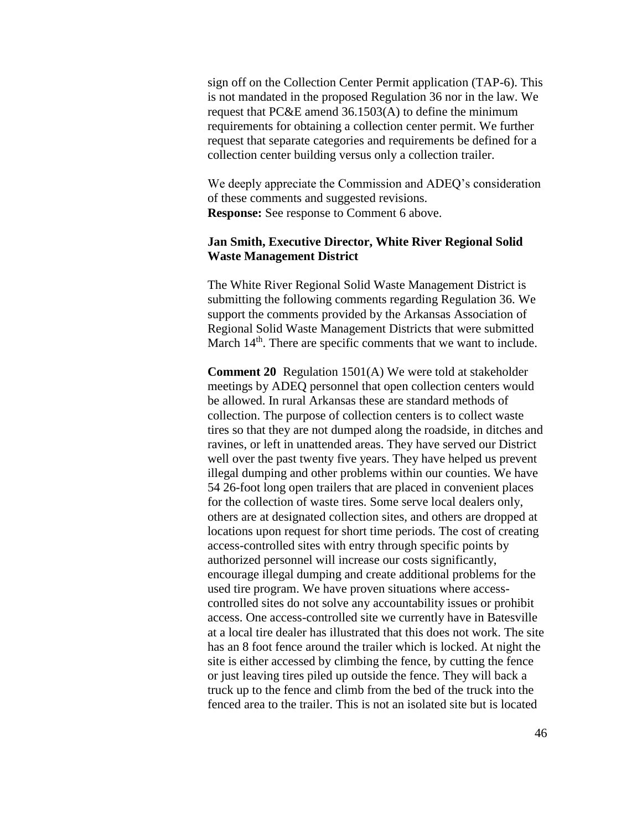sign off on the Collection Center Permit application (TAP-6). This is not mandated in the proposed Regulation 36 nor in the law. We request that PC&E amend 36.1503(A) to define the minimum requirements for obtaining a collection center permit. We further request that separate categories and requirements be defined for a collection center building versus only a collection trailer.

We deeply appreciate the Commission and ADEQ's consideration of these comments and suggested revisions. **Response:** See response to Comment 6 above.

## **Jan Smith, Executive Director, White River Regional Solid Waste Management District**

The White River Regional Solid Waste Management District is submitting the following comments regarding Regulation 36. We support the comments provided by the Arkansas Association of Regional Solid Waste Management Districts that were submitted March 14<sup>th</sup>. There are specific comments that we want to include.

**Comment 20** Regulation 1501(A) We were told at stakeholder meetings by ADEQ personnel that open collection centers would be allowed. In rural Arkansas these are standard methods of collection. The purpose of collection centers is to collect waste tires so that they are not dumped along the roadside, in ditches and ravines, or left in unattended areas. They have served our District well over the past twenty five years. They have helped us prevent illegal dumping and other problems within our counties. We have 54 26-foot long open trailers that are placed in convenient places for the collection of waste tires. Some serve local dealers only, others are at designated collection sites, and others are dropped at locations upon request for short time periods. The cost of creating access-controlled sites with entry through specific points by authorized personnel will increase our costs significantly, encourage illegal dumping and create additional problems for the used tire program. We have proven situations where accesscontrolled sites do not solve any accountability issues or prohibit access. One access-controlled site we currently have in Batesville at a local tire dealer has illustrated that this does not work. The site has an 8 foot fence around the trailer which is locked. At night the site is either accessed by climbing the fence, by cutting the fence or just leaving tires piled up outside the fence. They will back a truck up to the fence and climb from the bed of the truck into the fenced area to the trailer. This is not an isolated site but is located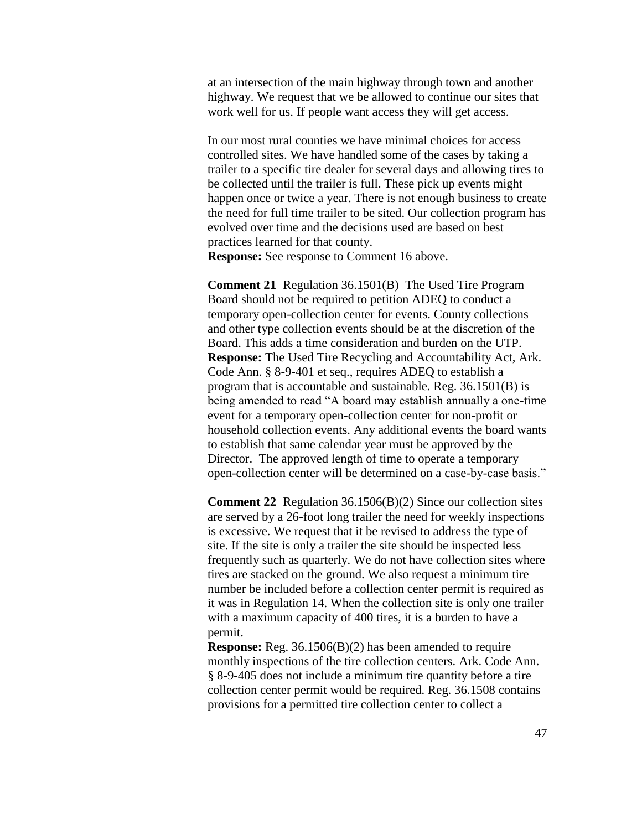at an intersection of the main highway through town and another highway. We request that we be allowed to continue our sites that work well for us. If people want access they will get access.

In our most rural counties we have minimal choices for access controlled sites. We have handled some of the cases by taking a trailer to a specific tire dealer for several days and allowing tires to be collected until the trailer is full. These pick up events might happen once or twice a year. There is not enough business to create the need for full time trailer to be sited. Our collection program has evolved over time and the decisions used are based on best practices learned for that county. **Response:** See response to Comment 16 above.

**Comment 21** Regulation 36.1501(B) The Used Tire Program Board should not be required to petition ADEQ to conduct a temporary open-collection center for events. County collections and other type collection events should be at the discretion of the Board. This adds a time consideration and burden on the UTP. **Response:** The Used Tire Recycling and Accountability Act, Ark. Code Ann. § 8-9-401 et seq., requires ADEQ to establish a program that is accountable and sustainable. Reg. 36.1501(B) is being amended to read "A board may establish annually a one-time event for a temporary open-collection center for non-profit or household collection events. Any additional events the board wants to establish that same calendar year must be approved by the Director. The approved length of time to operate a temporary open-collection center will be determined on a case-by-case basis."

**Comment 22** Regulation 36.1506(B)(2) Since our collection sites are served by a 26-foot long trailer the need for weekly inspections is excessive. We request that it be revised to address the type of site. If the site is only a trailer the site should be inspected less frequently such as quarterly. We do not have collection sites where tires are stacked on the ground. We also request a minimum tire number be included before a collection center permit is required as it was in Regulation 14. When the collection site is only one trailer with a maximum capacity of 400 tires, it is a burden to have a permit.

**Response:** Reg. 36.1506(B)(2) has been amended to require monthly inspections of the tire collection centers. Ark. Code Ann. § 8-9-405 does not include a minimum tire quantity before a tire collection center permit would be required. Reg. 36.1508 contains provisions for a permitted tire collection center to collect a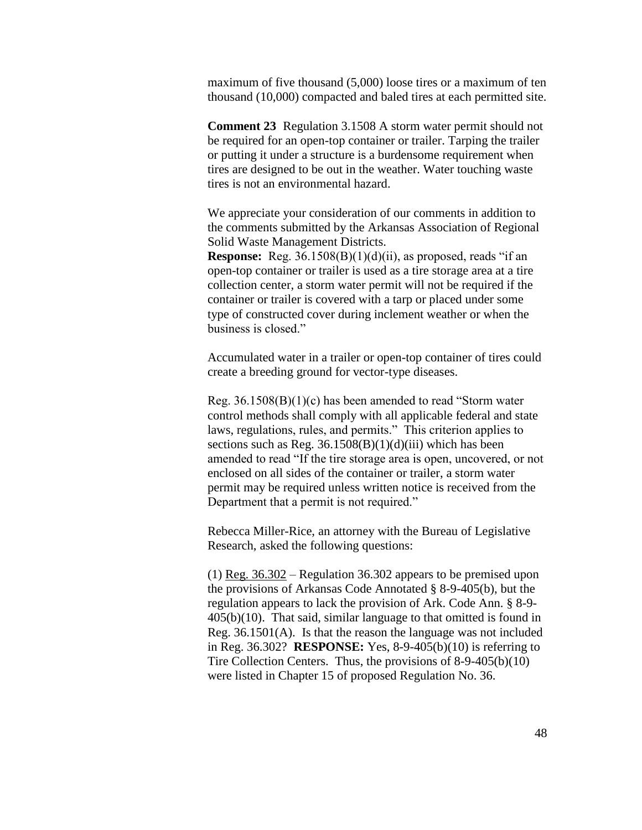maximum of five thousand (5,000) loose tires or a maximum of ten thousand (10,000) compacted and baled tires at each permitted site.

**Comment 23** Regulation 3.1508 A storm water permit should not be required for an open-top container or trailer. Tarping the trailer or putting it under a structure is a burdensome requirement when tires are designed to be out in the weather. Water touching waste tires is not an environmental hazard.

We appreciate your consideration of our comments in addition to the comments submitted by the Arkansas Association of Regional Solid Waste Management Districts.

**Response:** Reg. 36.1508(B)(1)(d)(ii), as proposed, reads "if an open-top container or trailer is used as a tire storage area at a tire collection center, a storm water permit will not be required if the container or trailer is covered with a tarp or placed under some type of constructed cover during inclement weather or when the business is closed."

Accumulated water in a trailer or open-top container of tires could create a breeding ground for vector-type diseases.

Reg. 36.1508(B)(1)(c) has been amended to read "Storm water control methods shall comply with all applicable federal and state laws, regulations, rules, and permits." This criterion applies to sections such as Reg.  $36.1508(B)(1)(d)(iii)$  which has been amended to read "If the tire storage area is open, uncovered, or not enclosed on all sides of the container or trailer, a storm water permit may be required unless written notice is received from the Department that a permit is not required."

Rebecca Miller-Rice, an attorney with the Bureau of Legislative Research, asked the following questions:

(1) Reg. 36.302 – Regulation 36.302 appears to be premised upon the provisions of Arkansas Code Annotated § 8-9-405(b), but the regulation appears to lack the provision of Ark. Code Ann. § 8-9- 405(b)(10). That said, similar language to that omitted is found in Reg. 36.1501(A). Is that the reason the language was not included in Reg. 36.302? **RESPONSE:** Yes, 8-9-405(b)(10) is referring to Tire Collection Centers. Thus, the provisions of 8-9-405(b)(10) were listed in Chapter 15 of proposed Regulation No. 36.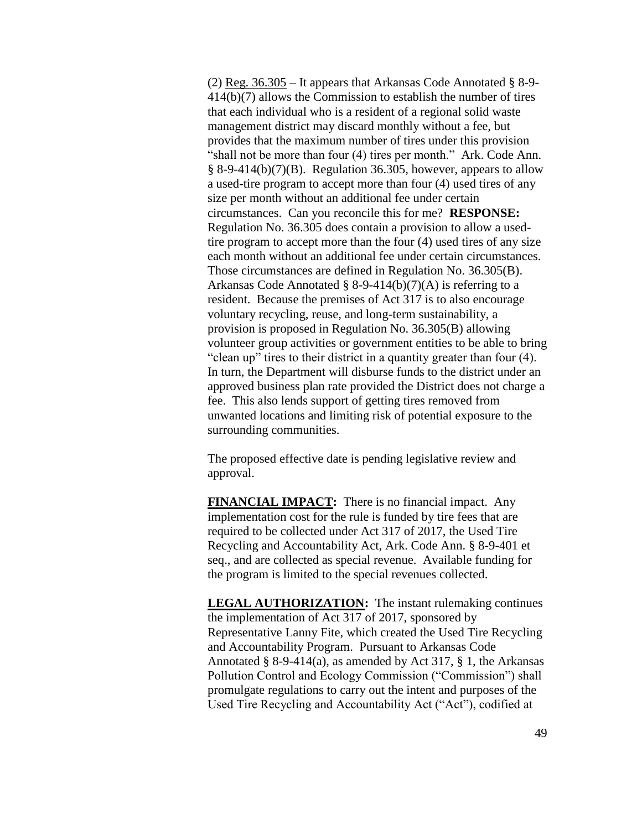(2) Reg.  $36.305 -$  It appears that Arkansas Code Annotated § 8-9-414(b)(7) allows the Commission to establish the number of tires that each individual who is a resident of a regional solid waste management district may discard monthly without a fee, but provides that the maximum number of tires under this provision "shall not be more than four (4) tires per month." Ark. Code Ann.  $§ 8-9-414(b)(7)(B)$ . Regulation 36.305, however, appears to allow a used-tire program to accept more than four (4) used tires of any size per month without an additional fee under certain circumstances. Can you reconcile this for me? **RESPONSE:** Regulation No. 36.305 does contain a provision to allow a usedtire program to accept more than the four (4) used tires of any size each month without an additional fee under certain circumstances. Those circumstances are defined in Regulation No. 36.305(B). Arkansas Code Annotated § 8-9-414(b)(7)(A) is referring to a resident. Because the premises of Act 317 is to also encourage voluntary recycling, reuse, and long-term sustainability, a provision is proposed in Regulation No. 36.305(B) allowing volunteer group activities or government entities to be able to bring "clean up" tires to their district in a quantity greater than four (4). In turn, the Department will disburse funds to the district under an approved business plan rate provided the District does not charge a fee. This also lends support of getting tires removed from unwanted locations and limiting risk of potential exposure to the surrounding communities.

The proposed effective date is pending legislative review and approval.

**FINANCIAL IMPACT:** There is no financial impact. Any implementation cost for the rule is funded by tire fees that are required to be collected under Act 317 of 2017, the Used Tire Recycling and Accountability Act, Ark. Code Ann. § 8-9-401 et seq., and are collected as special revenue. Available funding for the program is limited to the special revenues collected.

**LEGAL AUTHORIZATION:** The instant rulemaking continues the implementation of Act 317 of 2017, sponsored by Representative Lanny Fite, which created the Used Tire Recycling and Accountability Program. Pursuant to Arkansas Code Annotated § 8-9-414(a), as amended by Act 317, § 1, the Arkansas Pollution Control and Ecology Commission ("Commission") shall promulgate regulations to carry out the intent and purposes of the Used Tire Recycling and Accountability Act ("Act"), codified at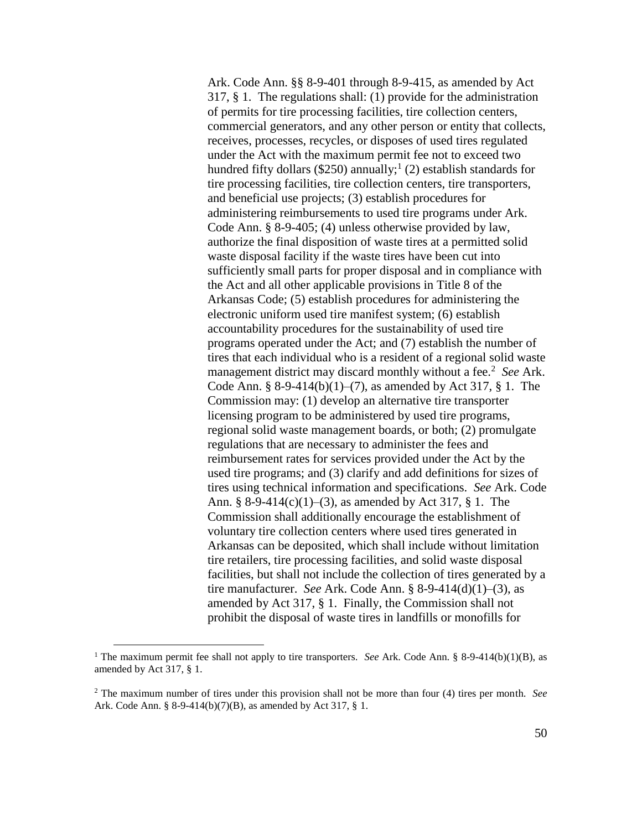Ark. Code Ann. §§ 8-9-401 through 8-9-415, as amended by Act 317, § 1. The regulations shall: (1) provide for the administration of permits for tire processing facilities, tire collection centers, commercial generators, and any other person or entity that collects, receives, processes, recycles, or disposes of used tires regulated under the Act with the maximum permit fee not to exceed two hundred fifty dollars (\$250) annually;<sup>1</sup> (2) establish standards for tire processing facilities, tire collection centers, tire transporters, and beneficial use projects; (3) establish procedures for administering reimbursements to used tire programs under Ark. Code Ann. § 8-9-405; (4) unless otherwise provided by law, authorize the final disposition of waste tires at a permitted solid waste disposal facility if the waste tires have been cut into sufficiently small parts for proper disposal and in compliance with the Act and all other applicable provisions in Title 8 of the Arkansas Code; (5) establish procedures for administering the electronic uniform used tire manifest system; (6) establish accountability procedures for the sustainability of used tire programs operated under the Act; and (7) establish the number of tires that each individual who is a resident of a regional solid waste management district may discard monthly without a fee.<sup>2</sup> See Ark. Code Ann. § 8-9-414(b)(1)–(7), as amended by Act 317, § 1. The Commission may: (1) develop an alternative tire transporter licensing program to be administered by used tire programs, regional solid waste management boards, or both; (2) promulgate regulations that are necessary to administer the fees and reimbursement rates for services provided under the Act by the used tire programs; and (3) clarify and add definitions for sizes of tires using technical information and specifications. *See* Ark. Code Ann. § 8-9-414(c)(1)–(3), as amended by Act 317, § 1. The Commission shall additionally encourage the establishment of voluntary tire collection centers where used tires generated in Arkansas can be deposited, which shall include without limitation tire retailers, tire processing facilities, and solid waste disposal facilities, but shall not include the collection of tires generated by a tire manufacturer. *See* Ark. Code Ann. § 8-9-414(d)(1)–(3), as amended by Act 317, § 1. Finally, the Commission shall not prohibit the disposal of waste tires in landfills or monofills for

 $\overline{a}$ 

<sup>&</sup>lt;sup>1</sup> The maximum permit fee shall not apply to tire transporters. *See* Ark. Code Ann. § 8-9-414(b)(1)(B), as amended by Act 317, § 1.

<sup>2</sup> The maximum number of tires under this provision shall not be more than four (4) tires per month. *See* Ark. Code Ann. § 8-9-414(b)(7)(B), as amended by Act 317, § 1.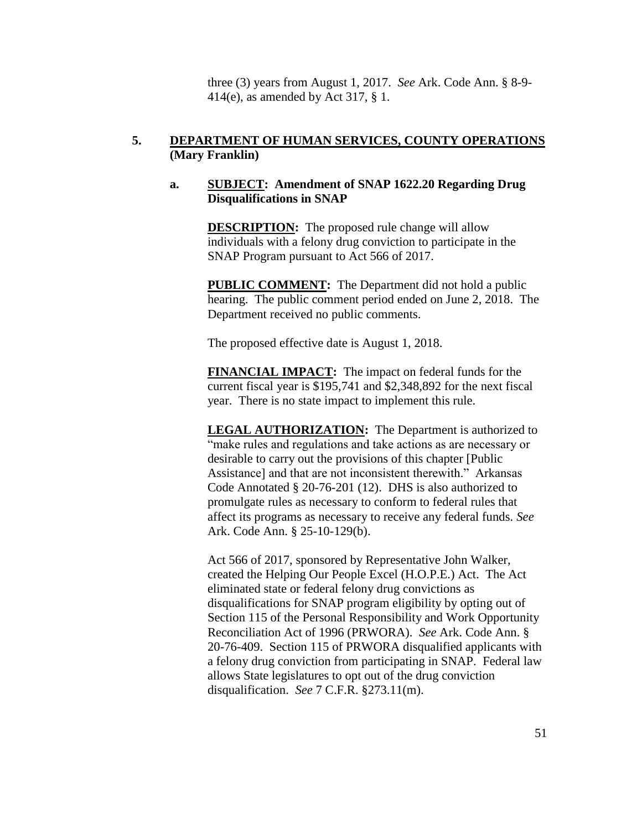three (3) years from August 1, 2017. *See* Ark. Code Ann. § 8-9- 414(e), as amended by Act 317, § 1.

## **5. DEPARTMENT OF HUMAN SERVICES, COUNTY OPERATIONS (Mary Franklin)**

## **a. SUBJECT: Amendment of SNAP 1622.20 Regarding Drug Disqualifications in SNAP**

**DESCRIPTION:** The proposed rule change will allow individuals with a felony drug conviction to participate in the SNAP Program pursuant to Act 566 of 2017.

**PUBLIC COMMENT:** The Department did not hold a public hearing. The public comment period ended on June 2, 2018. The Department received no public comments.

The proposed effective date is August 1, 2018.

**FINANCIAL IMPACT:** The impact on federal funds for the current fiscal year is \$195,741 and \$2,348,892 for the next fiscal year. There is no state impact to implement this rule.

**LEGAL AUTHORIZATION:** The Department is authorized to "make rules and regulations and take actions as are necessary or desirable to carry out the provisions of this chapter [Public Assistance] and that are not inconsistent therewith." Arkansas Code Annotated § 20-76-201 (12). DHS is also authorized to promulgate rules as necessary to conform to federal rules that affect its programs as necessary to receive any federal funds. *See* Ark. Code Ann. § 25-10-129(b).

Act 566 of 2017, sponsored by Representative John Walker, created the Helping Our People Excel (H.O.P.E.) Act. The Act eliminated state or federal felony drug convictions as disqualifications for SNAP program eligibility by opting out of Section 115 of the Personal Responsibility and Work Opportunity Reconciliation Act of 1996 (PRWORA). *See* Ark. Code Ann. § 20-76-409. Section 115 of PRWORA disqualified applicants with a felony drug conviction from participating in SNAP. Federal law allows State legislatures to opt out of the drug conviction disqualification. *See* 7 C.F.R. §273.11(m).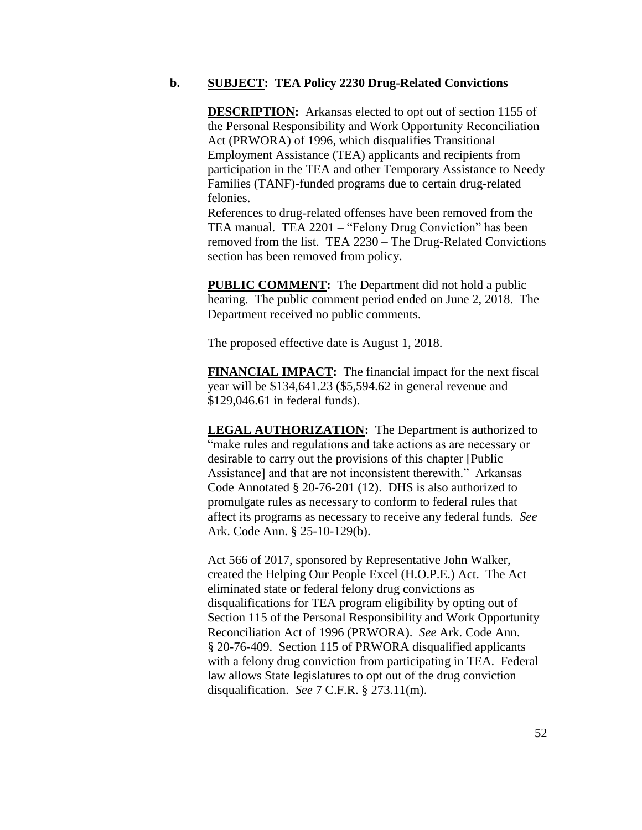#### **b. SUBJECT: TEA Policy 2230 Drug-Related Convictions**

**DESCRIPTION:** Arkansas elected to opt out of section 1155 of the Personal Responsibility and Work Opportunity Reconciliation Act (PRWORA) of 1996, which disqualifies Transitional Employment Assistance (TEA) applicants and recipients from participation in the TEA and other Temporary Assistance to Needy Families (TANF)-funded programs due to certain drug-related felonies.

References to drug-related offenses have been removed from the TEA manual. TEA 2201 – "Felony Drug Conviction" has been removed from the list. TEA 2230 – The Drug-Related Convictions section has been removed from policy.

**PUBLIC COMMENT:** The Department did not hold a public hearing. The public comment period ended on June 2, 2018. The Department received no public comments.

The proposed effective date is August 1, 2018.

**FINANCIAL IMPACT:** The financial impact for the next fiscal year will be \$134,641.23 (\$5,594.62 in general revenue and \$129,046.61 in federal funds).

**LEGAL AUTHORIZATION:** The Department is authorized to "make rules and regulations and take actions as are necessary or desirable to carry out the provisions of this chapter [Public Assistance] and that are not inconsistent therewith." Arkansas Code Annotated § 20-76-201 (12). DHS is also authorized to promulgate rules as necessary to conform to federal rules that affect its programs as necessary to receive any federal funds. *See* Ark. Code Ann. § 25-10-129(b).

Act 566 of 2017, sponsored by Representative John Walker, created the Helping Our People Excel (H.O.P.E.) Act. The Act eliminated state or federal felony drug convictions as disqualifications for TEA program eligibility by opting out of Section 115 of the Personal Responsibility and Work Opportunity Reconciliation Act of 1996 (PRWORA). *See* Ark. Code Ann. § 20-76-409. Section 115 of PRWORA disqualified applicants with a felony drug conviction from participating in TEA. Federal law allows State legislatures to opt out of the drug conviction disqualification. *See* 7 C.F.R. § 273.11(m).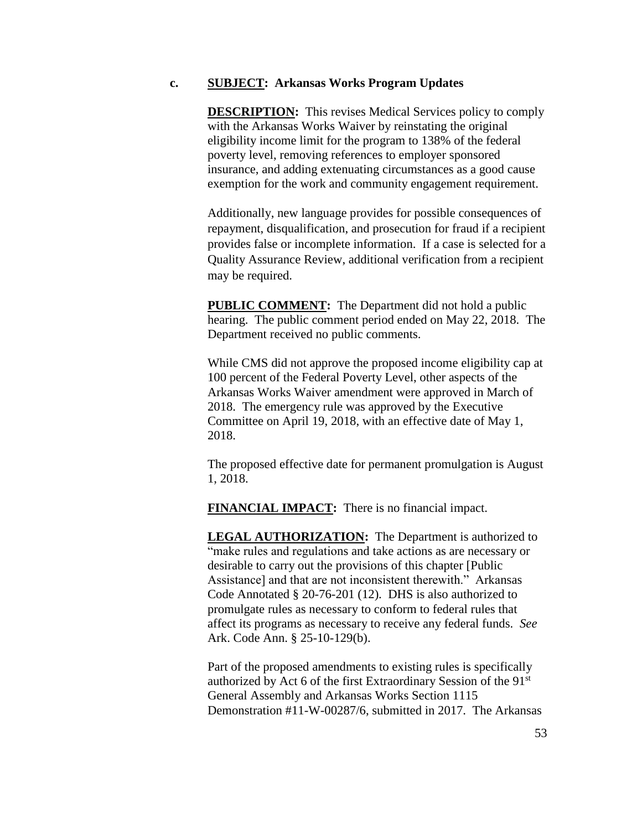#### **c. SUBJECT: Arkansas Works Program Updates**

**DESCRIPTION:** This revises Medical Services policy to comply with the Arkansas Works Waiver by reinstating the original eligibility income limit for the program to 138% of the federal poverty level, removing references to employer sponsored insurance, and adding extenuating circumstances as a good cause exemption for the work and community engagement requirement.

Additionally, new language provides for possible consequences of repayment, disqualification, and prosecution for fraud if a recipient provides false or incomplete information. If a case is selected for a Quality Assurance Review, additional verification from a recipient may be required.

**PUBLIC COMMENT:** The Department did not hold a public hearing. The public comment period ended on May 22, 2018. The Department received no public comments.

While CMS did not approve the proposed income eligibility cap at 100 percent of the Federal Poverty Level, other aspects of the Arkansas Works Waiver amendment were approved in March of 2018. The emergency rule was approved by the Executive Committee on April 19, 2018, with an effective date of May 1, 2018.

The proposed effective date for permanent promulgation is August 1, 2018.

**FINANCIAL IMPACT:** There is no financial impact.

**LEGAL AUTHORIZATION:** The Department is authorized to "make rules and regulations and take actions as are necessary or desirable to carry out the provisions of this chapter [Public Assistance] and that are not inconsistent therewith." Arkansas Code Annotated § 20-76-201 (12). DHS is also authorized to promulgate rules as necessary to conform to federal rules that affect its programs as necessary to receive any federal funds. *See* Ark. Code Ann. § 25-10-129(b).

Part of the proposed amendments to existing rules is specifically authorized by Act 6 of the first Extraordinary Session of the 91st General Assembly and Arkansas Works Section 1115 Demonstration #11-W-00287/6, submitted in 2017. The Arkansas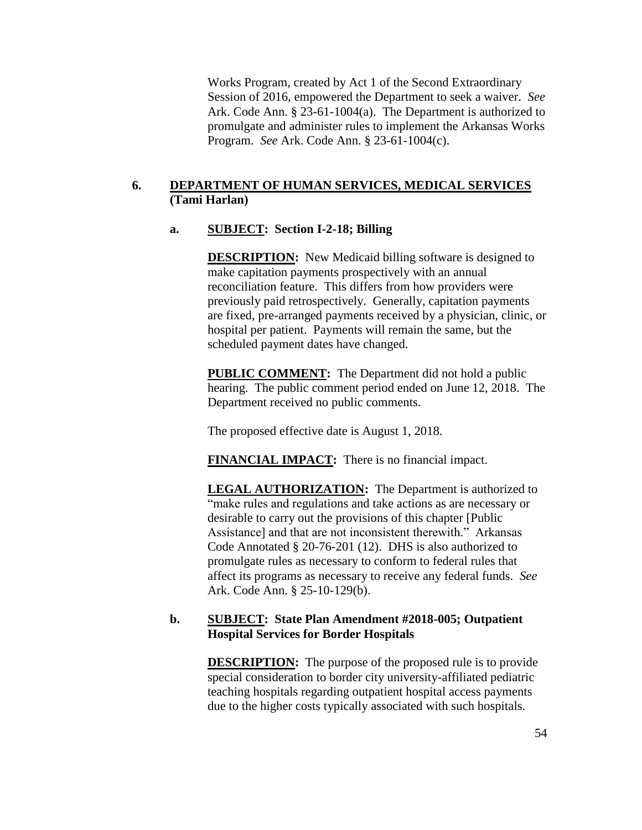Works Program, created by Act 1 of the Second Extraordinary Session of 2016, empowered the Department to seek a waiver. *See* Ark. Code Ann. § 23-61-1004(a). The Department is authorized to promulgate and administer rules to implement the Arkansas Works Program. *See* Ark. Code Ann. § 23-61-1004(c).

## **6. DEPARTMENT OF HUMAN SERVICES, MEDICAL SERVICES (Tami Harlan)**

## **a. SUBJECT: Section I-2-18; Billing**

**DESCRIPTION:** New Medicaid billing software is designed to make capitation payments prospectively with an annual reconciliation feature. This differs from how providers were previously paid retrospectively. Generally, capitation payments are fixed, pre-arranged payments received by a physician, clinic, or hospital per patient. Payments will remain the same, but the scheduled payment dates have changed.

**PUBLIC COMMENT:** The Department did not hold a public hearing. The public comment period ended on June 12, 2018. The Department received no public comments.

The proposed effective date is August 1, 2018.

**FINANCIAL IMPACT:** There is no financial impact.

**LEGAL AUTHORIZATION:** The Department is authorized to "make rules and regulations and take actions as are necessary or desirable to carry out the provisions of this chapter [Public Assistance] and that are not inconsistent therewith." Arkansas Code Annotated § 20-76-201 (12). DHS is also authorized to promulgate rules as necessary to conform to federal rules that affect its programs as necessary to receive any federal funds. *See* Ark. Code Ann. § 25-10-129(b).

## **b. SUBJECT: State Plan Amendment #2018-005; Outpatient Hospital Services for Border Hospitals**

**DESCRIPTION:** The purpose of the proposed rule is to provide special consideration to border city university-affiliated pediatric teaching hospitals regarding outpatient hospital access payments due to the higher costs typically associated with such hospitals.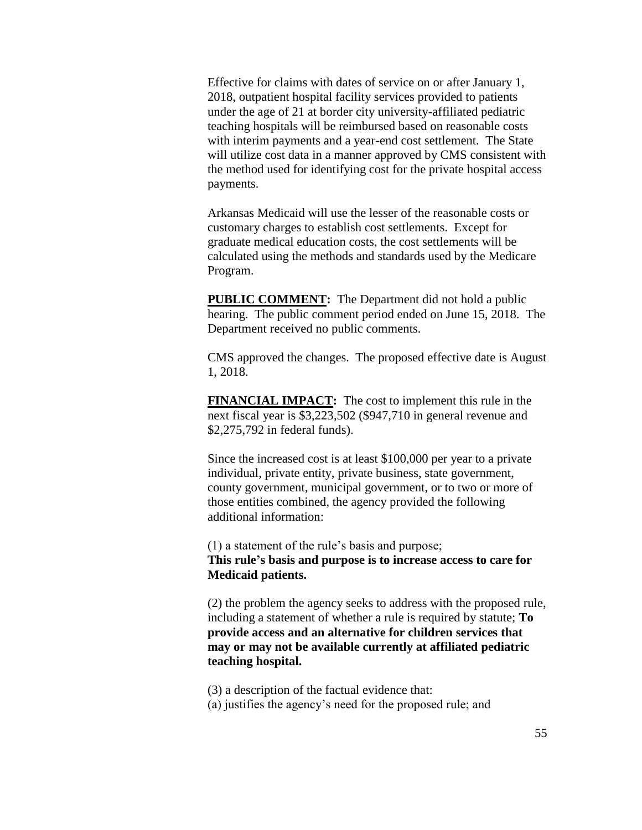Effective for claims with dates of service on or after January 1, 2018, outpatient hospital facility services provided to patients under the age of 21 at border city university-affiliated pediatric teaching hospitals will be reimbursed based on reasonable costs with interim payments and a year-end cost settlement. The State will utilize cost data in a manner approved by CMS consistent with the method used for identifying cost for the private hospital access payments.

Arkansas Medicaid will use the lesser of the reasonable costs or customary charges to establish cost settlements. Except for graduate medical education costs, the cost settlements will be calculated using the methods and standards used by the Medicare Program.

**PUBLIC COMMENT:** The Department did not hold a public hearing. The public comment period ended on June 15, 2018. The Department received no public comments.

CMS approved the changes. The proposed effective date is August 1, 2018.

**FINANCIAL IMPACT:** The cost to implement this rule in the next fiscal year is \$3,223,502 (\$947,710 in general revenue and \$2,275,792 in federal funds).

Since the increased cost is at least \$100,000 per year to a private individual, private entity, private business, state government, county government, municipal government, or to two or more of those entities combined, the agency provided the following additional information:

(1) a statement of the rule's basis and purpose; **This rule's basis and purpose is to increase access to care for Medicaid patients.** 

(2) the problem the agency seeks to address with the proposed rule, including a statement of whether a rule is required by statute; **To provide access and an alternative for children services that may or may not be available currently at affiliated pediatric teaching hospital.**

(3) a description of the factual evidence that:

(a) justifies the agency's need for the proposed rule; and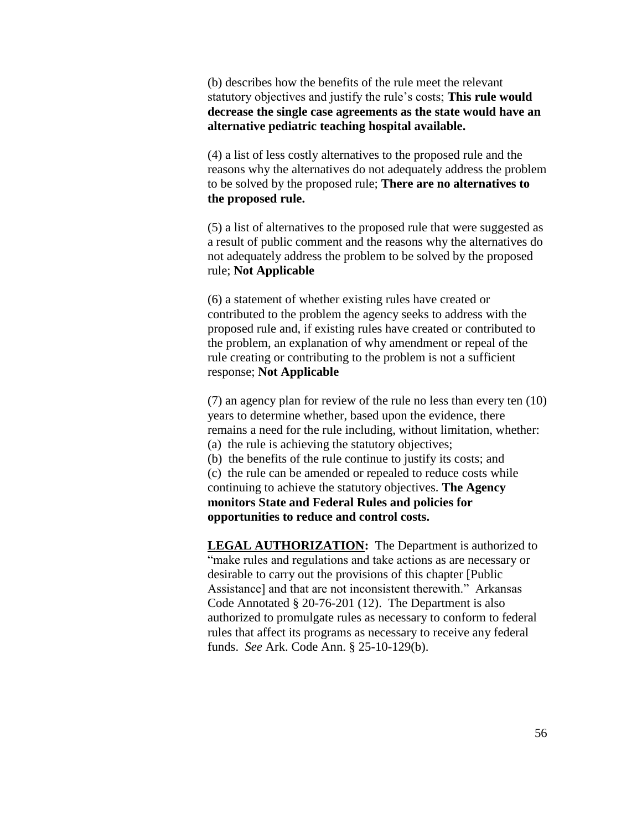(b) describes how the benefits of the rule meet the relevant statutory objectives and justify the rule's costs; **This rule would decrease the single case agreements as the state would have an alternative pediatric teaching hospital available.**

(4) a list of less costly alternatives to the proposed rule and the reasons why the alternatives do not adequately address the problem to be solved by the proposed rule; **There are no alternatives to the proposed rule.**

(5) a list of alternatives to the proposed rule that were suggested as a result of public comment and the reasons why the alternatives do not adequately address the problem to be solved by the proposed rule; **Not Applicable**

(6) a statement of whether existing rules have created or contributed to the problem the agency seeks to address with the proposed rule and, if existing rules have created or contributed to the problem, an explanation of why amendment or repeal of the rule creating or contributing to the problem is not a sufficient response; **Not Applicable**

(7) an agency plan for review of the rule no less than every ten (10) years to determine whether, based upon the evidence, there remains a need for the rule including, without limitation, whether: (a) the rule is achieving the statutory objectives;

(b) the benefits of the rule continue to justify its costs; and (c) the rule can be amended or repealed to reduce costs while continuing to achieve the statutory objectives. **The Agency monitors State and Federal Rules and policies for** 

**opportunities to reduce and control costs.**

**LEGAL AUTHORIZATION:** The Department is authorized to "make rules and regulations and take actions as are necessary or desirable to carry out the provisions of this chapter [Public Assistance] and that are not inconsistent therewith." Arkansas Code Annotated § 20-76-201 (12). The Department is also authorized to promulgate rules as necessary to conform to federal rules that affect its programs as necessary to receive any federal funds. *See* Ark. Code Ann. § 25-10-129(b).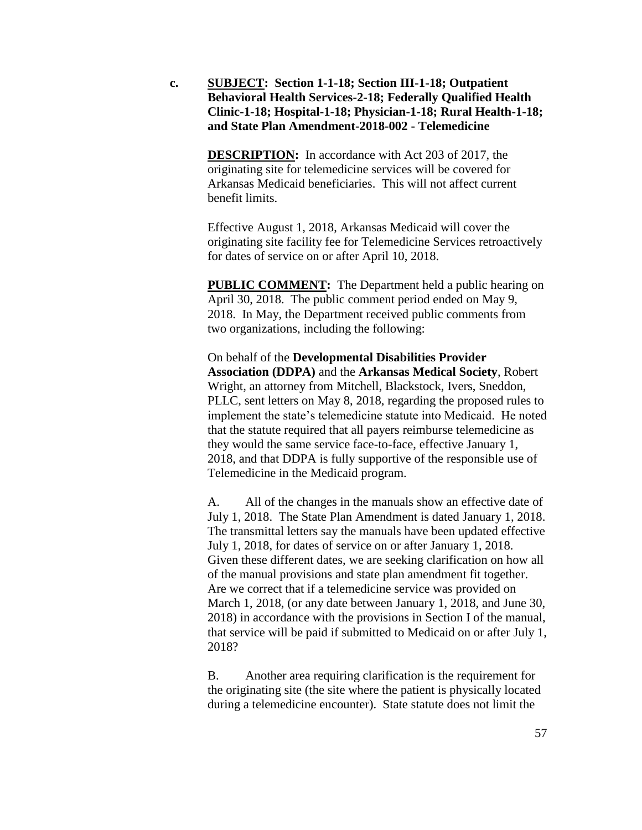**c. SUBJECT: Section 1-1-18; Section III-1-18; Outpatient Behavioral Health Services-2-18; Federally Qualified Health Clinic-1-18; Hospital-1-18; Physician-1-18; Rural Health-1-18; and State Plan Amendment-2018-002 - Telemedicine**

> **DESCRIPTION:** In accordance with Act 203 of 2017, the originating site for telemedicine services will be covered for Arkansas Medicaid beneficiaries. This will not affect current benefit limits.

Effective August 1, 2018, Arkansas Medicaid will cover the originating site facility fee for Telemedicine Services retroactively for dates of service on or after April 10, 2018.

**PUBLIC COMMENT:** The Department held a public hearing on April 30, 2018. The public comment period ended on May 9, 2018. In May, the Department received public comments from two organizations, including the following:

On behalf of the **Developmental Disabilities Provider Association (DDPA)** and the **Arkansas Medical Society**, Robert Wright, an attorney from Mitchell, Blackstock, Ivers, Sneddon, PLLC, sent letters on May 8, 2018, regarding the proposed rules to implement the state's telemedicine statute into Medicaid. He noted that the statute required that all payers reimburse telemedicine as they would the same service face-to-face, effective January 1, 2018, and that DDPA is fully supportive of the responsible use of Telemedicine in the Medicaid program.

A. All of the changes in the manuals show an effective date of July 1, 2018. The State Plan Amendment is dated January 1, 2018. The transmittal letters say the manuals have been updated effective July 1, 2018, for dates of service on or after January 1, 2018. Given these different dates, we are seeking clarification on how all of the manual provisions and state plan amendment fit together. Are we correct that if a telemedicine service was provided on March 1, 2018, (or any date between January 1, 2018, and June 30, 2018) in accordance with the provisions in Section I of the manual, that service will be paid if submitted to Medicaid on or after July 1, 2018?

B. Another area requiring clarification is the requirement for the originating site (the site where the patient is physically located during a telemedicine encounter). State statute does not limit the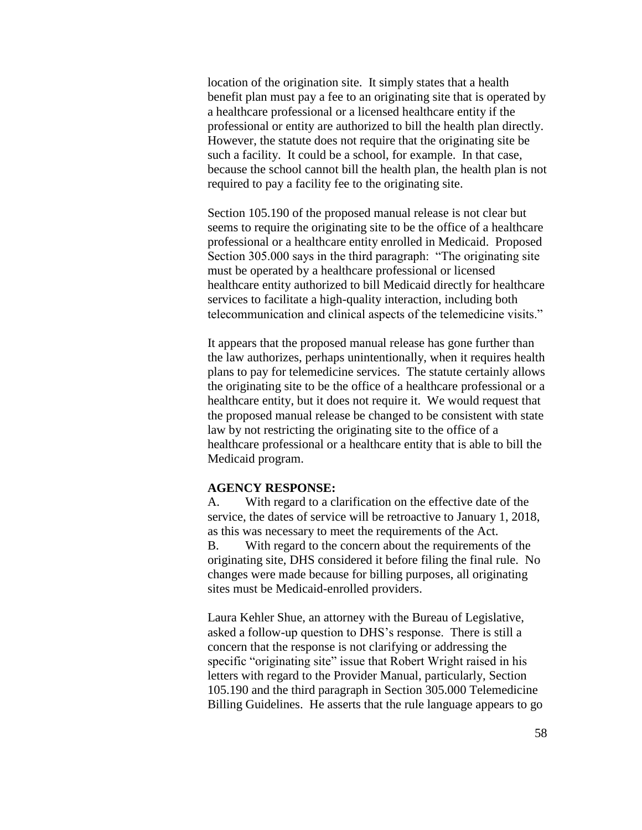location of the origination site. It simply states that a health benefit plan must pay a fee to an originating site that is operated by a healthcare professional or a licensed healthcare entity if the professional or entity are authorized to bill the health plan directly. However, the statute does not require that the originating site be such a facility. It could be a school, for example. In that case, because the school cannot bill the health plan, the health plan is not required to pay a facility fee to the originating site.

Section 105.190 of the proposed manual release is not clear but seems to require the originating site to be the office of a healthcare professional or a healthcare entity enrolled in Medicaid. Proposed Section 305.000 says in the third paragraph: "The originating site must be operated by a healthcare professional or licensed healthcare entity authorized to bill Medicaid directly for healthcare services to facilitate a high-quality interaction, including both telecommunication and clinical aspects of the telemedicine visits."

It appears that the proposed manual release has gone further than the law authorizes, perhaps unintentionally, when it requires health plans to pay for telemedicine services. The statute certainly allows the originating site to be the office of a healthcare professional or a healthcare entity, but it does not require it. We would request that the proposed manual release be changed to be consistent with state law by not restricting the originating site to the office of a healthcare professional or a healthcare entity that is able to bill the Medicaid program.

#### **AGENCY RESPONSE:**

A. With regard to a clarification on the effective date of the service, the dates of service will be retroactive to January 1, 2018, as this was necessary to meet the requirements of the Act. B. With regard to the concern about the requirements of the originating site, DHS considered it before filing the final rule. No changes were made because for billing purposes, all originating sites must be Medicaid-enrolled providers.

Laura Kehler Shue, an attorney with the Bureau of Legislative, asked a follow-up question to DHS's response. There is still a concern that the response is not clarifying or addressing the specific "originating site" issue that Robert Wright raised in his letters with regard to the Provider Manual, particularly, Section 105.190 and the third paragraph in Section 305.000 Telemedicine Billing Guidelines. He asserts that the rule language appears to go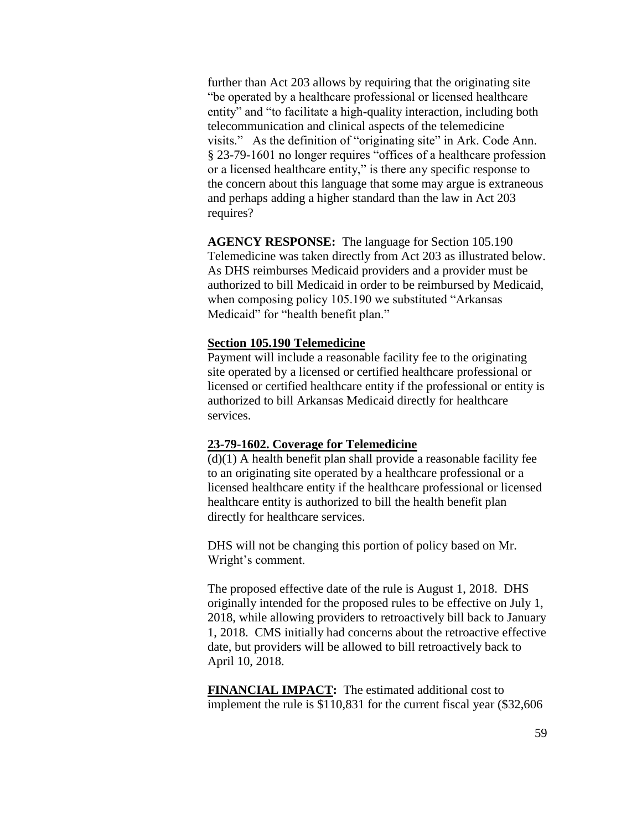further than Act 203 allows by requiring that the originating site "be operated by a healthcare professional or licensed healthcare entity" and "to facilitate a high-quality interaction, including both telecommunication and clinical aspects of the telemedicine visits." As the definition of "originating site" in Ark. Code Ann. § 23-79-1601 no longer requires "offices of a healthcare profession or a licensed healthcare entity," is there any specific response to the concern about this language that some may argue is extraneous and perhaps adding a higher standard than the law in Act 203 requires?

**AGENCY RESPONSE:** The language for Section 105.190 Telemedicine was taken directly from Act 203 as illustrated below. As DHS reimburses Medicaid providers and a provider must be authorized to bill Medicaid in order to be reimbursed by Medicaid, when composing policy 105.190 we substituted "Arkansas Medicaid" for "health benefit plan."

### **Section 105.190 Telemedicine**

Payment will include a reasonable facility fee to the originating site operated by a licensed or certified healthcare professional or licensed or certified healthcare entity if the professional or entity is authorized to bill Arkansas Medicaid directly for healthcare services.

#### **23-79-1602. Coverage for Telemedicine**

 $(d)(1)$  A health benefit plan shall provide a reasonable facility fee to an originating site operated by a healthcare professional or a licensed healthcare entity if the healthcare professional or licensed healthcare entity is authorized to bill the health benefit plan directly for healthcare services.

DHS will not be changing this portion of policy based on Mr. Wright's comment.

The proposed effective date of the rule is August 1, 2018. DHS originally intended for the proposed rules to be effective on July 1, 2018, while allowing providers to retroactively bill back to January 1, 2018. CMS initially had concerns about the retroactive effective date, but providers will be allowed to bill retroactively back to April 10, 2018.

**FINANCIAL IMPACT:** The estimated additional cost to implement the rule is \$110,831 for the current fiscal year (\$32,606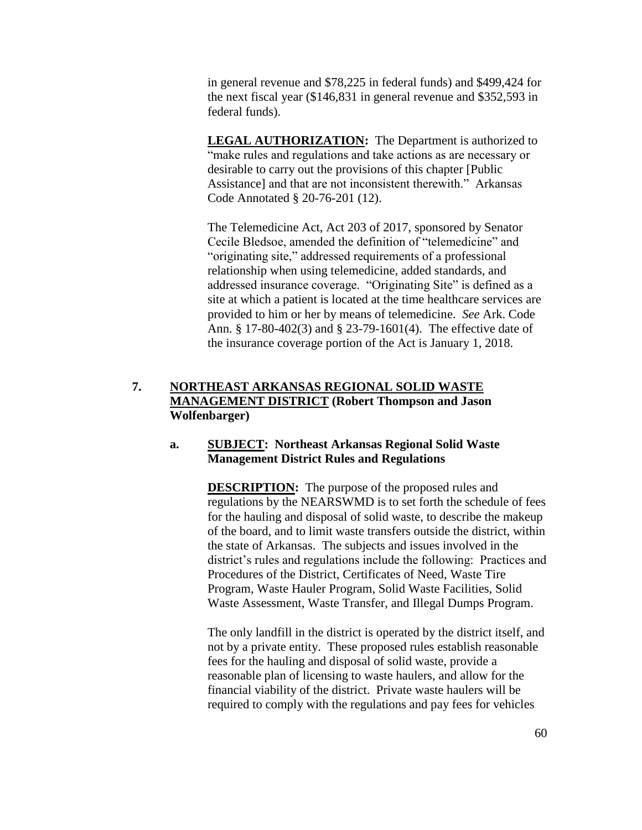in general revenue and \$78,225 in federal funds) and \$499,424 for the next fiscal year (\$146,831 in general revenue and \$352,593 in federal funds).

**LEGAL AUTHORIZATION:** The Department is authorized to "make rules and regulations and take actions as are necessary or desirable to carry out the provisions of this chapter [Public Assistance] and that are not inconsistent therewith." Arkansas Code Annotated § 20-76-201 (12).

The Telemedicine Act, Act 203 of 2017, sponsored by Senator Cecile Bledsoe, amended the definition of "telemedicine" and "originating site," addressed requirements of a professional relationship when using telemedicine, added standards, and addressed insurance coverage. "Originating Site" is defined as a site at which a patient is located at the time healthcare services are provided to him or her by means of telemedicine. *See* Ark. Code Ann. § 17-80-402(3) and § 23-79-1601(4). The effective date of the insurance coverage portion of the Act is January 1, 2018.

## **7. NORTHEAST ARKANSAS REGIONAL SOLID WASTE MANAGEMENT DISTRICT (Robert Thompson and Jason Wolfenbarger)**

### **a. SUBJECT: Northeast Arkansas Regional Solid Waste Management District Rules and Regulations**

**DESCRIPTION:** The purpose of the proposed rules and regulations by the NEARSWMD is to set forth the schedule of fees for the hauling and disposal of solid waste, to describe the makeup of the board, and to limit waste transfers outside the district, within the state of Arkansas. The subjects and issues involved in the district's rules and regulations include the following: Practices and Procedures of the District, Certificates of Need, Waste Tire Program, Waste Hauler Program, Solid Waste Facilities, Solid Waste Assessment, Waste Transfer, and Illegal Dumps Program.

The only landfill in the district is operated by the district itself, and not by a private entity. These proposed rules establish reasonable fees for the hauling and disposal of solid waste, provide a reasonable plan of licensing to waste haulers, and allow for the financial viability of the district. Private waste haulers will be required to comply with the regulations and pay fees for vehicles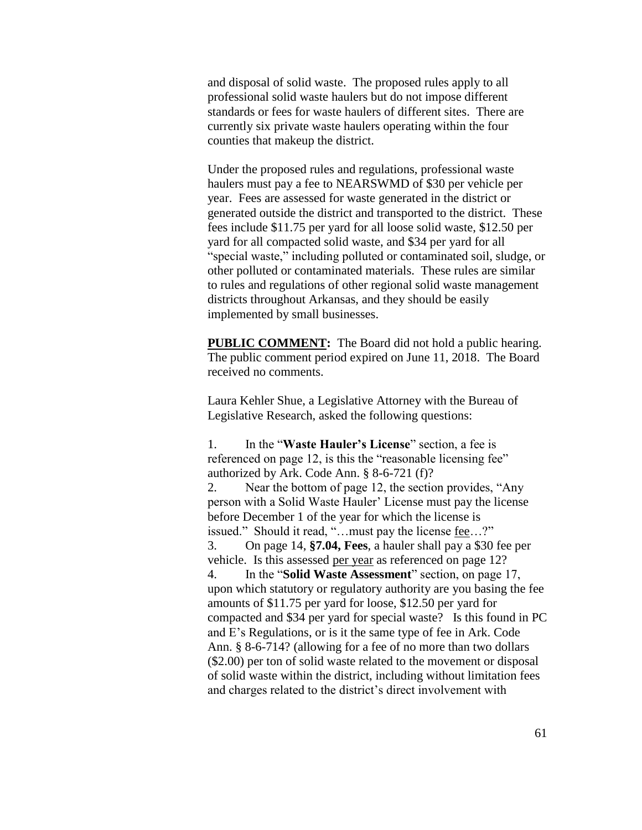and disposal of solid waste. The proposed rules apply to all professional solid waste haulers but do not impose different standards or fees for waste haulers of different sites. There are currently six private waste haulers operating within the four counties that makeup the district.

Under the proposed rules and regulations, professional waste haulers must pay a fee to NEARSWMD of \$30 per vehicle per year. Fees are assessed for waste generated in the district or generated outside the district and transported to the district. These fees include \$11.75 per yard for all loose solid waste, \$12.50 per yard for all compacted solid waste, and \$34 per yard for all "special waste," including polluted or contaminated soil, sludge, or other polluted or contaminated materials. These rules are similar to rules and regulations of other regional solid waste management districts throughout Arkansas, and they should be easily implemented by small businesses.

**PUBLIC COMMENT:** The Board did not hold a public hearing. The public comment period expired on June 11, 2018. The Board received no comments.

Laura Kehler Shue, a Legislative Attorney with the Bureau of Legislative Research, asked the following questions:

1. In the "**Waste Hauler's License**" section, a fee is referenced on page 12, is this the "reasonable licensing fee" authorized by Ark. Code Ann. § 8-6-721 (f)? 2. Near the bottom of page 12, the section provides, "Any person with a Solid Waste Hauler' License must pay the license before December 1 of the year for which the license is issued." Should it read, "...must pay the license fee...?" 3. On page 14, **§7.04, Fees**, a hauler shall pay a \$30 fee per vehicle. Is this assessed per year as referenced on page 12? 4. In the "**Solid Waste Assessment**" section, on page 17, upon which statutory or regulatory authority are you basing the fee amounts of \$11.75 per yard for loose, \$12.50 per yard for compacted and \$34 per yard for special waste? Is this found in PC and E's Regulations, or is it the same type of fee in Ark. Code Ann. § 8-6-714? (allowing for a fee of no more than two dollars (\$2.00) per ton of solid waste related to the movement or disposal of solid waste within the district, including without limitation fees and charges related to the district's direct involvement with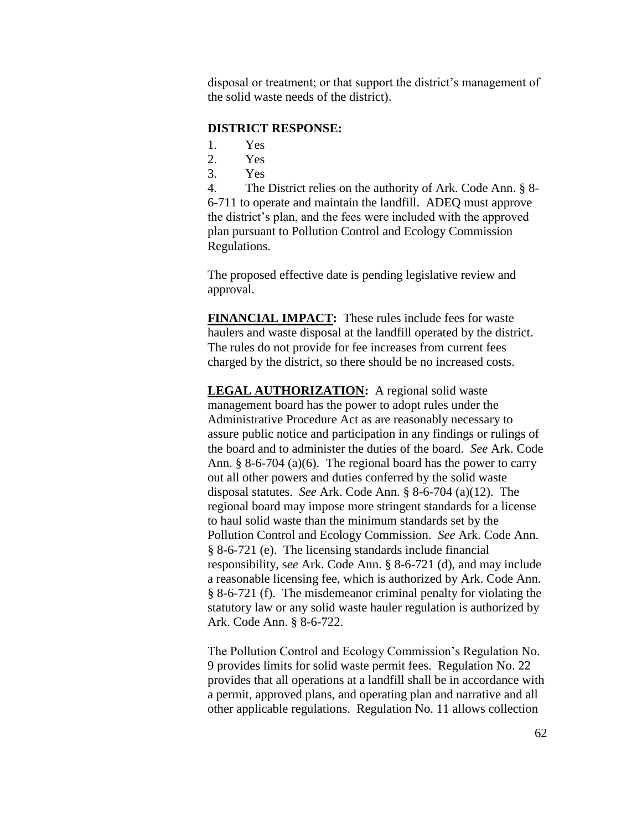disposal or treatment; or that support the district's management of the solid waste needs of the district).

#### **DISTRICT RESPONSE:**

- 1. Yes
- 2. Yes
- 3. Yes

4. The District relies on the authority of Ark. Code Ann. § 8- 6-711 to operate and maintain the landfill. ADEQ must approve the district's plan, and the fees were included with the approved plan pursuant to Pollution Control and Ecology Commission Regulations.

The proposed effective date is pending legislative review and approval.

**FINANCIAL IMPACT:** These rules include fees for waste haulers and waste disposal at the landfill operated by the district. The rules do not provide for fee increases from current fees charged by the district, so there should be no increased costs.

**LEGAL AUTHORIZATION:** A regional solid waste management board has the power to adopt rules under the Administrative Procedure Act as are reasonably necessary to assure public notice and participation in any findings or rulings of the board and to administer the duties of the board. *See* Ark. Code Ann. § 8-6-704 (a)(6). The regional board has the power to carry out all other powers and duties conferred by the solid waste disposal statutes. *See* Ark. Code Ann. § 8-6-704 (a)(12). The regional board may impose more stringent standards for a license to haul solid waste than the minimum standards set by the Pollution Control and Ecology Commission. *See* Ark. Code Ann. § 8-6-721 (e). The licensing standards include financial responsibility, s*ee* Ark. Code Ann. § 8-6-721 (d), and may include a reasonable licensing fee, which is authorized by Ark. Code Ann. § 8-6-721 (f). The misdemeanor criminal penalty for violating the statutory law or any solid waste hauler regulation is authorized by Ark. Code Ann. § 8-6-722.

The Pollution Control and Ecology Commission's Regulation No. 9 provides limits for solid waste permit fees. Regulation No. 22 provides that all operations at a landfill shall be in accordance with a permit, approved plans, and operating plan and narrative and all other applicable regulations. Regulation No. 11 allows collection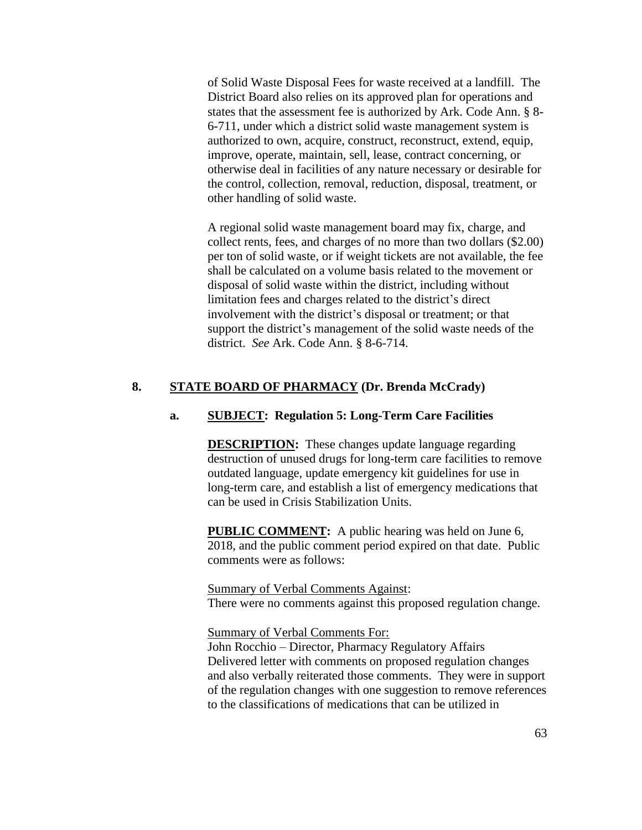of Solid Waste Disposal Fees for waste received at a landfill. The District Board also relies on its approved plan for operations and states that the assessment fee is authorized by Ark. Code Ann. § 8- 6-711, under which a district solid waste management system is authorized to own, acquire, construct, reconstruct, extend, equip, improve, operate, maintain, sell, lease, contract concerning, or otherwise deal in facilities of any nature necessary or desirable for the control, collection, removal, reduction, disposal, treatment, or other handling of solid waste.

A regional solid waste management board may fix, charge, and collect rents, fees, and charges of no more than two dollars (\$2.00) per ton of solid waste, or if weight tickets are not available, the fee shall be calculated on a volume basis related to the movement or disposal of solid waste within the district, including without limitation fees and charges related to the district's direct involvement with the district's disposal or treatment; or that support the district's management of the solid waste needs of the district. *See* Ark. Code Ann. § 8-6-714.

## **8. STATE BOARD OF PHARMACY (Dr. Brenda McCrady)**

#### **a. SUBJECT: Regulation 5: Long-Term Care Facilities**

**DESCRIPTION:** These changes update language regarding destruction of unused drugs for long-term care facilities to remove outdated language, update emergency kit guidelines for use in long-term care, and establish a list of emergency medications that can be used in Crisis Stabilization Units.

**PUBLIC COMMENT:** A public hearing was held on June 6, 2018, and the public comment period expired on that date. Public comments were as follows:

Summary of Verbal Comments Against: There were no comments against this proposed regulation change.

Summary of Verbal Comments For:

John Rocchio – Director, Pharmacy Regulatory Affairs Delivered letter with comments on proposed regulation changes and also verbally reiterated those comments. They were in support of the regulation changes with one suggestion to remove references to the classifications of medications that can be utilized in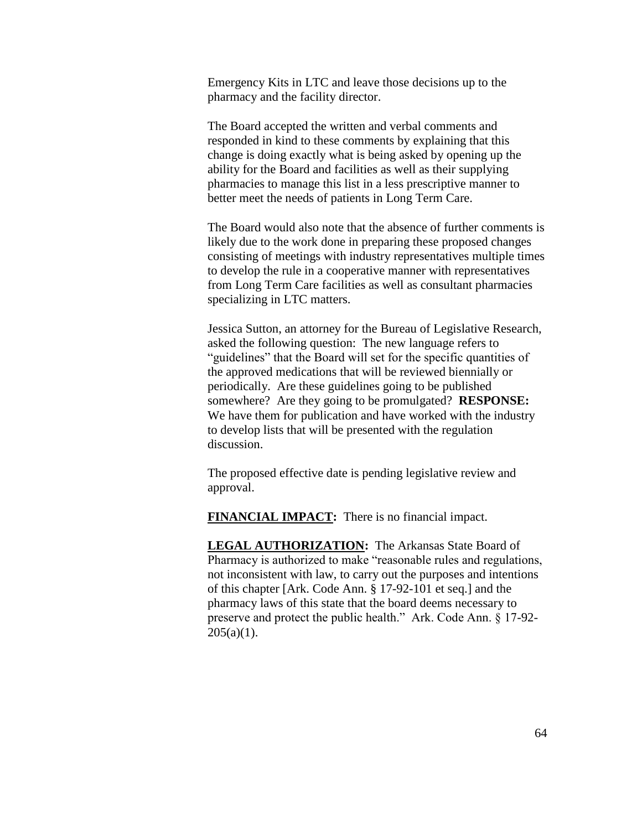Emergency Kits in LTC and leave those decisions up to the pharmacy and the facility director.

The Board accepted the written and verbal comments and responded in kind to these comments by explaining that this change is doing exactly what is being asked by opening up the ability for the Board and facilities as well as their supplying pharmacies to manage this list in a less prescriptive manner to better meet the needs of patients in Long Term Care.

The Board would also note that the absence of further comments is likely due to the work done in preparing these proposed changes consisting of meetings with industry representatives multiple times to develop the rule in a cooperative manner with representatives from Long Term Care facilities as well as consultant pharmacies specializing in LTC matters.

Jessica Sutton, an attorney for the Bureau of Legislative Research, asked the following question: The new language refers to "guidelines" that the Board will set for the specific quantities of the approved medications that will be reviewed biennially or periodically. Are these guidelines going to be published somewhere? Are they going to be promulgated? **RESPONSE:**  We have them for publication and have worked with the industry to develop lists that will be presented with the regulation discussion.

The proposed effective date is pending legislative review and approval.

**FINANCIAL IMPACT:** There is no financial impact.

**LEGAL AUTHORIZATION:** The Arkansas State Board of Pharmacy is authorized to make "reasonable rules and regulations, not inconsistent with law, to carry out the purposes and intentions of this chapter [Ark. Code Ann. § 17-92-101 et seq.] and the pharmacy laws of this state that the board deems necessary to preserve and protect the public health." Ark. Code Ann. § 17-92-  $205(a)(1)$ .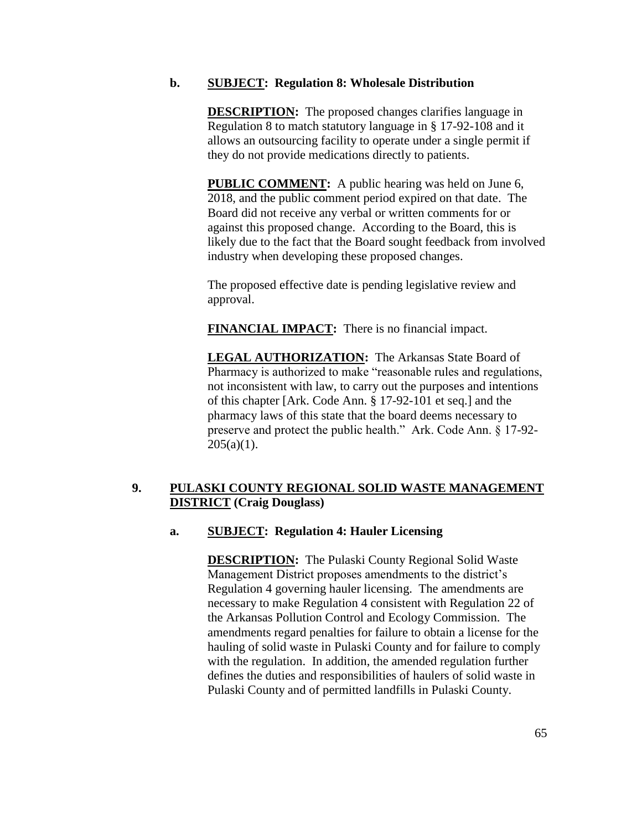### **b. SUBJECT: Regulation 8: Wholesale Distribution**

**DESCRIPTION:** The proposed changes clarifies language in Regulation 8 to match statutory language in § 17-92-108 and it allows an outsourcing facility to operate under a single permit if they do not provide medications directly to patients.

**PUBLIC COMMENT:** A public hearing was held on June 6, 2018, and the public comment period expired on that date. The Board did not receive any verbal or written comments for or against this proposed change. According to the Board, this is likely due to the fact that the Board sought feedback from involved industry when developing these proposed changes.

The proposed effective date is pending legislative review and approval.

**FINANCIAL IMPACT:** There is no financial impact.

**LEGAL AUTHORIZATION:** The Arkansas State Board of Pharmacy is authorized to make "reasonable rules and regulations, not inconsistent with law, to carry out the purposes and intentions of this chapter [Ark. Code Ann. § 17-92-101 et seq.] and the pharmacy laws of this state that the board deems necessary to preserve and protect the public health." Ark. Code Ann. § 17-92-  $205(a)(1)$ .

## **9. PULASKI COUNTY REGIONAL SOLID WASTE MANAGEMENT DISTRICT (Craig Douglass)**

## **a. SUBJECT: Regulation 4: Hauler Licensing**

**DESCRIPTION:** The Pulaski County Regional Solid Waste Management District proposes amendments to the district's Regulation 4 governing hauler licensing. The amendments are necessary to make Regulation 4 consistent with Regulation 22 of the Arkansas Pollution Control and Ecology Commission. The amendments regard penalties for failure to obtain a license for the hauling of solid waste in Pulaski County and for failure to comply with the regulation. In addition, the amended regulation further defines the duties and responsibilities of haulers of solid waste in Pulaski County and of permitted landfills in Pulaski County.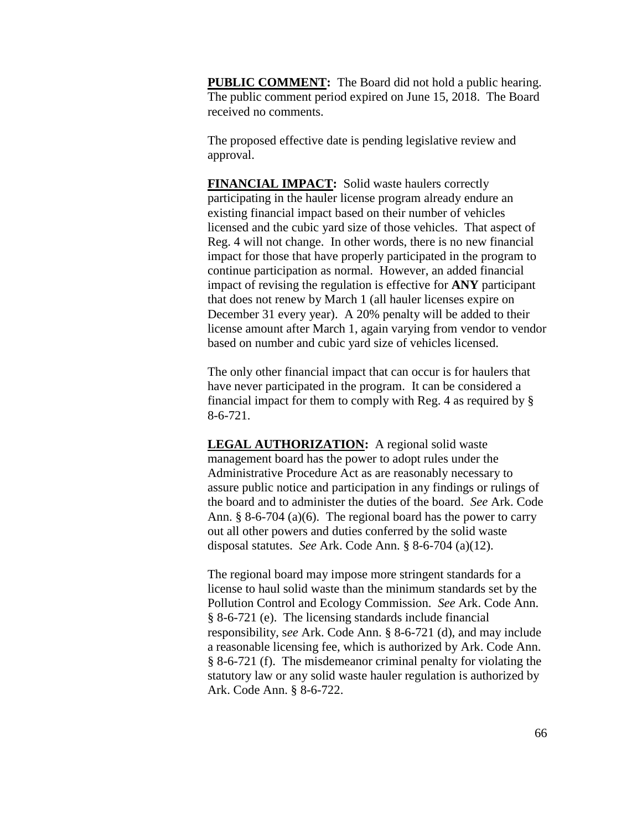**PUBLIC COMMENT:** The Board did not hold a public hearing. The public comment period expired on June 15, 2018. The Board received no comments.

The proposed effective date is pending legislative review and approval.

**FINANCIAL IMPACT:** Solid waste haulers correctly participating in the hauler license program already endure an existing financial impact based on their number of vehicles licensed and the cubic yard size of those vehicles. That aspect of Reg. 4 will not change. In other words, there is no new financial impact for those that have properly participated in the program to continue participation as normal. However, an added financial impact of revising the regulation is effective for **ANY** participant that does not renew by March 1 (all hauler licenses expire on December 31 every year). A 20% penalty will be added to their license amount after March 1, again varying from vendor to vendor based on number and cubic yard size of vehicles licensed.

The only other financial impact that can occur is for haulers that have never participated in the program. It can be considered a financial impact for them to comply with Reg. 4 as required by § 8-6-721.

**LEGAL AUTHORIZATION:** A regional solid waste management board has the power to adopt rules under the Administrative Procedure Act as are reasonably necessary to assure public notice and participation in any findings or rulings of the board and to administer the duties of the board. *See* Ark. Code Ann. § 8-6-704 (a)(6). The regional board has the power to carry out all other powers and duties conferred by the solid waste disposal statutes. *See* Ark. Code Ann. § 8-6-704 (a)(12).

The regional board may impose more stringent standards for a license to haul solid waste than the minimum standards set by the Pollution Control and Ecology Commission. *See* Ark. Code Ann. § 8-6-721 (e). The licensing standards include financial responsibility, s*ee* Ark. Code Ann. § 8-6-721 (d), and may include a reasonable licensing fee, which is authorized by Ark. Code Ann. § 8-6-721 (f). The misdemeanor criminal penalty for violating the statutory law or any solid waste hauler regulation is authorized by Ark. Code Ann. § 8-6-722.